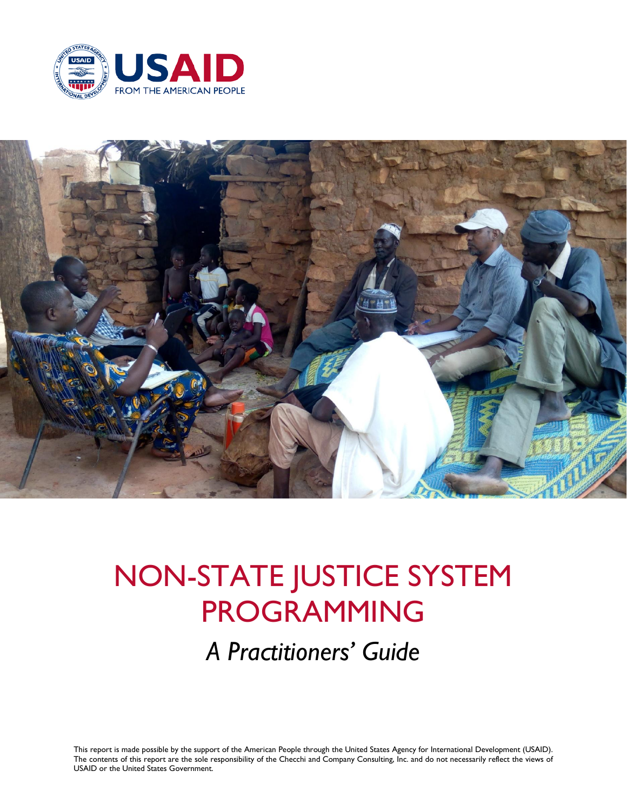



# NON-STATE JUSTICE SYSTEM PROGRAMMING

## *A Practitioners' Guide*

This report is made possible by the support of the American People through the United States Agency for International Development (USAID). The contents of this report are the sole responsibility of the Checchi and Company Consulting, Inc. and do not necessarily reflect the views of USAID or the United States Government.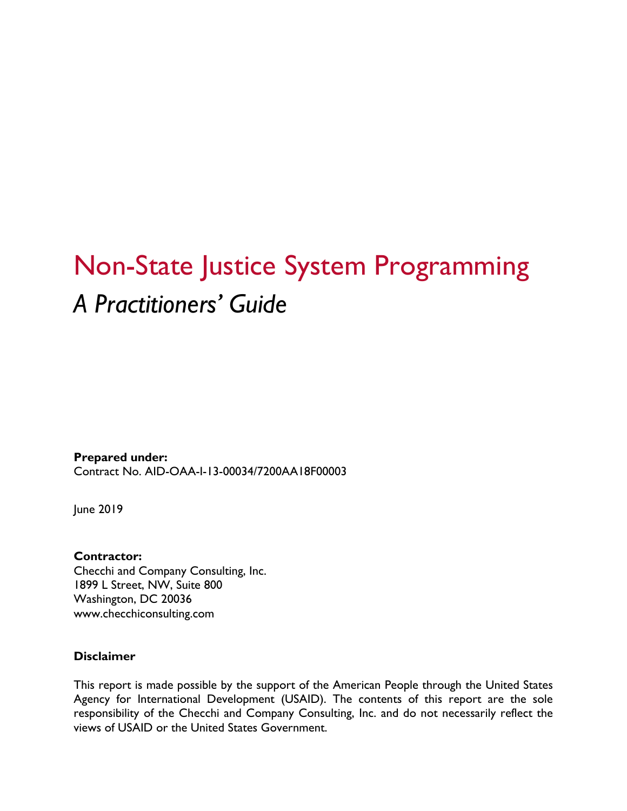# Non-State Justice System Programming *A Practitioners' Guide*

**Prepared under:** Contract No. AID-OAA-I-13-00034/7200AA18F00003

June 2019

**Contractor:** Checchi and Company Consulting, Inc. 1899 L Street, NW, Suite 800 Washington, DC 20036 www.checchiconsulting.com

#### **Disclaimer**

This report is made possible by the support of the American People through the United States Agency for International Development (USAID). The contents of this report are the sole responsibility of the Checchi and Company Consulting, Inc. and do not necessarily reflect the views of USAID or the United States Government.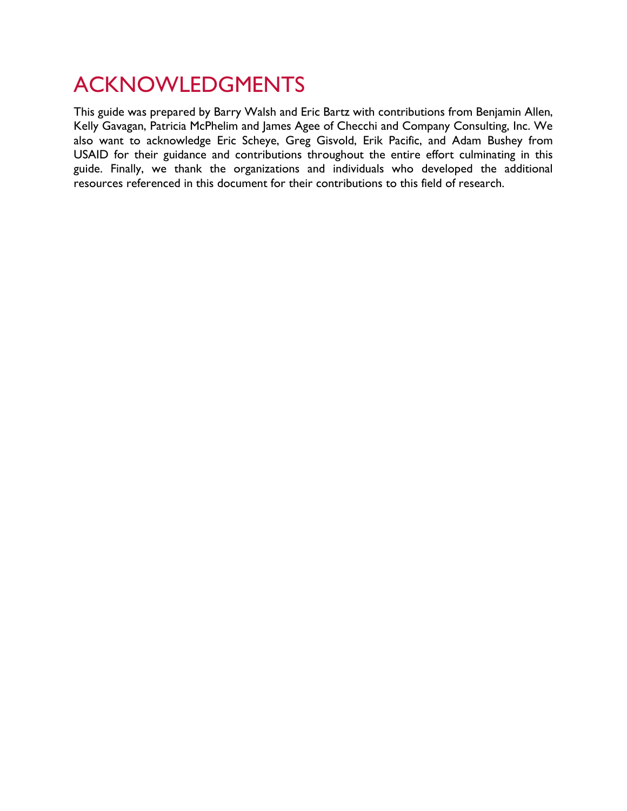## ACKNOWLEDGMENTS

This guide was prepared by Barry Walsh and Eric Bartz with contributions from Benjamin Allen, Kelly Gavagan, Patricia McPhelim and James Agee of Checchi and Company Consulting, Inc. We also want to acknowledge Eric Scheye, Greg Gisvold, Erik Pacific, and Adam Bushey from USAID for their guidance and contributions throughout the entire effort culminating in this guide. Finally, we thank the organizations and individuals who developed the additional resources referenced in this document for their contributions to this field of research.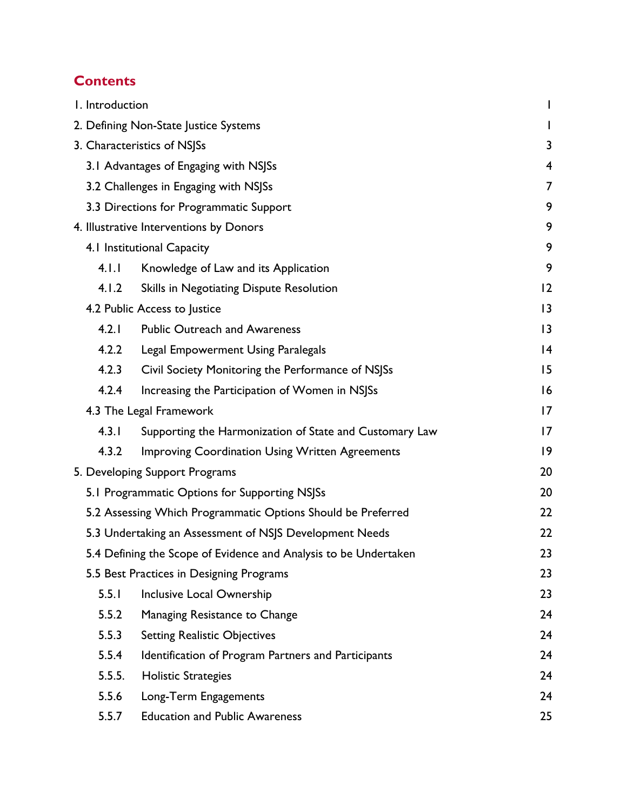## **Contents**

| I. Introduction                                              |                                                                  | L                       |
|--------------------------------------------------------------|------------------------------------------------------------------|-------------------------|
| 2. Defining Non-State Justice Systems                        |                                                                  |                         |
| 3. Characteristics of NSJSs                                  |                                                                  |                         |
|                                                              | 3.1 Advantages of Engaging with NSJSs                            | $\overline{\mathbf{4}}$ |
| 3.2 Challenges in Engaging with NSJSs                        |                                                                  | 7                       |
| 3.3 Directions for Programmatic Support                      |                                                                  | 9                       |
| 4. Illustrative Interventions by Donors                      |                                                                  | 9                       |
|                                                              | 4.1 Institutional Capacity                                       | 9                       |
| 4.1.1                                                        | Knowledge of Law and its Application                             | 9                       |
| 4.1.2                                                        | Skills in Negotiating Dispute Resolution                         | 12                      |
| 4.2 Public Access to Justice                                 |                                                                  | 3                       |
| 4.2.1                                                        | <b>Public Outreach and Awareness</b>                             | 13                      |
| 4.2.2                                                        | Legal Empowerment Using Paralegals                               | 4                       |
| 4.2.3                                                        | Civil Society Monitoring the Performance of NSJSs                | 15                      |
| 4.2.4                                                        | Increasing the Participation of Women in NSJSs                   | 16                      |
| 4.3 The Legal Framework                                      |                                                                  | 17                      |
| 4.3.1                                                        | Supporting the Harmonization of State and Customary Law          | $\overline{17}$         |
| 4.3.2                                                        | <b>Improving Coordination Using Written Agreements</b>           | 9                       |
| 5. Developing Support Programs                               |                                                                  | 20                      |
| 5.1 Programmatic Options for Supporting NSJSs                |                                                                  | 20                      |
| 5.2 Assessing Which Programmatic Options Should be Preferred |                                                                  | 22                      |
| 5.3 Undertaking an Assessment of NSJS Development Needs      |                                                                  | 22                      |
|                                                              | 5.4 Defining the Scope of Evidence and Analysis to be Undertaken | 23                      |
| 5.5 Best Practices in Designing Programs                     |                                                                  | 23                      |
| 5.5.1                                                        | Inclusive Local Ownership                                        | 23                      |
| 5.5.2                                                        | Managing Resistance to Change                                    | 24                      |
| 5.5.3                                                        | <b>Setting Realistic Objectives</b>                              | 24                      |
| 5.5.4                                                        | Identification of Program Partners and Participants              | 24                      |
| 5.5.5.                                                       | <b>Holistic Strategies</b>                                       | 24                      |
| 5.5.6                                                        | Long-Term Engagements                                            | 24                      |
| 5.5.7                                                        | <b>Education and Public Awareness</b>                            | 25                      |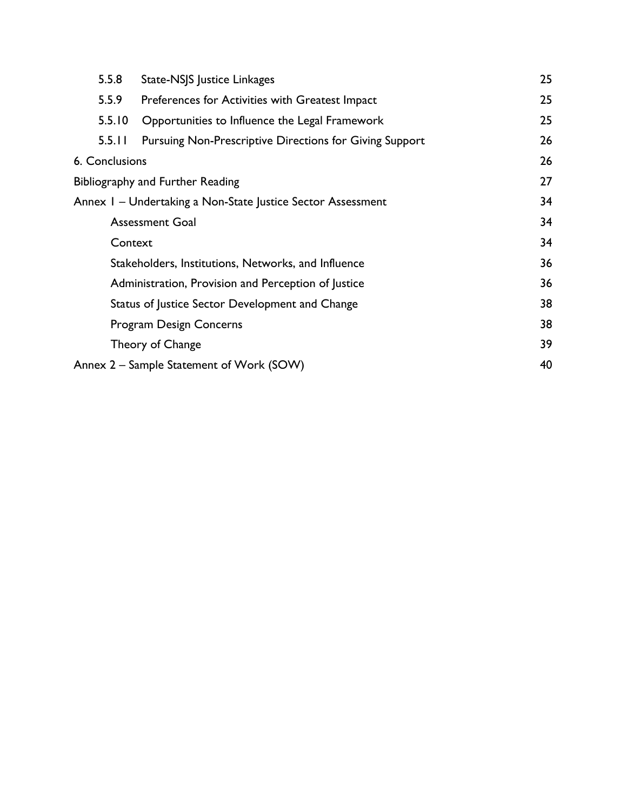|                                                             | 5.5.8  | State-NSJS Justice Linkages                             | 25 |
|-------------------------------------------------------------|--------|---------------------------------------------------------|----|
|                                                             | 5.5.9  | Preferences for Activities with Greatest Impact         | 25 |
|                                                             | 5.5.10 | Opportunities to Influence the Legal Framework          | 25 |
|                                                             | 5.5.11 | Pursuing Non-Prescriptive Directions for Giving Support | 26 |
| 6. Conclusions                                              |        |                                                         | 26 |
| <b>Bibliography and Further Reading</b>                     |        | 27                                                      |    |
| Annex I - Undertaking a Non-State Justice Sector Assessment |        | 34                                                      |    |
| <b>Assessment Goal</b>                                      |        | 34                                                      |    |
| Context                                                     |        | 34                                                      |    |
| Stakeholders, Institutions, Networks, and Influence         |        | 36                                                      |    |
| Administration, Provision and Perception of Justice         |        | 36                                                      |    |
| Status of Justice Sector Development and Change             |        | 38                                                      |    |
|                                                             |        | Program Design Concerns                                 | 38 |
|                                                             |        | Theory of Change                                        | 39 |
| Annex 2 – Sample Statement of Work (SOW)                    |        |                                                         | 40 |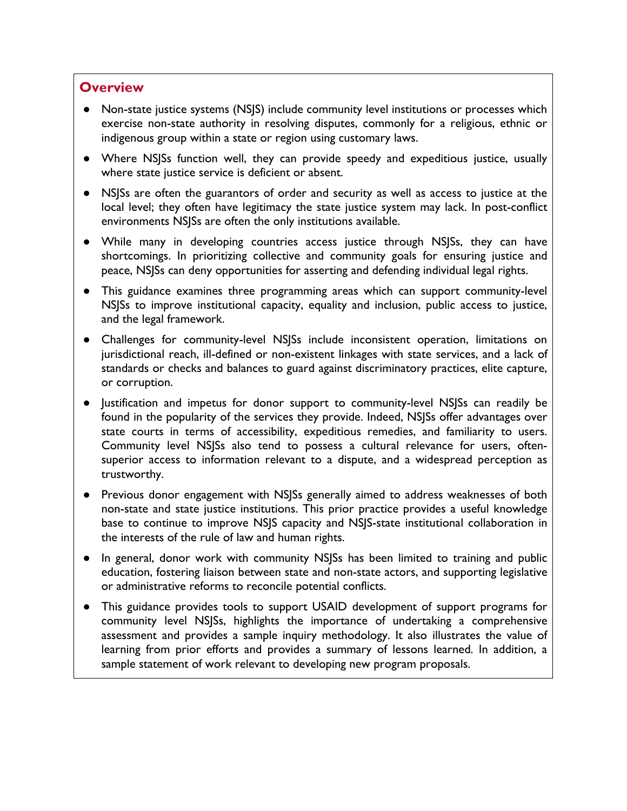## **Overview**

- Non-state justice systems (NSJS) include community level institutions or processes which exercise non-state authority in resolving disputes, commonly for a religious, ethnic or indigenous group within a state or region using customary laws.
- Where NSJSs function well, they can provide speedy and expeditious justice, usually where state justice service is deficient or absent.
- NSJSs are often the guarantors of order and security as well as access to justice at the local level; they often have legitimacy the state justice system may lack. In post-conflict environments NSJSs are often the only institutions available.
- While many in developing countries access justice through NSJSs, they can have shortcomings. In prioritizing collective and community goals for ensuring justice and peace, NSJSs can deny opportunities for asserting and defending individual legal rights.
- This guidance examines three programming areas which can support community-level NSJSs to improve institutional capacity, equality and inclusion, public access to justice, and the legal framework.
- Challenges for community-level NSJSs include inconsistent operation, limitations on jurisdictional reach, ill-defined or non-existent linkages with state services, and a lack of standards or checks and balances to guard against discriminatory practices, elite capture, or corruption.
- Justification and impetus for donor support to community-level NSJSs can readily be found in the popularity of the services they provide. Indeed, NSJSs offer advantages over state courts in terms of accessibility, expeditious remedies, and familiarity to users. Community level NSJSs also tend to possess a cultural relevance for users, oftensuperior access to information relevant to a dispute, and a widespread perception as trustworthy.
- Previous donor engagement with NSJSs generally aimed to address weaknesses of both non-state and state justice institutions. This prior practice provides a useful knowledge base to continue to improve NSJS capacity and NSJS-state institutional collaboration in the interests of the rule of law and human rights.
- In general, donor work with community NSJSs has been limited to training and public education, fostering liaison between state and non-state actors, and supporting legislative or administrative reforms to reconcile potential conflicts.
- This guidance provides tools to support USAID development of support programs for community level NSJSs, highlights the importance of undertaking a comprehensive assessment and provides a sample inquiry methodology. It also illustrates the value of learning from prior efforts and provides a summary of lessons learned. In addition, a sample statement of work relevant to developing new program proposals.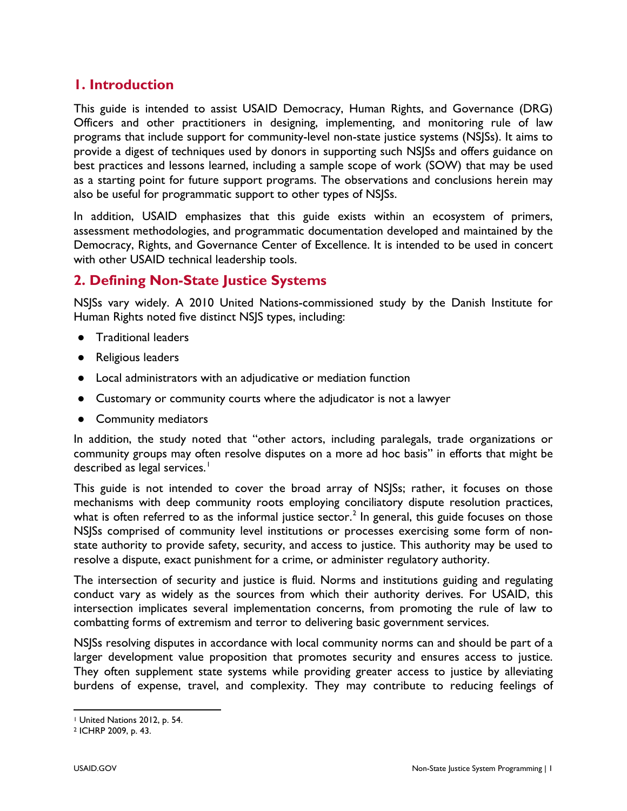## **1. Introduction**

This guide is intended to assist USAID Democracy, Human Rights, and Governance (DRG) Officers and other practitioners in designing, implementing, and monitoring rule of law programs that include support for community-level non-state justice systems (NSJSs). It aims to provide a digest of techniques used by donors in supporting such NSJSs and offers guidance on best practices and lessons learned, including a sample scope of work (SOW) that may be used as a starting point for future support programs. The observations and conclusions herein may also be useful for programmatic support to other types of NSJSs.

In addition, USAID emphasizes that this guide exists within an ecosystem of primers, assessment methodologies, and programmatic documentation developed and maintained by the Democracy, Rights, and Governance Center of Excellence. It is intended to be used in concert with other USAID technical leadership tools.

## <span id="page-6-0"></span>**2. Defining Non-State Justice Systems**

NSJSs vary widely. A 2010 United Nations-commissioned study by the Danish Institute for Human Rights noted five distinct NSJS types, including:

- Traditional leaders
- Religious leaders
- Local administrators with an adjudicative or mediation function
- Customary or community courts where the adjudicator is not a lawyer
- Community mediators

In addition, the study noted that "other actors, including paralegals, trade organizations or community groups may often resolve disputes on a more ad hoc basis" in efforts that might be described as legal services.<sup>[1](#page-6-1)</sup>

This guide is not intended to cover the broad array of NSJSs; rather, it focuses on those mechanisms with deep community roots employing conciliatory dispute resolution practices, what is often referred to as the informal justice sector.<sup>[2](#page-6-2)</sup> In general, this guide focuses on those NSJSs comprised of community level institutions or processes exercising some form of nonstate authority to provide safety, security, and access to justice. This authority may be used to resolve a dispute, exact punishment for a crime, or administer regulatory authority.

The intersection of security and justice is fluid. Norms and institutions guiding and regulating conduct vary as widely as the sources from which their authority derives. For USAID, this intersection implicates several implementation concerns, from promoting the rule of law to combatting forms of extremism and terror to delivering basic government services.

NSJSs resolving disputes in accordance with local community norms can and should be part of a larger development value proposition that promotes security and ensures access to justice. They often supplement state systems while providing greater access to justice by alleviating burdens of expense, travel, and complexity. They may contribute to reducing feelings of

 $\overline{a}$ 

<sup>1</sup> United Nations 2012, p. 54.

<span id="page-6-2"></span><span id="page-6-1"></span><sup>2</sup> ICHRP 2009, p. 43.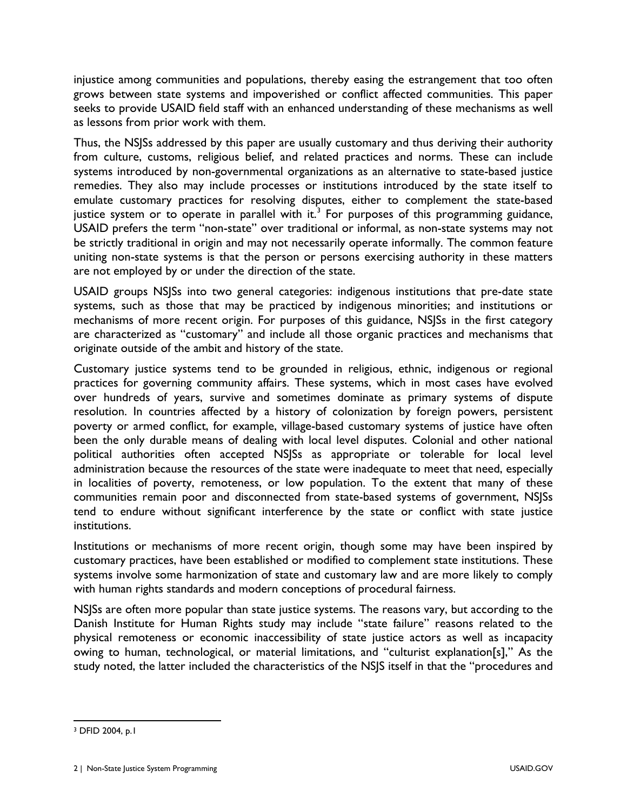injustice among communities and populations, thereby easing the estrangement that too often grows between state systems and impoverished or conflict affected communities. This paper seeks to provide USAID field staff with an enhanced understanding of these mechanisms as well as lessons from prior work with them.

Thus, the NSJSs addressed by this paper are usually customary and thus deriving their authority from culture, customs, religious belief, and related practices and norms. These can include systems introduced by non-governmental organizations as an alternative to state-based justice remedies. They also may include processes or institutions introduced by the state itself to emulate customary practices for resolving disputes, either to complement the state-based justice system or to operate in parallel with it.<sup>[3](#page-7-0)</sup> For purposes of this programming guidance, USAID prefers the term "non-state" over traditional or informal, as non-state systems may not be strictly traditional in origin and may not necessarily operate informally. The common feature uniting non-state systems is that the person or persons exercising authority in these matters are not employed by or under the direction of the state.

USAID groups NSJSs into two general categories: indigenous institutions that pre-date state systems, such as those that may be practiced by indigenous minorities; and institutions or mechanisms of more recent origin. For purposes of this guidance, NSJSs in the first category are characterized as "customary" and include all those organic practices and mechanisms that originate outside of the ambit and history of the state.

Customary justice systems tend to be grounded in religious, ethnic, indigenous or regional practices for governing community affairs. These systems, which in most cases have evolved over hundreds of years, survive and sometimes dominate as primary systems of dispute resolution. In countries affected by a history of colonization by foreign powers, persistent poverty or armed conflict, for example, village-based customary systems of justice have often been the only durable means of dealing with local level disputes. Colonial and other national political authorities often accepted NSJSs as appropriate or tolerable for local level administration because the resources of the state were inadequate to meet that need, especially in localities of poverty, remoteness, or low population. To the extent that many of these communities remain poor and disconnected from state-based systems of government, NSJSs tend to endure without significant interference by the state or conflict with state justice institutions.

Institutions or mechanisms of more recent origin, though some may have been inspired by customary practices, have been established or modified to complement state institutions. These systems involve some harmonization of state and customary law and are more likely to comply with human rights standards and modern conceptions of procedural fairness.

NSJSs are often more popular than state justice systems. The reasons vary, but according to the Danish Institute for Human Rights study may include "state failure" reasons related to the physical remoteness or economic inaccessibility of state justice actors as well as incapacity owing to human, technological, or material limitations, and "culturist explanation[s]," As the study noted, the latter included the characteristics of the NSJS itself in that the "procedures and

<span id="page-7-0"></span> $\overline{a}$ <sup>3</sup> DFID 2004, p.1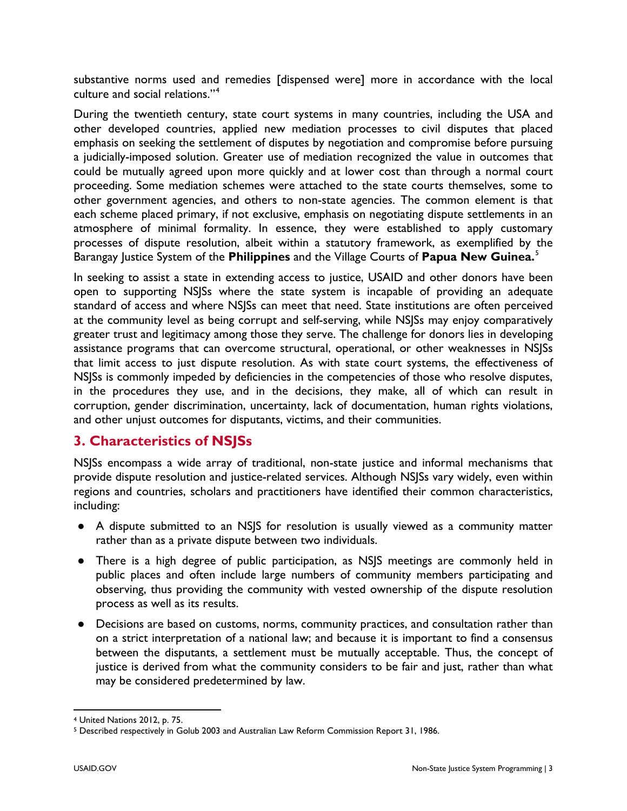substantive norms used and remedies [dispensed were] more in accordance with the local culture and social relations."[4](#page-8-1)

During the twentieth century, state court systems in many countries, including the USA and other developed countries, applied new mediation processes to civil disputes that placed emphasis on seeking the settlement of disputes by negotiation and compromise before pursuing a judicially-imposed solution. Greater use of mediation recognized the value in outcomes that could be mutually agreed upon more quickly and at lower cost than through a normal court proceeding. Some mediation schemes were attached to the state courts themselves, some to other government agencies, and others to non-state agencies. The common element is that each scheme placed primary, if not exclusive, emphasis on negotiating dispute settlements in an atmosphere of minimal formality. In essence, they were established to apply customary processes of dispute resolution, albeit within a statutory framework, as exemplified by the Barangay Justice System of the **Philippines** and the Village Courts of **Papua New Guinea.**[5](#page-8-2)

In seeking to assist a state in extending access to justice, USAID and other donors have been open to supporting NSJSs where the state system is incapable of providing an adequate standard of access and where NSJSs can meet that need. State institutions are often perceived at the community level as being corrupt and self-serving, while NSJSs may enjoy comparatively greater trust and legitimacy among those they serve. The challenge for donors lies in developing assistance programs that can overcome structural, operational, or other weaknesses in NSJSs that limit access to just dispute resolution. As with state court systems, the effectiveness of NSJSs is commonly impeded by deficiencies in the competencies of those who resolve disputes, in the procedures they use, and in the decisions, they make, all of which can result in corruption, gender discrimination, uncertainty, lack of documentation, human rights violations, and other unjust outcomes for disputants, victims, and their communities.

## <span id="page-8-0"></span>**3. Characteristics of NSJSs**

NSJSs encompass a wide array of traditional, non-state justice and informal mechanisms that provide dispute resolution and justice-related services. Although NSJSs vary widely, even within regions and countries, scholars and practitioners have identified their common characteristics, including:

- A dispute submitted to an NSJS for resolution is usually viewed as a community matter rather than as a private dispute between two individuals.
- There is a high degree of public participation, as NSJS meetings are commonly held in public places and often include large numbers of community members participating and observing, thus providing the community with vested ownership of the dispute resolution process as well as its results.
- Decisions are based on customs, norms, community practices, and consultation rather than on a strict interpretation of a national law; and because it is important to find a consensus between the disputants, a settlement must be mutually acceptable. Thus, the concept of justice is derived from what the community considers to be fair and just, rather than what may be considered predetermined by law.

 $\overline{a}$ <sup>4</sup> United Nations 2012, p. 75.

<span id="page-8-2"></span><span id="page-8-1"></span><sup>5</sup> Described respectively in Golub 2003 and Australian Law Reform Commission Report 31, 1986.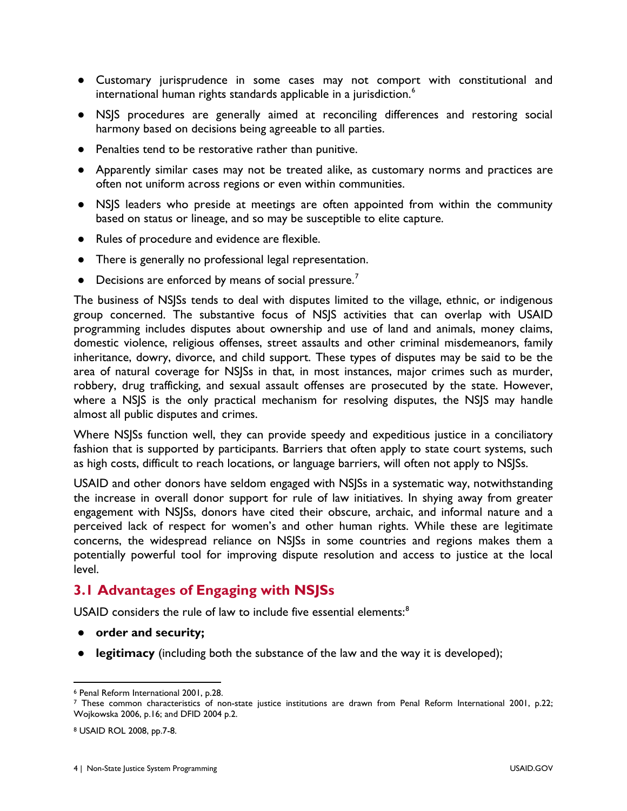- Customary jurisprudence in some cases may not comport with constitutional and international human rights standards applicable in a jurisdiction.<sup>[6](#page-9-1)</sup>
- NSJS procedures are generally aimed at reconciling differences and restoring social harmony based on decisions being agreeable to all parties.
- Penalties tend to be restorative rather than punitive.
- Apparently similar cases may not be treated alike, as customary norms and practices are often not uniform across regions or even within communities.
- NSJS leaders who preside at meetings are often appointed from within the community based on status or lineage, and so may be susceptible to elite capture.
- Rules of procedure and evidence are flexible.
- There is generally no professional legal representation.
- Decisions are enforced by means of social pressure.<sup>[7](#page-9-2)</sup>

The business of NSJSs tends to deal with disputes limited to the village, ethnic, or indigenous group concerned. The substantive focus of NSJS activities that can overlap with USAID programming includes disputes about ownership and use of land and animals, money claims, domestic violence, religious offenses, street assaults and other criminal misdemeanors, family inheritance, dowry, divorce, and child support. These types of disputes may be said to be the area of natural coverage for NSJSs in that, in most instances, major crimes such as murder, robbery, drug trafficking, and sexual assault offenses are prosecuted by the state. However, where a NSJS is the only practical mechanism for resolving disputes, the NSJS may handle almost all public disputes and crimes.

Where NSJSs function well, they can provide speedy and expeditious justice in a conciliatory fashion that is supported by participants. Barriers that often apply to state court systems, such as high costs, difficult to reach locations, or language barriers, will often not apply to NSJSs.

USAID and other donors have seldom engaged with NSJSs in a systematic way, notwithstanding the increase in overall donor support for rule of law initiatives. In shying away from greater engagement with NSJSs, donors have cited their obscure, archaic, and informal nature and a perceived lack of respect for women's and other human rights. While these are legitimate concerns, the widespread reliance on NSJSs in some countries and regions makes them a potentially powerful tool for improving dispute resolution and access to justice at the local level.

## <span id="page-9-0"></span>**3.1 Advantages of Engaging with NSJSs**

USAID considers the rule of law to include five essential elements:<sup>[8](#page-9-3)</sup>

- **order and security;**
- **legitimacy** (including both the substance of the law and the way it is developed);

 $\overline{a}$ <sup>6</sup> Penal Reform International 2001, p.28.

<span id="page-9-2"></span><span id="page-9-1"></span><sup>7</sup> These common characteristics of non-state justice institutions are drawn from Penal Reform International 2001, p.22; Wojkowska 2006, p.16; and DFID 2004 p.2.

<span id="page-9-3"></span><sup>8</sup> USAID ROL 2008, pp.7-8.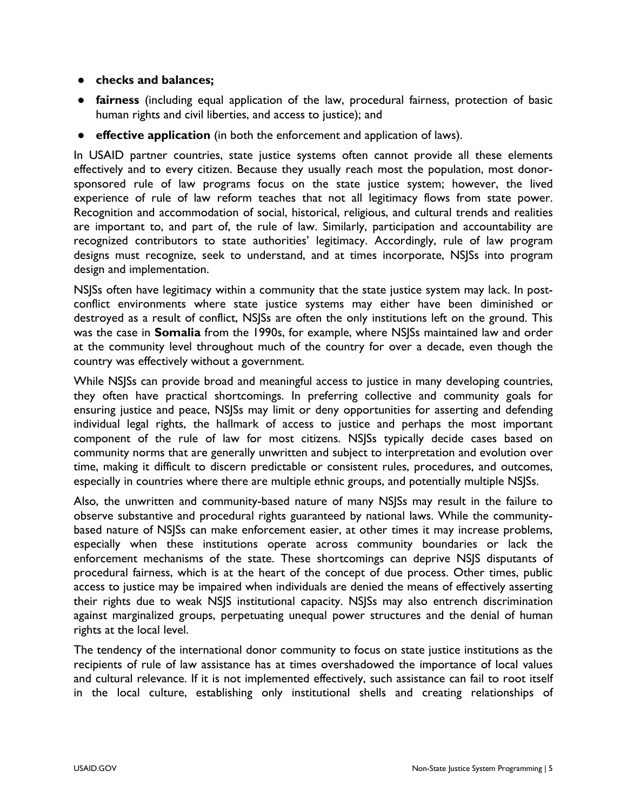#### ● **checks and balances;**

- **fairness** (including equal application of the law, procedural fairness, protection of basic human rights and civil liberties, and access to justice); and
- **effective application** (in both the enforcement and application of laws).

In USAID partner countries, state justice systems often cannot provide all these elements effectively and to every citizen. Because they usually reach most the population, most donorsponsored rule of law programs focus on the state justice system; however, the lived experience of rule of law reform teaches that not all legitimacy flows from state power. Recognition and accommodation of social, historical, religious, and cultural trends and realities are important to, and part of, the rule of law. Similarly, participation and accountability are recognized contributors to state authorities' legitimacy. Accordingly, rule of law program designs must recognize, seek to understand, and at times incorporate, NSJSs into program design and implementation.

NSJSs often have legitimacy within a community that the state justice system may lack. In postconflict environments where state justice systems may either have been diminished or destroyed as a result of conflict, NSJSs are often the only institutions left on the ground. This was the case in **Somalia** from the 1990s, for example, where NSJSs maintained law and order at the community level throughout much of the country for over a decade, even though the country was effectively without a government.

While NSJSs can provide broad and meaningful access to justice in many developing countries, they often have practical shortcomings. In preferring collective and community goals for ensuring justice and peace, NSJSs may limit or deny opportunities for asserting and defending individual legal rights, the hallmark of access to justice and perhaps the most important component of the rule of law for most citizens. NSJSs typically decide cases based on community norms that are generally unwritten and subject to interpretation and evolution over time, making it difficult to discern predictable or consistent rules, procedures, and outcomes, especially in countries where there are multiple ethnic groups, and potentially multiple NSJSs.

Also, the unwritten and community-based nature of many NSJSs may result in the failure to observe substantive and procedural rights guaranteed by national laws. While the communitybased nature of NSJSs can make enforcement easier, at other times it may increase problems, especially when these institutions operate across community boundaries or lack the enforcement mechanisms of the state. These shortcomings can deprive NSJS disputants of procedural fairness, which is at the heart of the concept of due process. Other times, public access to justice may be impaired when individuals are denied the means of effectively asserting their rights due to weak NSJS institutional capacity. NSJSs may also entrench discrimination against marginalized groups, perpetuating unequal power structures and the denial of human rights at the local level.

The tendency of the international donor community to focus on state justice institutions as the recipients of rule of law assistance has at times overshadowed the importance of local values and cultural relevance. If it is not implemented effectively, such assistance can fail to root itself in the local culture, establishing only institutional shells and creating relationships of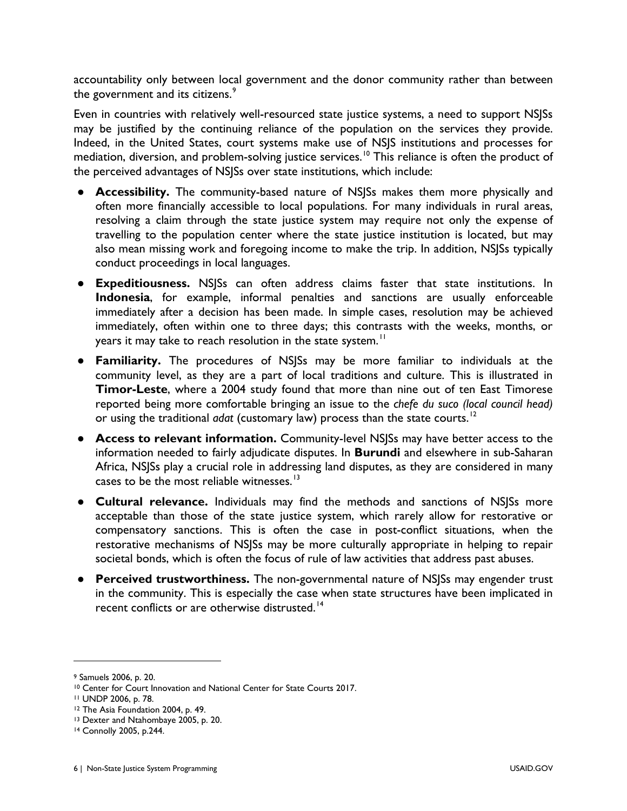accountability only between local government and the donor community rather than between the government and its citizens.<sup>[9](#page-11-0)</sup>

Even in countries with relatively well-resourced state justice systems, a need to support NSJSs may be justified by the continuing reliance of the population on the services they provide. Indeed, in the United States, court systems make use of NSJS institutions and processes for mediation, diversion, and problem-solving justice services.<sup>[10](#page-11-1)</sup> This reliance is often the product of the perceived advantages of NSJSs over state institutions, which include:

- **Accessibility.** The community-based nature of NSJSs makes them more physically and often more financially accessible to local populations. For many individuals in rural areas, resolving a claim through the state justice system may require not only the expense of travelling to the population center where the state justice institution is located, but may also mean missing work and foregoing income to make the trip. In addition, NSJSs typically conduct proceedings in local languages.
- **Expeditiousness.** NSJSs can often address claims faster that state institutions. In **Indonesia**, for example, informal penalties and sanctions are usually enforceable immediately after a decision has been made. In simple cases, resolution may be achieved immediately, often within one to three days; this contrasts with the weeks, months, or years it may take to reach resolution in the state system.<sup>[11](#page-11-2)</sup>
- **Familiarity.** The procedures of NSJSs may be more familiar to individuals at the community level, as they are a part of local traditions and culture. This is illustrated in **Timor-Leste**, where a 2004 study found that more than nine out of ten East Timorese reported being more comfortable bringing an issue to the *chefe du suco (local council head)*  or using the traditional *adat* (customary law) process than the state courts.<sup>[12](#page-11-3)</sup>
- **Access to relevant information.** Community-level NSJSs may have better access to the information needed to fairly adjudicate disputes. In **Burundi** and elsewhere in sub-Saharan Africa, NSJSs play a crucial role in addressing land disputes, as they are considered in many cases to be the most reliable witnesses.<sup>[13](#page-11-4)</sup>
- **Cultural relevance.** Individuals may find the methods and sanctions of NSJSs more acceptable than those of the state justice system, which rarely allow for restorative or compensatory sanctions. This is often the case in post-conflict situations, when the restorative mechanisms of NSJSs may be more culturally appropriate in helping to repair societal bonds, which is often the focus of rule of law activities that address past abuses.
- **Perceived trustworthiness.** The non-governmental nature of NSJSs may engender trust in the community. This is especially the case when state structures have been implicated in recent conflicts or are otherwise distrusted.<sup>[14](#page-11-5)</sup>

 $\overline{a}$ 

<span id="page-11-0"></span><sup>9</sup> Samuels 2006, p. 20.

<span id="page-11-1"></span><sup>10</sup> Center for Court Innovation and National Center for State Courts 2017.

<span id="page-11-2"></span><sup>11</sup> UNDP 2006, p. 78.

<span id="page-11-3"></span><sup>12</sup> The Asia Foundation 2004, p. 49.

<span id="page-11-4"></span><sup>&</sup>lt;sup>13</sup> Dexter and Ntahombaye 2005, p. 20.

<span id="page-11-5"></span><sup>14</sup> Connolly 2005, p.244.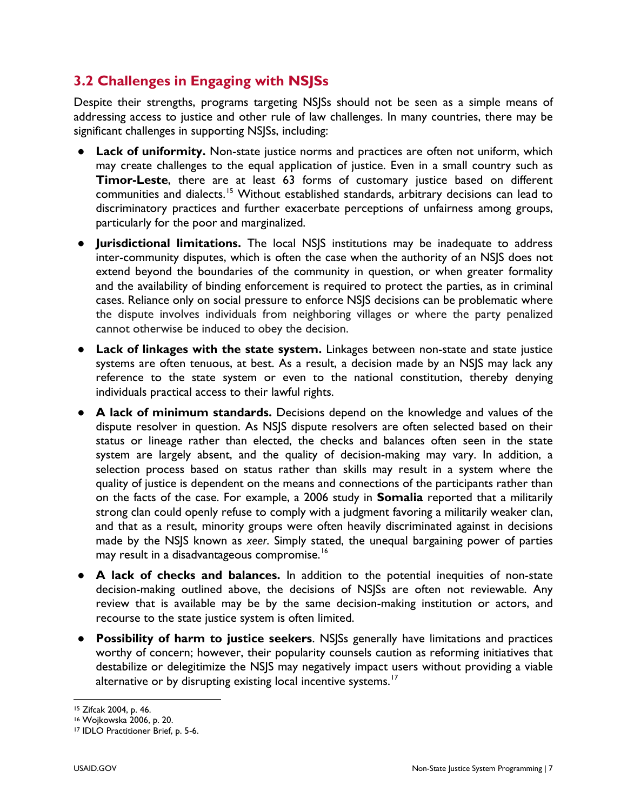## <span id="page-12-0"></span>**3.2 Challenges in Engaging with NSJSs**

Despite their strengths, programs targeting NSJSs should not be seen as a simple means of addressing access to justice and other rule of law challenges. In many countries, there may be significant challenges in supporting NSJSs, including:

- **Lack of uniformity.** Non-state justice norms and practices are often not uniform, which may create challenges to the equal application of justice. Even in a small country such as **Timor-Leste**, there are at least 63 forms of customary justice based on different communities and dialects.<sup>[15](#page-12-1)</sup> Without established standards, arbitrary decisions can lead to discriminatory practices and further exacerbate perceptions of unfairness among groups, particularly for the poor and marginalized.
- **Jurisdictional limitations.** The local NSJS institutions may be inadequate to address inter-community disputes, which is often the case when the authority of an NSJS does not extend beyond the boundaries of the community in question, or when greater formality and the availability of binding enforcement is required to protect the parties, as in criminal cases. Reliance only on social pressure to enforce NSJS decisions can be problematic where the dispute involves individuals from neighboring villages or where the party penalized cannot otherwise be induced to obey the decision.
- **Lack of linkages with the state system.** Linkages between non-state and state justice systems are often tenuous, at best. As a result, a decision made by an NSJS may lack any reference to the state system or even to the national constitution, thereby denying individuals practical access to their lawful rights.
- **A lack of minimum standards.** Decisions depend on the knowledge and values of the dispute resolver in question. As NSJS dispute resolvers are often selected based on their status or lineage rather than elected, the checks and balances often seen in the state system are largely absent, and the quality of decision-making may vary. In addition, a selection process based on status rather than skills may result in a system where the quality of justice is dependent on the means and connections of the participants rather than on the facts of the case. For example, a 2006 study in **Somalia** reported that a militarily strong clan could openly refuse to comply with a judgment favoring a militarily weaker clan, and that as a result, minority groups were often heavily discriminated against in decisions made by the NSJS known as *xeer*. Simply stated, the unequal bargaining power of parties may result in a disadvantageous compromise.<sup>[16](#page-12-2)</sup>
- **A lack of checks and balances.** In addition to the potential inequities of non-state decision-making outlined above, the decisions of NSJSs are often not reviewable. Any review that is available may be by the same decision-making institution or actors, and recourse to the state justice system is often limited.
- **Possibility of harm to justice seekers**. NSJSs generally have limitations and practices worthy of concern; however, their popularity counsels caution as reforming initiatives that destabilize or delegitimize the NSJS may negatively impact users without providing a viable alternative or by disrupting existing local incentive systems.<sup>[17](#page-12-3)</sup>

<span id="page-12-1"></span><sup>&</sup>lt;sup>15</sup> Zifcak 2004, p. 46.

<span id="page-12-2"></span><sup>&</sup>lt;sup>16</sup> Wojkowska 2006, p. 20.

<span id="page-12-3"></span><sup>17</sup> IDLO Practitioner Brief, p. 5-6.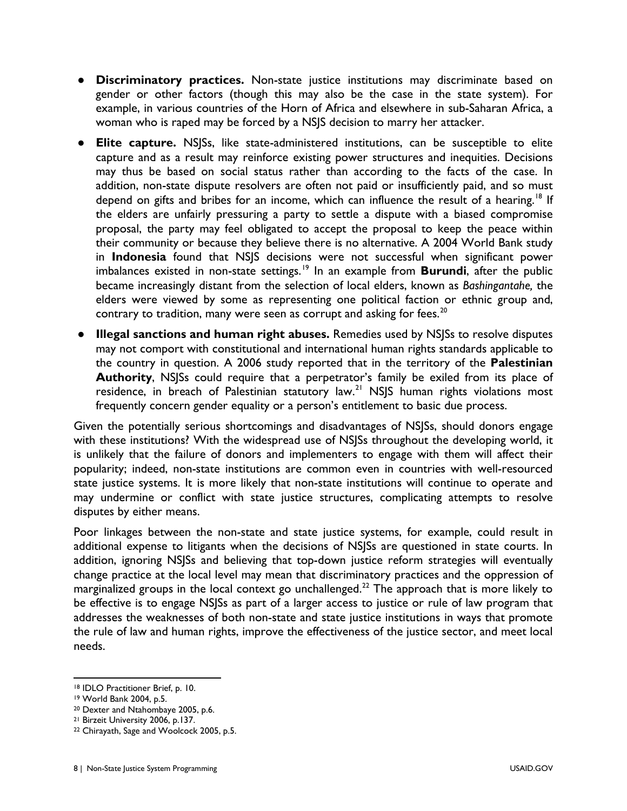- **Discriminatory practices.** Non-state justice institutions may discriminate based on gender or other factors (though this may also be the case in the state system). For example, in various countries of the Horn of Africa and elsewhere in sub-Saharan Africa, a woman who is raped may be forced by a NSJS decision to marry her attacker.
- **Elite capture.** NSJSs, like state-administered institutions, can be susceptible to elite capture and as a result may reinforce existing power structures and inequities. Decisions may thus be based on social status rather than according to the facts of the case. In addition, non-state dispute resolvers are often not paid or insufficiently paid, and so must depend on gifts and bribes for an income, which can influence the result of a hearing.<sup>[18](#page-13-0)</sup> If the elders are unfairly pressuring a party to settle a dispute with a biased compromise proposal, the party may feel obligated to accept the proposal to keep the peace within their community or because they believe there is no alternative. A 2004 World Bank study in **Indonesia** found that NSJS decisions were not successful when significant power imbalances existed in non-state settings.<sup>[19](#page-13-1)</sup> In an example from **Burundi**, after the public became increasingly distant from the selection of local elders, known as *Bashingantahe,* the elders were viewed by some as representing one political faction or ethnic group and, contrary to tradition, many were seen as corrupt and asking for fees.<sup>[20](#page-13-2)</sup>
- **Illegal sanctions and human right abuses.** Remedies used by NSJSs to resolve disputes may not comport with constitutional and international human rights standards applicable to the country in question. A 2006 study reported that in the territory of the **Palestinian Authority**, NSJSs could require that a perpetrator's family be exiled from its place of residence, in breach of Palestinian statutory law.<sup>[21](#page-13-3)</sup> NSJS human rights violations most frequently concern gender equality or a person's entitlement to basic due process.

Given the potentially serious shortcomings and disadvantages of NSJSs, should donors engage with these institutions? With the widespread use of NSJSs throughout the developing world, it is unlikely that the failure of donors and implementers to engage with them will affect their popularity; indeed, non-state institutions are common even in countries with well-resourced state justice systems. It is more likely that non-state institutions will continue to operate and may undermine or conflict with state justice structures, complicating attempts to resolve disputes by either means.

Poor linkages between the non-state and state justice systems, for example, could result in additional expense to litigants when the decisions of NSJSs are questioned in state courts. In addition, ignoring NSJSs and believing that top-down justice reform strategies will eventually change practice at the local level may mean that discriminatory practices and the oppression of marginalized groups in the local context go unchallenged.<sup>[22](#page-13-4)</sup> The approach that is more likely to be effective is to engage NSJSs as part of a larger access to justice or rule of law program that addresses the weaknesses of both non-state and state justice institutions in ways that promote the rule of law and human rights, improve the effectiveness of the justice sector, and meet local needs.

 $\overline{a}$ <sup>18</sup> IDLO Practitioner Brief, p. 10.

<span id="page-13-1"></span><span id="page-13-0"></span><sup>19</sup> World Bank 2004, p.5. 20 Dexter and Ntahombaye 2005, p.6.

<span id="page-13-3"></span><span id="page-13-2"></span><sup>21</sup> Birzeit University 2006, p.137.

<span id="page-13-4"></span><sup>22</sup> Chirayath, Sage and Woolcock 2005, p.5.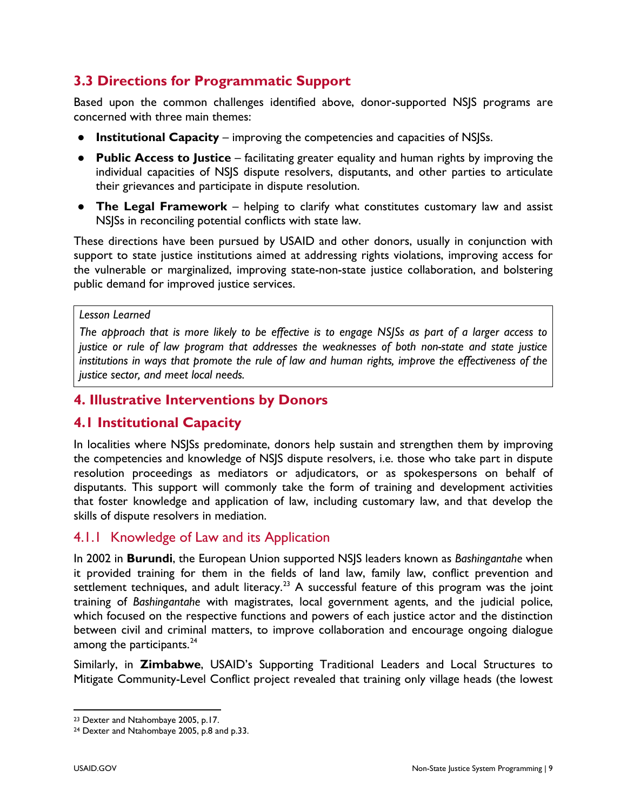## <span id="page-14-0"></span>**3.3 Directions for Programmatic Support**

Based upon the common challenges identified above, donor-supported NSJS programs are concerned with three main themes:

- **Institutional Capacity**  improving the competencies and capacities of NSJSs.
- **Public Access to Justice** facilitating greater equality and human rights by improving the individual capacities of NSJS dispute resolvers, disputants, and other parties to articulate their grievances and participate in dispute resolution.
- **The Legal Framework** helping to clarify what constitutes customary law and assist NSJSs in reconciling potential conflicts with state law.

These directions have been pursued by USAID and other donors, usually in conjunction with support to state justice institutions aimed at addressing rights violations, improving access for the vulnerable or marginalized, improving state-non-state justice collaboration, and bolstering public demand for improved justice services.

#### *Lesson Learned*

*The approach that is more likely to be effective is to engage NSJSs as part of a larger access to justice or rule of law program that addresses the weaknesses of both non-state and state justice institutions in ways that promote the rule of law and human rights, improve the effectiveness of the justice sector, and meet local needs.*

## <span id="page-14-1"></span>**4. Illustrative Interventions by Donors**

## <span id="page-14-2"></span>**4.1 Institutional Capacity**

In localities where NSJSs predominate, donors help sustain and strengthen them by improving the competencies and knowledge of NSJS dispute resolvers, i.e. those who take part in dispute resolution proceedings as mediators or adjudicators, or as spokespersons on behalf of disputants. This support will commonly take the form of training and development activities that foster knowledge and application of law, including customary law, and that develop the skills of dispute resolvers in mediation.

## <span id="page-14-3"></span>4.1.1 Knowledge of Law and its Application

In 2002 in **Burundi**, the European Union supported NSJS leaders known as *Bashingantahe* when it provided training for them in the fields of land law, family law, conflict prevention and settlement techniques, and adult literacy.<sup>[23](#page-14-4)</sup> A successful feature of this program was the joint training of *Bashingantahe* with magistrates, local government agents, and the judicial police, which focused on the respective functions and powers of each justice actor and the distinction between civil and criminal matters, to improve collaboration and encourage ongoing dialogue among the participants.<sup>[24](#page-14-5)</sup>

Similarly, in **Zimbabwe**, USAID's Supporting Traditional Leaders and Local Structures to Mitigate Community-Level Conflict project revealed that training only village heads (the lowest

 $\overline{a}$ <sup>23</sup> Dexter and Ntahombaye 2005, p.17.

<span id="page-14-5"></span><span id="page-14-4"></span><sup>24</sup> Dexter and Ntahombaye 2005, p.8 and p.33.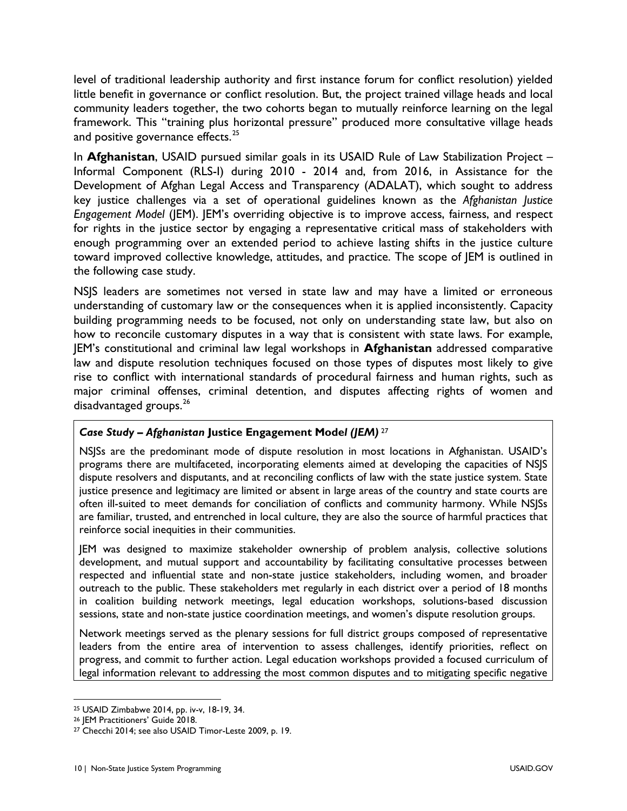level of traditional leadership authority and first instance forum for conflict resolution) yielded little benefit in governance or conflict resolution. But, the project trained village heads and local community leaders together, the two cohorts began to mutually reinforce learning on the legal framework. This "training plus horizontal pressure" produced more consultative village heads and positive governance effects.<sup>[25](#page-15-0)</sup>

In **Afghanistan**, USAID pursued similar goals in its USAID Rule of Law Stabilization Project – Informal Component (RLS-I) during 2010 - 2014 and, from 2016, in Assistance for the Development of Afghan Legal Access and Transparency (ADALAT), which sought to address key justice challenges via a set of operational guidelines known as the *Afghanistan Justice Engagement Model* (JEM). JEM's overriding objective is to improve access, fairness, and respect for rights in the justice sector by engaging a representative critical mass of stakeholders with enough programming over an extended period to achieve lasting shifts in the justice culture toward improved collective knowledge, attitudes, and practice. The scope of JEM is outlined in the following case study.

NSJS leaders are sometimes not versed in state law and may have a limited or erroneous understanding of customary law or the consequences when it is applied inconsistently. Capacity building programming needs to be focused, not only on understanding state law, but also on how to reconcile customary disputes in a way that is consistent with state laws. For example, JEM's constitutional and criminal law legal workshops in **Afghanistan** addressed comparative law and dispute resolution techniques focused on those types of disputes most likely to give rise to conflict with international standards of procedural fairness and human rights, such as major criminal offenses, criminal detention, and disputes affecting rights of women and disadvantaged groups.<sup>[26](#page-15-1)</sup>

#### *Case Study – Afghanistan* **Justice Engagement Mode***l (JEM)* [27](#page-15-2)

NSJSs are the predominant mode of dispute resolution in most locations in Afghanistan. USAID's programs there are multifaceted, incorporating elements aimed at developing the capacities of NSJS dispute resolvers and disputants, and at reconciling conflicts of law with the state justice system. State justice presence and legitimacy are limited or absent in large areas of the country and state courts are often ill-suited to meet demands for conciliation of conflicts and community harmony. While NSJSs are familiar, trusted, and entrenched in local culture, they are also the source of harmful practices that reinforce social inequities in their communities.

JEM was designed to maximize stakeholder ownership of problem analysis, collective solutions development, and mutual support and accountability by facilitating consultative processes between respected and influential state and non-state justice stakeholders, including women, and broader outreach to the public. These stakeholders met regularly in each district over a period of 18 months in coalition building network meetings, legal education workshops, solutions-based discussion sessions, state and non-state justice coordination meetings, and women's dispute resolution groups.

Network meetings served as the plenary sessions for full district groups composed of representative leaders from the entire area of intervention to assess challenges, identify priorities, reflect on progress, and commit to further action. Legal education workshops provided a focused curriculum of legal information relevant to addressing the most common disputes and to mitigating specific negative

 $\overline{a}$ <sup>25</sup> USAID Zimbabwe 2014, pp. iv-v, 18-19, 34.

<span id="page-15-1"></span><span id="page-15-0"></span><sup>26</sup> JEM Practitioners' Guide 2018.

<span id="page-15-2"></span><sup>27</sup> Checchi 2014; see also USAID Timor-Leste 2009, p. 19.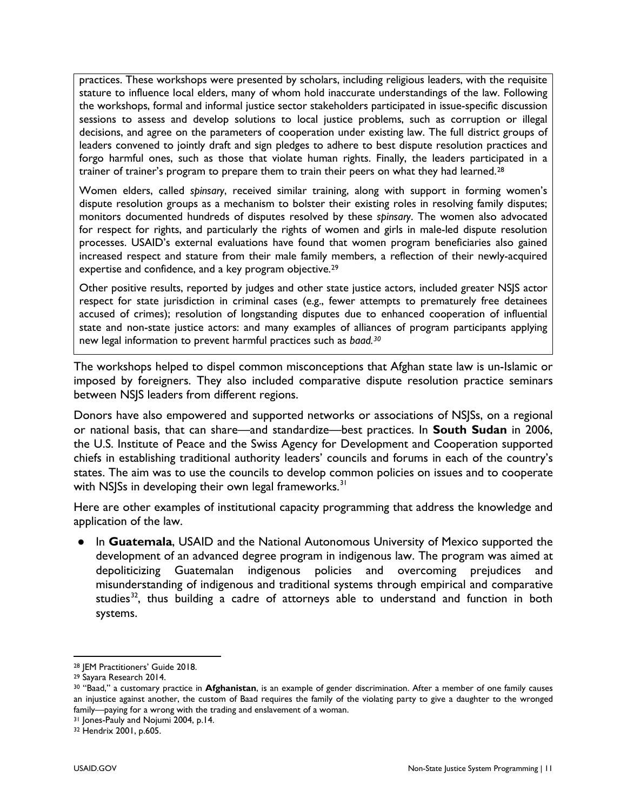practices. These workshops were presented by scholars, including religious leaders, with the requisite stature to influence local elders, many of whom hold inaccurate understandings of the law. Following the workshops, formal and informal justice sector stakeholders participated in issue-specific discussion sessions to assess and develop solutions to local justice problems, such as corruption or illegal decisions, and agree on the parameters of cooperation under existing law. The full district groups of leaders convened to jointly draft and sign pledges to adhere to best dispute resolution practices and forgo harmful ones, such as those that violate human rights. Finally, the leaders participated in a trainer of trainer's program to prepare them to train their peers on what they had learned.<sup>[28](#page-16-0)</sup>

Women elders, called *spinsary*, received similar training, along with support in forming women's dispute resolution groups as a mechanism to bolster their existing roles in resolving family disputes; monitors documented hundreds of disputes resolved by these *spinsary*. The women also advocated for respect for rights, and particularly the rights of women and girls in male-led dispute resolution processes. USAID's external evaluations have found that women program beneficiaries also gained increased respect and stature from their male family members, a reflection of their newly-acquired expertise and confidence, and a key program objective.<sup>[29](#page-16-1)</sup>

Other positive results, reported by judges and other state justice actors, included greater NSJS actor respect for state jurisdiction in criminal cases (e.g., fewer attempts to prematurely free detainees accused of crimes); resolution of longstanding disputes due to enhanced cooperation of influential state and non-state justice actors: and many examples of alliances of program participants applying new legal information to prevent harmful practices such as *baad.[30](#page-16-2)*

The workshops helped to dispel common misconceptions that Afghan state law is un-Islamic or imposed by foreigners. They also included comparative dispute resolution practice seminars between NSJS leaders from different regions.

Donors have also empowered and supported networks or associations of NSJSs, on a regional or national basis, that can share—and standardize—best practices. In **South Sudan** in 2006, the U.S. Institute of Peace and the Swiss Agency for Development and Cooperation supported chiefs in establishing traditional authority leaders' councils and forums in each of the country's states. The aim was to use the councils to develop common policies on issues and to cooperate with NSJSs in developing their own legal frameworks.<sup>[31](#page-16-3)</sup>

Here are other examples of institutional capacity programming that address the knowledge and application of the law.

**•** In **Guatemala**, USAID and the National Autonomous University of Mexico supported the development of an advanced degree program in indigenous law. The program was aimed at depoliticizing Guatemalan indigenous policies and overcoming prejudices and misunderstanding of indigenous and traditional systems through empirical and comparative studies<sup>32</sup>, thus building a cadre of attorneys able to understand and function in both systems.

 $\overline{a}$ <sup>28</sup> JEM Practitioners' Guide 2018.

<span id="page-16-1"></span><span id="page-16-0"></span><sup>29</sup> Sayara Research 2014.

<span id="page-16-2"></span><sup>30</sup> "Baad," a customary practice in **Afghanistan**, is an example of gender discrimination. After a member of one family causes an injustice against another, the custom of Baad requires the family of the violating party to give a daughter to the wronged family—paying for a wrong with the trading and enslavement of a woman.<br><sup>31</sup> Jones-Pauly and Nojumi 2004, p.14.

<span id="page-16-4"></span><span id="page-16-3"></span><sup>32</sup> Hendrix 2001, p.605.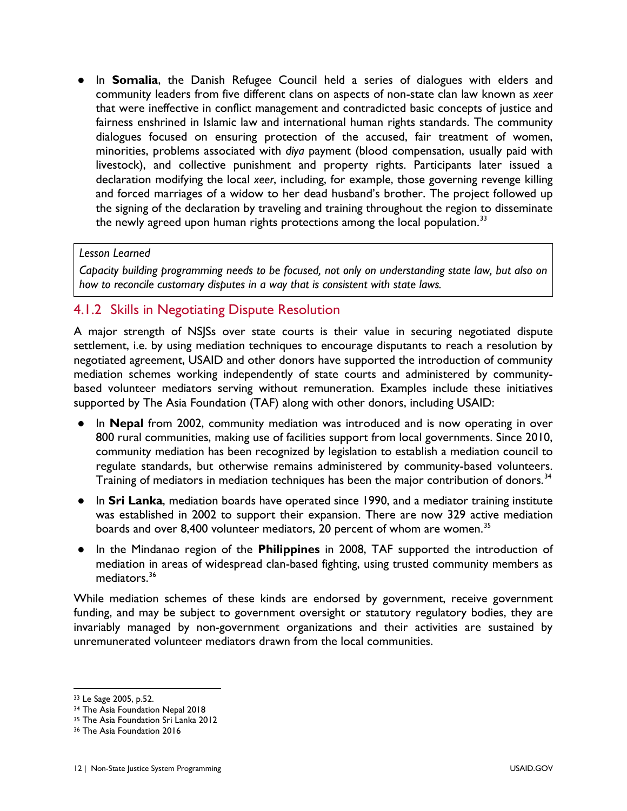● In **Somalia**, the Danish Refugee Council held a series of dialogues with elders and community leaders from five different clans on aspects of non-state clan law known as *xeer* that were ineffective in conflict management and contradicted basic concepts of justice and fairness enshrined in Islamic law and international human rights standards. The community dialogues focused on ensuring protection of the accused, fair treatment of women, minorities, problems associated with *diya* payment (blood compensation, usually paid with livestock), and collective punishment and property rights. Participants later issued a declaration modifying the local *xeer*, including, for example, those governing revenge killing and forced marriages of a widow to her dead husband's brother. The project followed up the signing of the declaration by traveling and training throughout the region to disseminate the newly agreed upon human rights protections among the local population.<sup>[33](#page-17-1)</sup>

#### *Lesson Learned*

*Capacity building programming needs to be focused, not only on understanding state law, but also on how to reconcile customary disputes in a way that is consistent with state laws.*

## <span id="page-17-0"></span>4.1.2 Skills in Negotiating Dispute Resolution

A major strength of NSJSs over state courts is their value in securing negotiated dispute settlement, i.e. by using mediation techniques to encourage disputants to reach a resolution by negotiated agreement, USAID and other donors have supported the introduction of community mediation schemes working independently of state courts and administered by communitybased volunteer mediators serving without remuneration. Examples include these initiatives supported by The Asia Foundation (TAF) along with other donors, including USAID:

- In **Nepal** from 2002, community mediation was introduced and is now operating in over 800 rural communities, making use of facilities support from local governments. Since 2010, community mediation has been recognized by legislation to establish a mediation council to regulate standards, but otherwise remains administered by community-based volunteers. Training of mediators in mediation techniques has been the major contribution of donors.<sup>[34](#page-17-2)</sup>
- In **Sri Lanka**, mediation boards have operated since 1990, and a mediator training institute was established in 2002 to support their expansion. There are now 329 active mediation boards and over 8,400 volunteer mediators, 20 percent of whom are women.<sup>[35](#page-17-3)</sup>
- In the Mindanao region of the **Philippines** in 2008, TAF supported the introduction of mediation in areas of widespread clan-based fighting, using trusted community members as mediators.<sup>[36](#page-17-4)</sup>

While mediation schemes of these kinds are endorsed by government, receive government funding, and may be subject to government oversight or statutory regulatory bodies, they are invariably managed by non-government organizations and their activities are sustained by unremunerated volunteer mediators drawn from the local communities.

 $\overline{a}$ 

<sup>33</sup> Le Sage 2005, p.52.

<span id="page-17-2"></span><span id="page-17-1"></span><sup>34</sup> The Asia Foundation Nepal 2018

<span id="page-17-3"></span><sup>&</sup>lt;sup>35</sup> The Asia Foundation Sri Lanka 2012

<span id="page-17-4"></span><sup>36</sup> The Asia Foundation 2016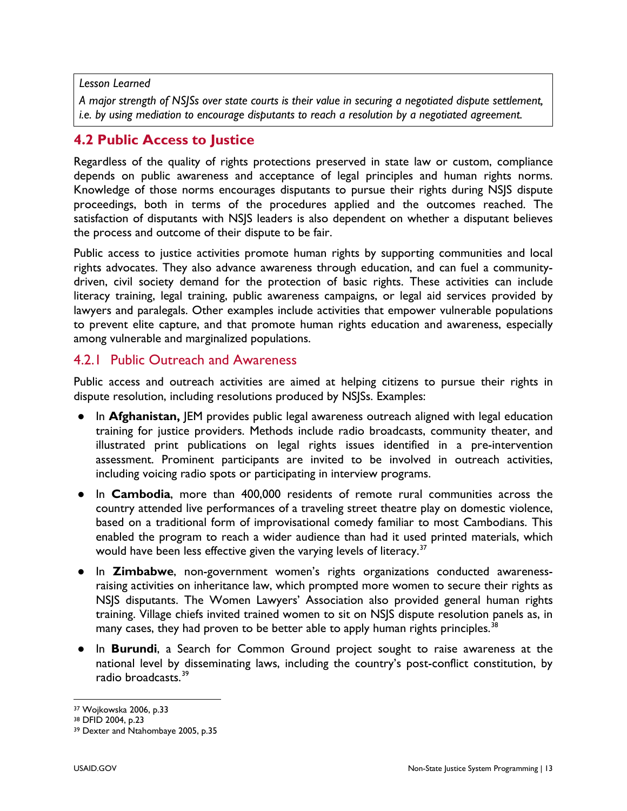#### *Lesson Learned*

*A major strength of NSJSs over state courts is their value in securing a negotiated dispute settlement, i.e. by using mediation to encourage disputants to reach a resolution by a negotiated agreement.*

## <span id="page-18-0"></span>**4.2 Public Access to Justice**

Regardless of the quality of rights protections preserved in state law or custom, compliance depends on public awareness and acceptance of legal principles and human rights norms. Knowledge of those norms encourages disputants to pursue their rights during NSJS dispute proceedings, both in terms of the procedures applied and the outcomes reached. The satisfaction of disputants with NSJS leaders is also dependent on whether a disputant believes the process and outcome of their dispute to be fair.

Public access to justice activities promote human rights by supporting communities and local rights advocates. They also advance awareness through education, and can fuel a communitydriven, civil society demand for the protection of basic rights. These activities can include literacy training, legal training, public awareness campaigns, or legal aid services provided by lawyers and paralegals. Other examples include activities that empower vulnerable populations to prevent elite capture, and that promote human rights education and awareness, especially among vulnerable and marginalized populations.

## <span id="page-18-1"></span>4.2.1 Public Outreach and Awareness

Public access and outreach activities are aimed at helping citizens to pursue their rights in dispute resolution, including resolutions produced by NSJSs. Examples:

- In **Afghanistan,** JEM provides public legal awareness outreach aligned with legal education training for justice providers. Methods include radio broadcasts, community theater, and illustrated print publications on legal rights issues identified in a pre-intervention assessment. Prominent participants are invited to be involved in outreach activities, including voicing radio spots or participating in interview programs.
- In **Cambodia**, more than 400,000 residents of remote rural communities across the country attended live performances of a traveling street theatre play on domestic violence, based on a traditional form of improvisational comedy familiar to most Cambodians. This enabled the program to reach a wider audience than had it used printed materials, which would have been less effective given the varying levels of literacy.<sup>[37](#page-18-2)</sup>
- In **Zimbabwe**, non-government women's rights organizations conducted awarenessraising activities on inheritance law, which prompted more women to secure their rights as NSJS disputants. The Women Lawyers' Association also provided general human rights training. Village chiefs invited trained women to sit on NSJS dispute resolution panels as, in many cases, they had proven to be better able to apply human rights principles.<sup>[38](#page-18-3)</sup>
- In **Burundi**, a Search for Common Ground project sought to raise awareness at the national level by disseminating laws, including the country's post-conflict constitution, by radio broadcasts.[39](#page-18-4)

 $\overline{a}$ <sup>37</sup> Wojkowska 2006, p.33

<span id="page-18-3"></span><span id="page-18-2"></span><sup>38</sup> DFID 2004, p.23

<span id="page-18-4"></span><sup>39</sup> Dexter and Ntahombaye 2005, p.35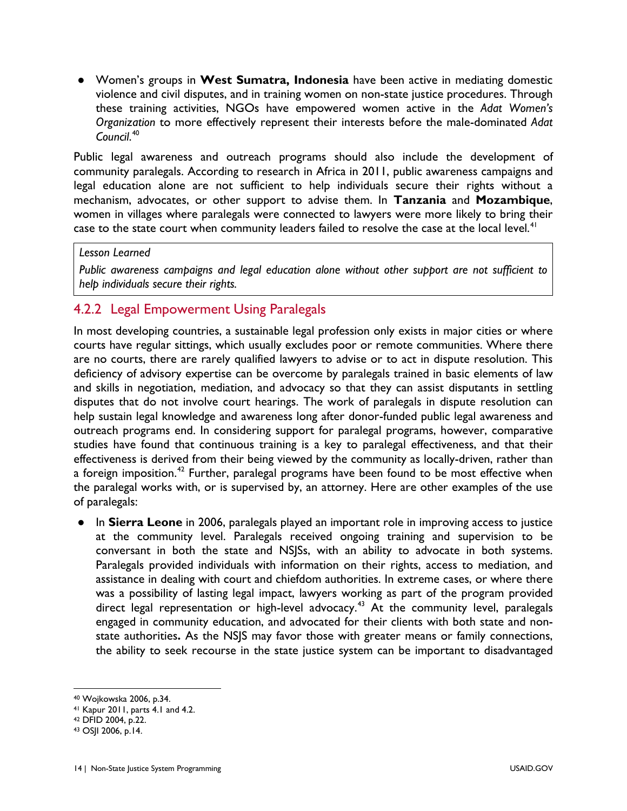● Women's groups in **West Sumatra, Indonesia** have been active in mediating domestic violence and civil disputes, and in training women on non-state justice procedures. Through these training activities, NGOs have empowered women active in the *Adat Women's Organization* to more effectively represent their interests before the male-dominated *Adat Council*. [40](#page-19-1)

Public legal awareness and outreach programs should also include the development of community paralegals. According to research in Africa in 2011, public awareness campaigns and legal education alone are not sufficient to help individuals secure their rights without a mechanism, advocates, or other support to advise them. In **Tanzania** and **Mozambique**, women in villages where paralegals were connected to lawyers were more likely to bring their case to the state court when community leaders failed to resolve the case at the local level.<sup>[41](#page-19-2)</sup>

#### *Lesson Learned*

*Public awareness campaigns and legal education alone without other support are not sufficient to help individuals secure their rights.*

## <span id="page-19-0"></span>4.2.2 Legal Empowerment Using Paralegals

In most developing countries, a sustainable legal profession only exists in major cities or where courts have regular sittings, which usually excludes poor or remote communities. Where there are no courts, there are rarely qualified lawyers to advise or to act in dispute resolution. This deficiency of advisory expertise can be overcome by paralegals trained in basic elements of law and skills in negotiation, mediation, and advocacy so that they can assist disputants in settling disputes that do not involve court hearings. The work of paralegals in dispute resolution can help sustain legal knowledge and awareness long after donor-funded public legal awareness and outreach programs end. In considering support for paralegal programs, however, comparative studies have found that continuous training is a key to paralegal effectiveness, and that their effectiveness is derived from their being viewed by the community as locally-driven, rather than a foreign imposition.<sup>[42](#page-19-3)</sup> Further, paralegal programs have been found to be most effective when the paralegal works with, or is supervised by, an attorney. Here are other examples of the use of paralegals:

● In **Sierra Leone** in 2006, paralegals played an important role in improving access to justice at the community level. Paralegals received ongoing training and supervision to be conversant in both the state and NSJSs, with an ability to advocate in both systems. Paralegals provided individuals with information on their rights, access to mediation, and assistance in dealing with court and chiefdom authorities. In extreme cases, or where there was a possibility of lasting legal impact, lawyers working as part of the program provided direct legal representation or high-level advocacy.<sup>[43](#page-19-4)</sup> At the community level, paralegals engaged in community education, and advocated for their clients with both state and nonstate authorities**.** As the NSJS may favor those with greater means or family connections, the ability to seek recourse in the state justice system can be important to disadvantaged

 $\overline{a}$ 

<span id="page-19-1"></span><sup>40</sup> Wojkowska 2006, p.34.

<span id="page-19-2"></span><sup>41</sup> Kapur 2011, parts 4.1 and 4.2.

<span id="page-19-3"></span><sup>42</sup> DFID 2004, p.22.

<span id="page-19-4"></span><sup>43</sup> OSJI 2006, p.14.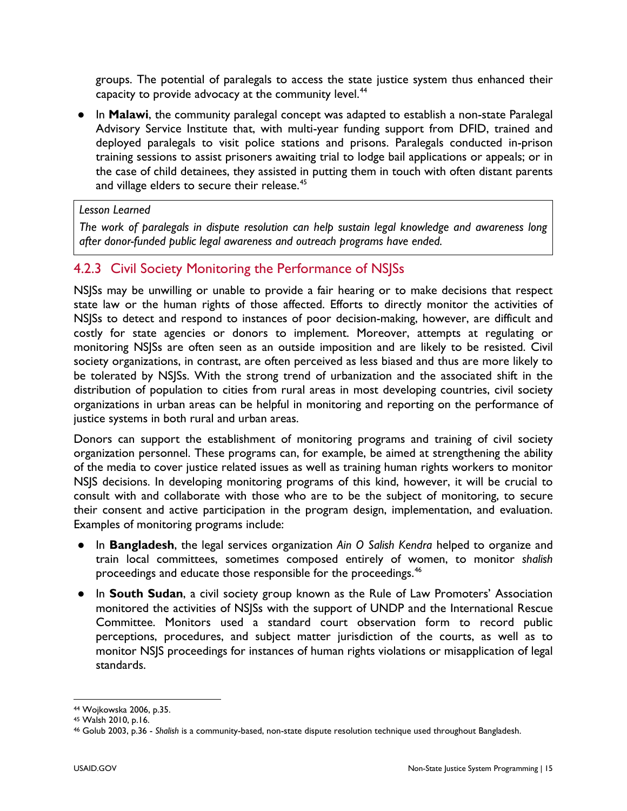groups. The potential of paralegals to access the state justice system thus enhanced their capacity to provide advocacy at the community level.<sup>[44](#page-20-1)</sup>

● In **Malawi**, the community paralegal concept was adapted to establish a non-state Paralegal Advisory Service Institute that, with multi-year funding support from DFID, trained and deployed paralegals to visit police stations and prisons. Paralegals conducted in-prison training sessions to assist prisoners awaiting trial to lodge bail applications or appeals; or in the case of child detainees, they assisted in putting them in touch with often distant parents and village elders to secure their release.<sup>[45](#page-20-2)</sup>

#### *Lesson Learned*

*The work of paralegals in dispute resolution can help sustain legal knowledge and awareness long after donor-funded public legal awareness and outreach programs have ended.*

## <span id="page-20-0"></span>4.2.3 Civil Society Monitoring the Performance of NSJSs

NSJSs may be unwilling or unable to provide a fair hearing or to make decisions that respect state law or the human rights of those affected. Efforts to directly monitor the activities of NSJSs to detect and respond to instances of poor decision-making, however, are difficult and costly for state agencies or donors to implement. Moreover, attempts at regulating or monitoring NSJSs are often seen as an outside imposition and are likely to be resisted. Civil society organizations, in contrast, are often perceived as less biased and thus are more likely to be tolerated by NSJSs. With the strong trend of urbanization and the associated shift in the distribution of population to cities from rural areas in most developing countries, civil society organizations in urban areas can be helpful in monitoring and reporting on the performance of justice systems in both rural and urban areas.

Donors can support the establishment of monitoring programs and training of civil society organization personnel. These programs can, for example, be aimed at strengthening the ability of the media to cover justice related issues as well as training human rights workers to monitor NSJS decisions. In developing monitoring programs of this kind, however, it will be crucial to consult with and collaborate with those who are to be the subject of monitoring, to secure their consent and active participation in the program design, implementation, and evaluation. Examples of monitoring programs include:

- In **Bangladesh**, the legal services organization *Ain O Salish Kendra* helped to organize and train local committees, sometimes composed entirely of women, to monitor *shalish* proceedings and educate those responsible for the proceedings.<sup>[46](#page-20-3)</sup>
- In **South Sudan**, a civil society group known as the Rule of Law Promoters' Association monitored the activities of NSJSs with the support of UNDP and the International Rescue Committee. Monitors used a standard court observation form to record public perceptions, procedures, and subject matter jurisdiction of the courts, as well as to monitor NSJS proceedings for instances of human rights violations or misapplication of legal standards.

 $\overline{a}$ 

<sup>44</sup> Wojkowska 2006, p.35.

<span id="page-20-2"></span><span id="page-20-1"></span><sup>45</sup> Walsh 2010, p.16.

<span id="page-20-3"></span><sup>46</sup> Golub 2003, p.36 - *Shalish* is a community-based, non-state dispute resolution technique used throughout Bangladesh.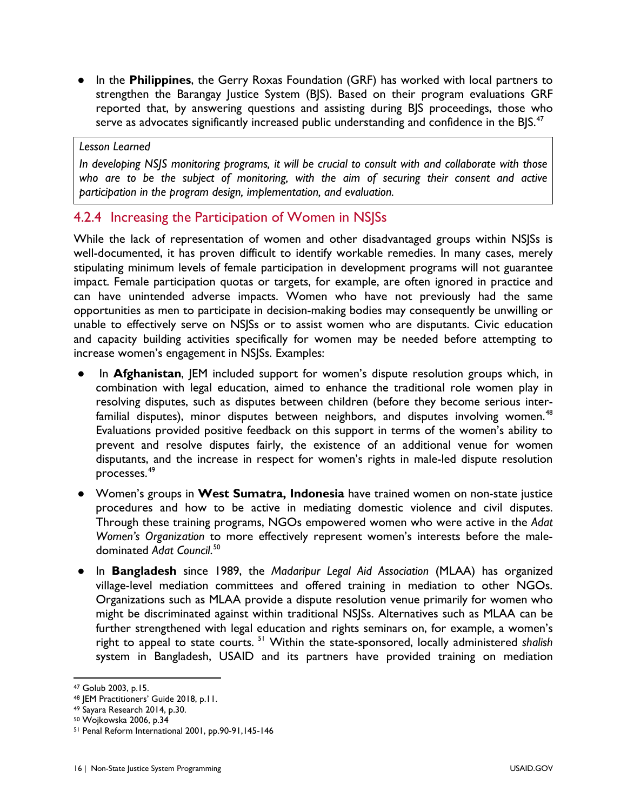● In the **Philippines**, the Gerry Roxas Foundation (GRF) has worked with local partners to strengthen the Barangay Justice System (BJS). Based on their program evaluations GRF reported that, by answering questions and assisting during BJS proceedings, those who serve as advocates significantly increased public understanding and confidence in the BJS.<sup>[47](#page-21-1)</sup>

#### *Lesson Learned*

*In developing NSJS monitoring programs, it will be crucial to consult with and collaborate with those*  who are to be the subject of monitoring, with the aim of securing their consent and active *participation in the program design, implementation, and evaluation.*

### <span id="page-21-0"></span>4.2.4 Increasing the Participation of Women in NSJSs

While the lack of representation of women and other disadvantaged groups within NSJSs is well-documented, it has proven difficult to identify workable remedies. In many cases, merely stipulating minimum levels of female participation in development programs will not guarantee impact. Female participation quotas or targets, for example, are often ignored in practice and can have unintended adverse impacts. Women who have not previously had the same opportunities as men to participate in decision-making bodies may consequently be unwilling or unable to effectively serve on NSJSs or to assist women who are disputants. Civic education and capacity building activities specifically for women may be needed before attempting to increase women's engagement in NSJSs. Examples:

- In **Afghanistan**, JEM included support for women's dispute resolution groups which, in combination with legal education, aimed to enhance the traditional role women play in resolving disputes, such as disputes between children (before they become serious inter-familial disputes), minor disputes between neighbors, and disputes involving women.<sup>[48](#page-21-2)</sup> Evaluations provided positive feedback on this support in terms of the women's ability to prevent and resolve disputes fairly, the existence of an additional venue for women disputants, and the increase in respect for women's rights in male-led dispute resolution processes.[49](#page-21-3)
- Women's groups in **West Sumatra, Indonesia** have trained women on non-state justice procedures and how to be active in mediating domestic violence and civil disputes. Through these training programs, NGOs empowered women who were active in the *Adat Women's Organization* to more effectively represent women's interests before the maledominated *Adat Council*. [50](#page-21-4)
- In **Bangladesh** since 1989, the *Madaripur Legal Aid Association* (MLAA) has organized village-level mediation committees and offered training in mediation to other NGOs. Organizations such as MLAA provide a dispute resolution venue primarily for women who might be discriminated against within traditional NSJSs. Alternatives such as MLAA can be further strengthened with legal education and rights seminars on, for example, a women's right to appeal to state courts. [51](#page-21-5) Within the state-sponsored, locally administered *shalish* system in Bangladesh, USAID and its partners have provided training on mediation

 $\overline{a}$ <sup>47</sup> Golub 2003, p.15.

<span id="page-21-2"></span><span id="page-21-1"></span><sup>48</sup> JEM Practitioners' Guide 2018, p.11.

<span id="page-21-3"></span><sup>49</sup> Sayara Research 2014, p.30.

<span id="page-21-4"></span><sup>50</sup> Wojkowska 2006, p.34

<span id="page-21-5"></span><sup>51</sup> Penal Reform International 2001, pp.90-91,145-146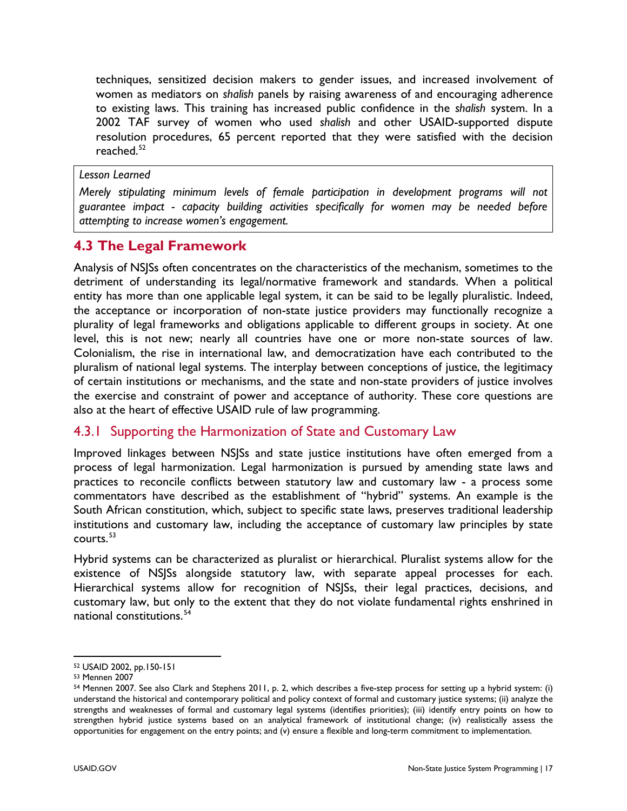techniques, sensitized decision makers to gender issues, and increased involvement of women as mediators on *shalish* panels by raising awareness of and encouraging adherence to existing laws. This training has increased public confidence in the *shalish* system. In a 2002 TAF survey of women who used *shalish* and other USAID-supported dispute resolution procedures, 65 percent reported that they were satisfied with the decision reached. $52$ 

*Lesson Learned*

*Merely stipulating minimum levels of female participation in development programs will not guarantee impact - capacity building activities specifically for women may be needed before attempting to increase women's engagement.*

## <span id="page-22-0"></span>**4.3 The Legal Framework**

Analysis of NSJSs often concentrates on the characteristics of the mechanism, sometimes to the detriment of understanding its legal/normative framework and standards. When a political entity has more than one applicable legal system, it can be said to be legally pluralistic. Indeed, the acceptance or incorporation of non-state justice providers may functionally recognize a plurality of legal frameworks and obligations applicable to different groups in society. At one level, this is not new; nearly all countries have one or more non-state sources of law. Colonialism, the rise in international law, and democratization have each contributed to the pluralism of national legal systems. The interplay between conceptions of justice, the legitimacy of certain institutions or mechanisms, and the state and non-state providers of justice involves the exercise and constraint of power and acceptance of authority. These core questions are also at the heart of effective USAID rule of law programming.

## <span id="page-22-1"></span>4.3.1 Supporting the Harmonization of State and Customary Law

Improved linkages between NSJSs and state justice institutions have often emerged from a process of legal harmonization. Legal harmonization is pursued by amending state laws and practices to reconcile conflicts between statutory law and customary law - a process some commentators have described as the establishment of "hybrid" systems. An example is the South African constitution, which, subject to specific state laws, preserves traditional leadership institutions and customary law, including the acceptance of customary law principles by state courts.[53](#page-22-3)

Hybrid systems can be characterized as pluralist or hierarchical. Pluralist systems allow for the existence of NSJSs alongside statutory law, with separate appeal processes for each. Hierarchical systems allow for recognition of NSJSs, their legal practices, decisions, and customary law, but only to the extent that they do not violate fundamental rights enshrined in national constitutions.[54](#page-22-4)

 $\overline{a}$ <sup>52</sup> USAID 2002, pp.150-151

<span id="page-22-3"></span><span id="page-22-2"></span><sup>53</sup> Mennen 2007

<span id="page-22-4"></span><sup>54</sup> Mennen 2007. See also Clark and Stephens 2011, p. 2, which describes a five-step process for setting up a hybrid system: (i) understand the historical and contemporary political and policy context of formal and customary justice systems; (ii) analyze the strengths and weaknesses of formal and customary legal systems (identifies priorities); (iii) identify entry points on how to strengthen hybrid justice systems based on an analytical framework of institutional change; (iv) realistically assess the opportunities for engagement on the entry points; and (v) ensure a flexible and long-term commitment to implementation.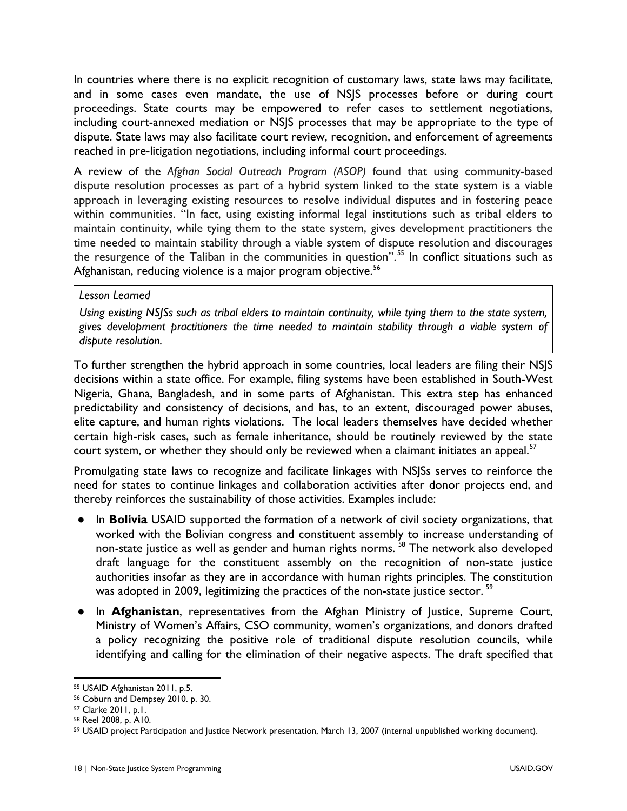In countries where there is no explicit recognition of customary laws, state laws may facilitate, and in some cases even mandate, the use of NSJS processes before or during court proceedings. State courts may be empowered to refer cases to settlement negotiations, including court-annexed mediation or NSJS processes that may be appropriate to the type of dispute. State laws may also facilitate court review, recognition, and enforcement of agreements reached in pre-litigation negotiations, including informal court proceedings.

A review of the *Afghan Social Outreach Program (ASOP)* found that using community-based dispute resolution processes as part of a hybrid system linked to the state system is a viable approach in leveraging existing resources to resolve individual disputes and in fostering peace within communities. "In fact, using existing informal legal institutions such as tribal elders to maintain continuity, while tying them to the state system, gives development practitioners the time needed to maintain stability through a viable system of dispute resolution and discourages the resurgence of the Taliban in the communities in question".[55](#page-23-0) In conflict situations such as Afghanistan, reducing violence is a major program objective.<sup>[56](#page-23-1)</sup>

#### *Lesson Learned*

*Using existing NSJSs such as tribal elders to maintain continuity, while tying them to the state system, gives development practitioners the time needed to maintain stability through a viable system of dispute resolution.*

To further strengthen the hybrid approach in some countries, local leaders are filing their NSJS decisions within a state office. For example, filing systems have been established in South-West Nigeria, Ghana, Bangladesh, and in some parts of Afghanistan. This extra step has enhanced predictability and consistency of decisions, and has, to an extent, discouraged power abuses, elite capture, and human rights violations. The local leaders themselves have decided whether certain high-risk cases, such as female inheritance, should be routinely reviewed by the state court system, or whether they should only be reviewed when a claimant initiates an appeal.<sup>[57](#page-23-2)</sup>

Promulgating state laws to recognize and facilitate linkages with NSJSs serves to reinforce the need for states to continue linkages and collaboration activities after donor projects end, and thereby reinforces the sustainability of those activities. Examples include:

- In **Bolivia** USAID supported the formation of a network of civil society organizations, that worked with the Bolivian congress and constituent assembly to increase understanding of non-state justice as well as gender and human rights norms. <sup>[58](#page-23-3)</sup> The network also developed draft language for the constituent assembly on the recognition of non-state justice authorities insofar as they are in accordance with human rights principles. The constitution was adopted in 2009, legitimizing the practices of the non-state justice sector.<sup>[59](#page-23-4)</sup>
- In **Afghanistan**, representatives from the Afghan Ministry of Justice, Supreme Court, Ministry of Women's Affairs, CSO community, women's organizations, and donors drafted a policy recognizing the positive role of traditional dispute resolution councils, while identifying and calling for the elimination of their negative aspects. The draft specified that

<span id="page-23-0"></span><sup>&</sup>lt;sup>55</sup> USAID Afghanistan 2011, p.5.

<span id="page-23-1"></span><sup>56</sup> Coburn and Dempsey 2010. p. 30.

<span id="page-23-2"></span><sup>57</sup> Clarke 2011, p.1.

<span id="page-23-3"></span><sup>58</sup> Reel 2008, p. A10.

<span id="page-23-4"></span><sup>59</sup> USAID project Participation and Justice Network presentation, March 13, 2007 (internal unpublished working document).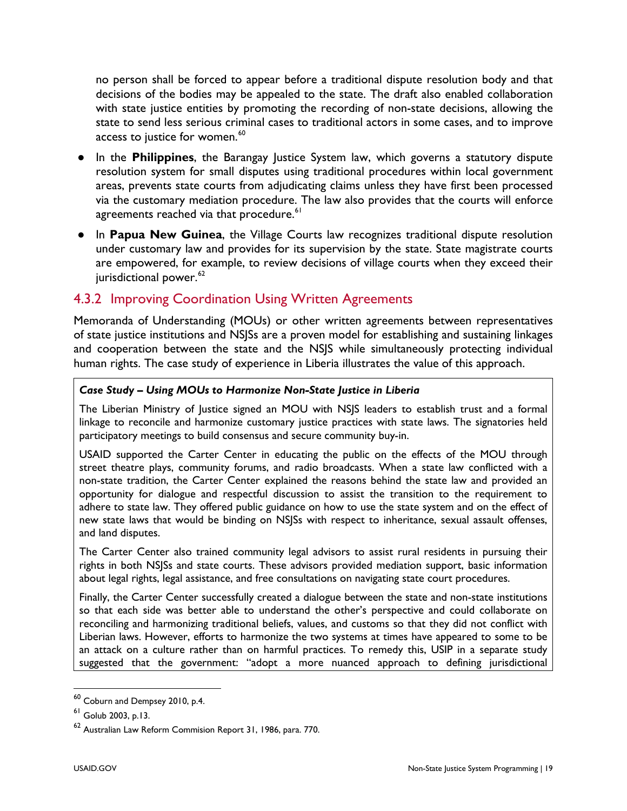no person shall be forced to appear before a traditional dispute resolution body and that decisions of the bodies may be appealed to the state. The draft also enabled collaboration with state justice entities by promoting the recording of non-state decisions, allowing the state to send less serious criminal cases to traditional actors in some cases, and to improve access to justice for women.<sup>[60](#page-24-1)</sup>

- In the **Philippines**, the Barangay Justice System law, which governs a statutory dispute resolution system for small disputes using traditional procedures within local government areas, prevents state courts from adjudicating claims unless they have first been processed via the customary mediation procedure. The law also provides that the courts will enforce agreements reached via that procedure.<sup>[61](#page-24-2)</sup>
- In **Papua New Guinea**, the Village Courts law recognizes traditional dispute resolution under customary law and provides for its supervision by the state. State magistrate courts are empowered, for example, to review decisions of village courts when they exceed their jurisdictional power.<sup>62</sup>

## <span id="page-24-0"></span>4.3.2 Improving Coordination Using Written Agreements

Memoranda of Understanding (MOUs) or other written agreements between representatives of state justice institutions and NSJSs are a proven model for establishing and sustaining linkages and cooperation between the state and the NSJS while simultaneously protecting individual human rights. The case study of experience in Liberia illustrates the value of this approach.

#### *Case Study – Using MOUs to Harmonize Non-State Justice in Liberia*

The Liberian Ministry of Justice signed an MOU with NSJS leaders to establish trust and a formal linkage to reconcile and harmonize customary justice practices with state laws. The signatories held participatory meetings to build consensus and secure community buy-in.

USAID supported the Carter Center in educating the public on the effects of the MOU through street theatre plays, community forums, and radio broadcasts. When a state law conflicted with a non-state tradition, the Carter Center explained the reasons behind the state law and provided an opportunity for dialogue and respectful discussion to assist the transition to the requirement to adhere to state law. They offered public guidance on how to use the state system and on the effect of new state laws that would be binding on NSJSs with respect to inheritance, sexual assault offenses, and land disputes.

The Carter Center also trained community legal advisors to assist rural residents in pursuing their rights in both NSJSs and state courts. These advisors provided mediation support, basic information about legal rights, legal assistance, and free consultations on navigating state court procedures.

Finally, the Carter Center successfully created a dialogue between the state and non-state institutions so that each side was better able to understand the other's perspective and could collaborate on reconciling and harmonizing traditional beliefs, values, and customs so that they did not conflict with Liberian laws. However, efforts to harmonize the two systems at times have appeared to some to be an attack on a culture rather than on harmful practices. To remedy this, USIP in a separate study suggested that the government: "adopt a more nuanced approach to defining jurisdictional

<sup>60</sup> Coburn and Dempsey 2010, p.4.

<span id="page-24-2"></span><span id="page-24-1"></span><sup>61</sup> Golub 2003, p.13.

<span id="page-24-3"></span><sup>62</sup> Australian Law Reform Commision Report 31, 1986, para. 770.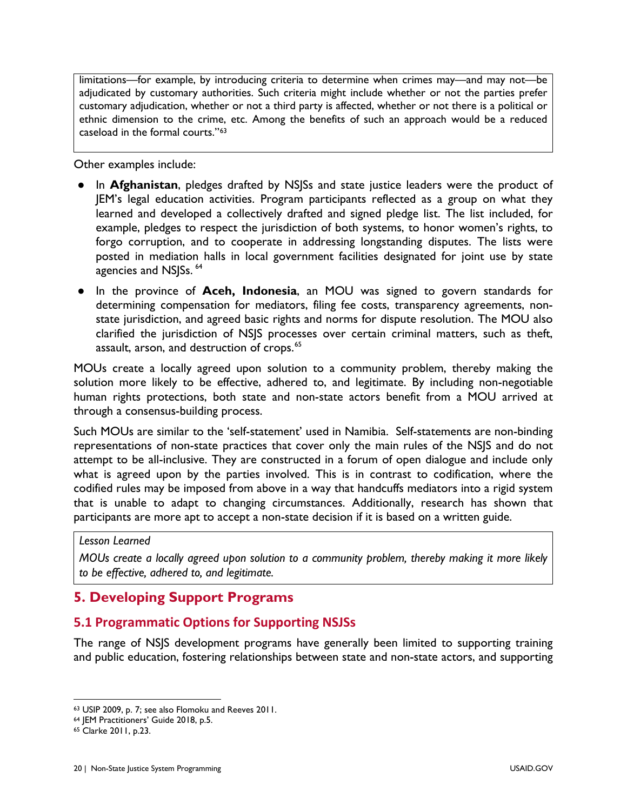limitations—for example, by introducing criteria to determine when crimes may—and may not—be adjudicated by customary authorities. Such criteria might include whether or not the parties prefer customary adjudication, whether or not a third party is affected, whether or not there is a political or ethnic dimension to the crime, etc. Among the benefits of such an approach would be a reduced caseload in the formal courts."[63](#page-25-2)

Other examples include:

- In **Afghanistan**, pledges drafted by NSJSs and state justice leaders were the product of JEM's legal education activities. Program participants reflected as a group on what they learned and developed a collectively drafted and signed pledge list. The list included, for example, pledges to respect the jurisdiction of both systems, to honor women's rights, to forgo corruption, and to cooperate in addressing longstanding disputes. The lists were posted in mediation halls in local government facilities designated for joint use by state agencies and NSJSs.<sup>[64](#page-25-3)</sup>
- In the province of **Aceh, Indonesia**, an MOU was signed to govern standards for determining compensation for mediators, filing fee costs, transparency agreements, nonstate jurisdiction, and agreed basic rights and norms for dispute resolution. The MOU also clarified the jurisdiction of NSJS processes over certain criminal matters, such as theft, assault, arson, and destruction of crops.<sup>[65](#page-25-4)</sup>

MOUs create a locally agreed upon solution to a community problem, thereby making the solution more likely to be effective, adhered to, and legitimate. By including non-negotiable human rights protections, both state and non-state actors benefit from a MOU arrived at through a consensus-building process.

Such MOUs are similar to the 'self-statement' used in Namibia. Self-statements are non-binding representations of non-state practices that cover only the main rules of the NSJS and do not attempt to be all-inclusive. They are constructed in a forum of open dialogue and include only what is agreed upon by the parties involved. This is in contrast to codification, where the codified rules may be imposed from above in a way that handcuffs mediators into a rigid system that is unable to adapt to changing circumstances. Additionally, research has shown that participants are more apt to accept a non-state decision if it is based on a written guide.

#### *Lesson Learned*

*MOUs create a locally agreed upon solution to a community problem, thereby making it more likely to be effective, adhered to, and legitimate.*

## <span id="page-25-0"></span>**5. Developing Support Programs**

## <span id="page-25-1"></span>**5.1 Programmatic Options for Supporting NSJSs**

The range of NSJS development programs have generally been limited to supporting training and public education, fostering relationships between state and non-state actors, and supporting

 $\overline{a}$ <sup>63</sup> USIP 2009, p. 7; see also Flomoku and Reeves 2011.

<span id="page-25-3"></span><span id="page-25-2"></span><sup>64</sup> JEM Practitioners' Guide 2018, p.5.

<span id="page-25-4"></span><sup>65</sup> Clarke 2011, p.23.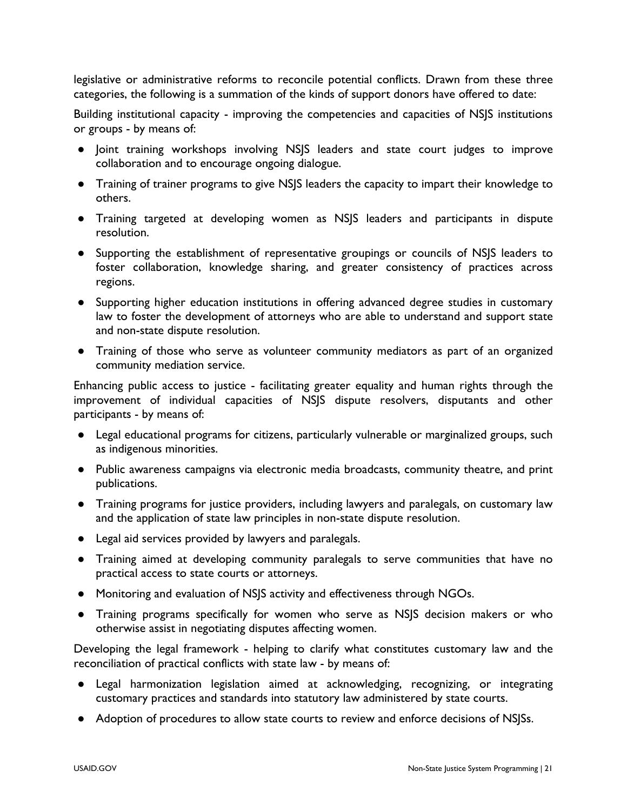legislative or administrative reforms to reconcile potential conflicts. Drawn from these three categories, the following is a summation of the kinds of support donors have offered to date:

Building institutional capacity - improving the competencies and capacities of NSJS institutions or groups - by means of:

- Joint training workshops involving NSJS leaders and state court judges to improve collaboration and to encourage ongoing dialogue.
- Training of trainer programs to give NSJS leaders the capacity to impart their knowledge to others.
- Training targeted at developing women as NSJS leaders and participants in dispute resolution.
- Supporting the establishment of representative groupings or councils of NSJS leaders to foster collaboration, knowledge sharing, and greater consistency of practices across regions.
- Supporting higher education institutions in offering advanced degree studies in customary law to foster the development of attorneys who are able to understand and support state and non-state dispute resolution.
- Training of those who serve as volunteer community mediators as part of an organized community mediation service.

Enhancing public access to justice - facilitating greater equality and human rights through the improvement of individual capacities of NSJS dispute resolvers, disputants and other participants - by means of:

- Legal educational programs for citizens, particularly vulnerable or marginalized groups, such as indigenous minorities.
- Public awareness campaigns via electronic media broadcasts, community theatre, and print publications.
- Training programs for justice providers, including lawyers and paralegals, on customary law and the application of state law principles in non-state dispute resolution.
- Legal aid services provided by lawyers and paralegals.
- Training aimed at developing community paralegals to serve communities that have no practical access to state courts or attorneys.
- Monitoring and evaluation of NSJS activity and effectiveness through NGOs.
- Training programs specifically for women who serve as NSJS decision makers or who otherwise assist in negotiating disputes affecting women.

Developing the legal framework - helping to clarify what constitutes customary law and the reconciliation of practical conflicts with state law - by means of:

- Legal harmonization legislation aimed at acknowledging, recognizing, or integrating customary practices and standards into statutory law administered by state courts.
- Adoption of procedures to allow state courts to review and enforce decisions of NSJSs.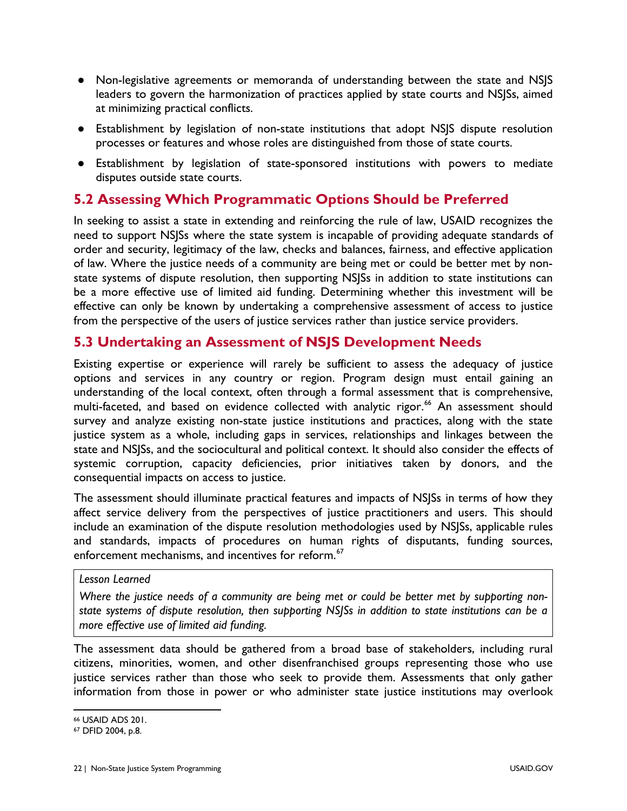- Non-legislative agreements or memoranda of understanding between the state and NSJS leaders to govern the harmonization of practices applied by state courts and NSJSs, aimed at minimizing practical conflicts.
- Establishment by legislation of non-state institutions that adopt NSJS dispute resolution processes or features and whose roles are distinguished from those of state courts.
- Establishment by legislation of state-sponsored institutions with powers to mediate disputes outside state courts.

## <span id="page-27-0"></span>**5.2 Assessing Which Programmatic Options Should be Preferred**

In seeking to assist a state in extending and reinforcing the rule of law, USAID recognizes the need to support NSJSs where the state system is incapable of providing adequate standards of order and security, legitimacy of the law, checks and balances, fairness, and effective application of law. Where the justice needs of a community are being met or could be better met by nonstate systems of dispute resolution, then supporting NSJSs in addition to state institutions can be a more effective use of limited aid funding. Determining whether this investment will be effective can only be known by undertaking a comprehensive assessment of access to justice from the perspective of the users of justice services rather than justice service providers.

## <span id="page-27-1"></span>**5.3 Undertaking an Assessment of NSJS Development Needs**

Existing expertise or experience will rarely be sufficient to assess the adequacy of justice options and services in any country or region. Program design must entail gaining an understanding of the local context, often through a formal assessment that is comprehensive, multi-faceted, and based on evidence collected with analytic rigor.<sup>66</sup> An assessment should survey and analyze existing non-state justice institutions and practices, along with the state justice system as a whole, including gaps in services, relationships and linkages between the state and NSJSs, and the sociocultural and political context. It should also consider the effects of systemic corruption, capacity deficiencies, prior initiatives taken by donors, and the consequential impacts on access to justice.

The assessment should illuminate practical features and impacts of NSJSs in terms of how they affect service delivery from the perspectives of justice practitioners and users. This should include an examination of the dispute resolution methodologies used by NSJSs, applicable rules and standards, impacts of procedures on human rights of disputants, funding sources, enforcement mechanisms, and incentives for reform.<sup>[67](#page-27-3)</sup>

#### *Lesson Learned*

*Where the justice needs of a community are being met or could be better met by supporting nonstate systems of dispute resolution, then supporting NSJSs in addition to state institutions can be a more effective use of limited aid funding.*

The assessment data should be gathered from a broad base of stakeholders, including rural citizens, minorities, women, and other disenfranchised groups representing those who use justice services rather than those who seek to provide them. Assessments that only gather information from those in power or who administer state justice institutions may overlook

 $\overline{a}$ <sup>66</sup> USAID ADS 201.

<span id="page-27-3"></span><span id="page-27-2"></span><sup>67</sup> DFID 2004, p.8.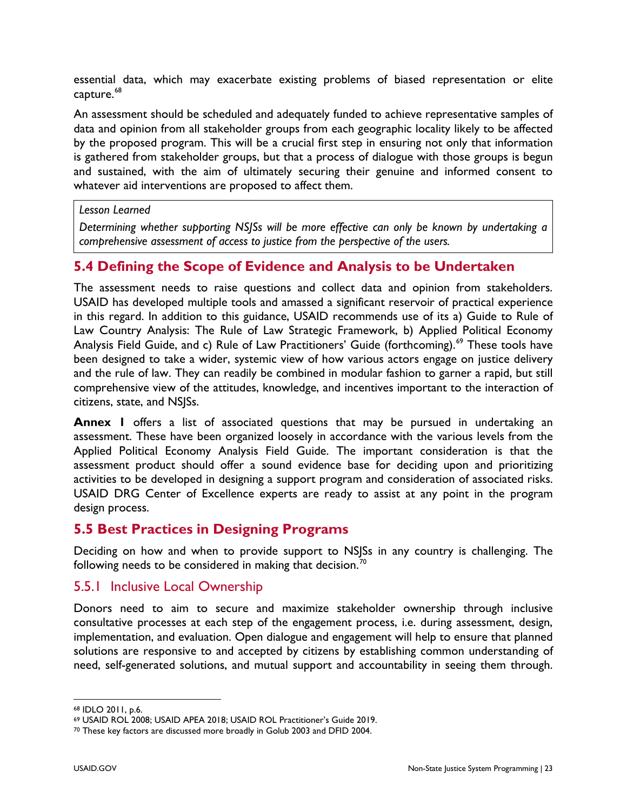essential data, which may exacerbate existing problems of biased representation or elite capture.<sup>[68](#page-28-3)</sup>

An assessment should be scheduled and adequately funded to achieve representative samples of data and opinion from all stakeholder groups from each geographic locality likely to be affected by the proposed program. This will be a crucial first step in ensuring not only that information is gathered from stakeholder groups, but that a process of dialogue with those groups is begun and sustained, with the aim of ultimately securing their genuine and informed consent to whatever aid interventions are proposed to affect them.

#### *Lesson Learned*

*Determining whether supporting NSJSs will be more effective can only be known by undertaking a comprehensive assessment of access to justice from the perspective of the users.*

## <span id="page-28-0"></span>**5.4 Defining the Scope of Evidence and Analysis to be Undertaken**

The assessment needs to raise questions and collect data and opinion from stakeholders. USAID has developed multiple tools and amassed a significant reservoir of practical experience in this regard. In addition to this guidance, USAID recommends use of its a) Guide to Rule of Law Country Analysis: The Rule of Law Strategic Framework, b) Applied Political Economy Analysis Field Guide, and c) Rule of Law Practitioners' Guide (forthcoming).<sup>[69](#page-28-4)</sup> These tools have been designed to take a wider, systemic view of how various actors engage on justice delivery and the rule of law. They can readily be combined in modular fashion to garner a rapid, but still comprehensive view of the attitudes, knowledge, and incentives important to the interaction of citizens, state, and NSJSs.

**Annex I** offers a list of associated questions that may be pursued in undertaking an assessment. These have been organized loosely in accordance with the various levels from the Applied Political Economy Analysis Field Guide. The important consideration is that the assessment product should offer a sound evidence base for deciding upon and prioritizing activities to be developed in designing a support program and consideration of associated risks. USAID DRG Center of Excellence experts are ready to assist at any point in the program design process.

## <span id="page-28-1"></span>**5.5 Best Practices in Designing Programs**

Deciding on how and when to provide support to NSJSs in any country is challenging. The following needs to be considered in making that decision.<sup>[70](#page-28-5)</sup>

## <span id="page-28-2"></span>5.5.1 Inclusive Local Ownership

Donors need to aim to secure and maximize stakeholder ownership through inclusive consultative processes at each step of the engagement process, i.e. during assessment, design, implementation, and evaluation. Open dialogue and engagement will help to ensure that planned solutions are responsive to and accepted by citizens by establishing common understanding of need, self-generated solutions, and mutual support and accountability in seeing them through.

 $\overline{a}$ 

<span id="page-28-3"></span><sup>68</sup> IDLO 2011, p.6.

<span id="page-28-4"></span><sup>69</sup> USAID ROL 2008; USAID APEA 2018; USAID ROL Practitioner's Guide 2019.

<span id="page-28-5"></span><sup>70</sup> These key factors are discussed more broadly in Golub 2003 and DFID 2004.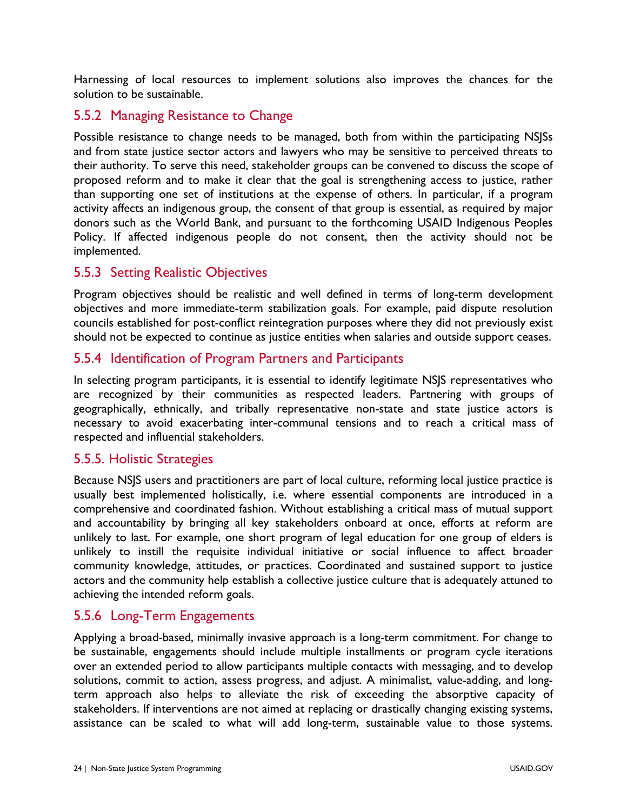Harnessing of local resources to implement solutions also improves the chances for the solution to be sustainable.

## <span id="page-29-0"></span>5.5.2 Managing Resistance to Change

Possible resistance to change needs to be managed, both from within the participating NSJSs and from state justice sector actors and lawyers who may be sensitive to perceived threats to their authority. To serve this need, stakeholder groups can be convened to discuss the scope of proposed reform and to make it clear that the goal is strengthening access to justice, rather than supporting one set of institutions at the expense of others. In particular, if a program activity affects an indigenous group, the consent of that group is essential, as required by major donors such as the World Bank, and pursuant to the forthcoming USAID Indigenous Peoples Policy. If affected indigenous people do not consent, then the activity should not be implemented.

## <span id="page-29-1"></span>5.5.3 Setting Realistic Objectives

Program objectives should be realistic and well defined in terms of long-term development objectives and more immediate-term stabilization goals. For example, paid dispute resolution councils established for post-conflict reintegration purposes where they did not previously exist should not be expected to continue as justice entities when salaries and outside support ceases.

## <span id="page-29-2"></span>5.5.4 Identification of Program Partners and Participants

In selecting program participants, it is essential to identify legitimate NSJS representatives who are recognized by their communities as respected leaders. Partnering with groups of geographically, ethnically, and tribally representative non-state and state justice actors is necessary to avoid exacerbating inter-communal tensions and to reach a critical mass of respected and influential stakeholders.

#### <span id="page-29-3"></span>5.5.5. Holistic Strategies

Because NSJS users and practitioners are part of local culture, reforming local justice practice is usually best implemented holistically, i.e. where essential components are introduced in a comprehensive and coordinated fashion. Without establishing a critical mass of mutual support and accountability by bringing all key stakeholders onboard at once, efforts at reform are unlikely to last. For example, one short program of legal education for one group of elders is unlikely to instill the requisite individual initiative or social influence to affect broader community knowledge, attitudes, or practices. Coordinated and sustained support to justice actors and the community help establish a collective justice culture that is adequately attuned to achieving the intended reform goals.

## <span id="page-29-4"></span>5.5.6 Long-Term Engagements

Applying a broad-based, minimally invasive approach is a long-term commitment. For change to be sustainable, engagements should include multiple installments or program cycle iterations over an extended period to allow participants multiple contacts with messaging, and to develop solutions, commit to action, assess progress, and adjust. A minimalist, value-adding, and longterm approach also helps to alleviate the risk of exceeding the absorptive capacity of stakeholders. If interventions are not aimed at replacing or drastically changing existing systems, assistance can be scaled to what will add long-term, sustainable value to those systems.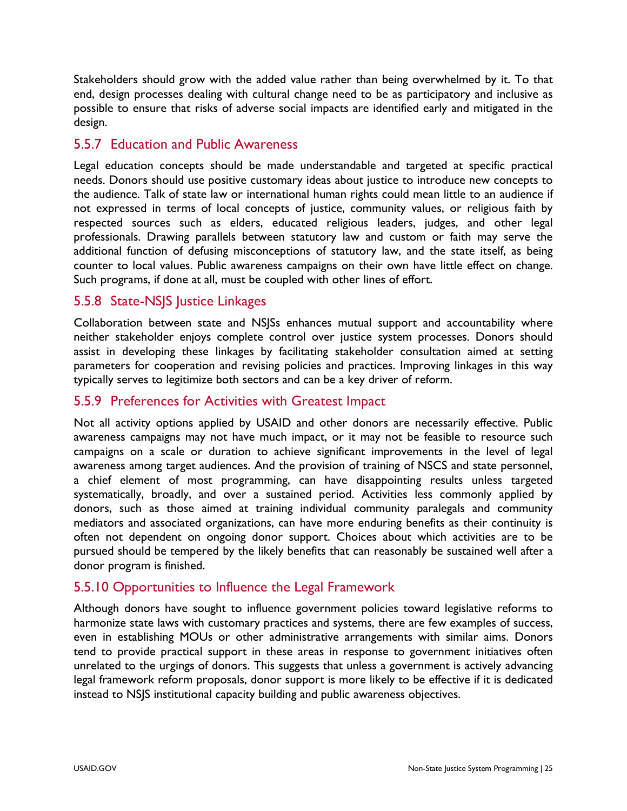Stakeholders should grow with the added value rather than being overwhelmed by it. To that end, design processes dealing with cultural change need to be as participatory and inclusive as possible to ensure that risks of adverse social impacts are identified early and mitigated in the design.

## <span id="page-30-0"></span>5.5.7 Education and Public Awareness

Legal education concepts should be made understandable and targeted at specific practical needs. Donors should use positive customary ideas about justice to introduce new concepts to the audience. Talk of state law or international human rights could mean little to an audience if not expressed in terms of local concepts of justice, community values, or religious faith by respected sources such as elders, educated religious leaders, judges, and other legal professionals. Drawing parallels between statutory law and custom or faith may serve the additional function of defusing misconceptions of statutory law, and the state itself, as being counter to local values. Public awareness campaigns on their own have little effect on change. Such programs, if done at all, must be coupled with other lines of effort.

## <span id="page-30-1"></span>5.5.8 State-NSJS Justice Linkages

Collaboration between state and NSJSs enhances mutual support and accountability where neither stakeholder enjoys complete control over justice system processes. Donors should assist in developing these linkages by facilitating stakeholder consultation aimed at setting parameters for cooperation and revising policies and practices. Improving linkages in this way typically serves to legitimize both sectors and can be a key driver of reform.

## <span id="page-30-2"></span>5.5.9 Preferences for Activities with Greatest Impact

Not all activity options applied by USAID and other donors are necessarily effective. Public awareness campaigns may not have much impact, or it may not be feasible to resource such campaigns on a scale or duration to achieve significant improvements in the level of legal awareness among target audiences. And the provision of training of NSCS and state personnel, a chief element of most programming, can have disappointing results unless targeted systematically, broadly, and over a sustained period. Activities less commonly applied by donors, such as those aimed at training individual community paralegals and community mediators and associated organizations, can have more enduring benefits as their continuity is often not dependent on ongoing donor support. Choices about which activities are to be pursued should be tempered by the likely benefits that can reasonably be sustained well after a donor program is finished.

## <span id="page-30-3"></span>5.5.10 Opportunities to Influence the Legal Framework

Although donors have sought to influence government policies toward legislative reforms to harmonize state laws with customary practices and systems, there are few examples of success, even in establishing MOUs or other administrative arrangements with similar aims. Donors tend to provide practical support in these areas in response to government initiatives often unrelated to the urgings of donors. This suggests that unless a government is actively advancing legal framework reform proposals, donor support is more likely to be effective if it is dedicated instead to NSJS institutional capacity building and public awareness objectives.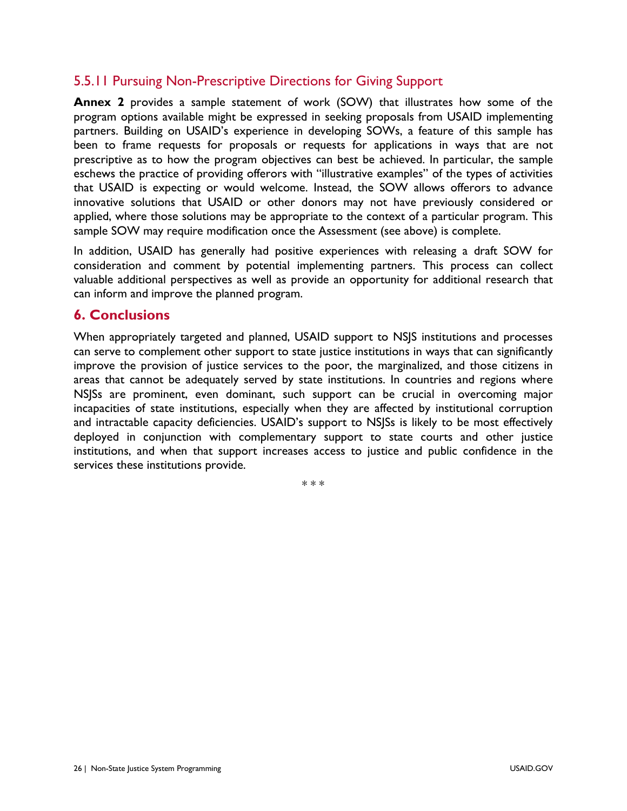## <span id="page-31-0"></span>5.5.11 Pursuing Non-Prescriptive Directions for Giving Support

**Annex 2** provides a sample statement of work (SOW) that illustrates how some of the program options available might be expressed in seeking proposals from USAID implementing partners. Building on USAID's experience in developing SOWs, a feature of this sample has been to frame requests for proposals or requests for applications in ways that are not prescriptive as to how the program objectives can best be achieved. In particular, the sample eschews the practice of providing offerors with "illustrative examples" of the types of activities that USAID is expecting or would welcome. Instead, the SOW allows offerors to advance innovative solutions that USAID or other donors may not have previously considered or applied, where those solutions may be appropriate to the context of a particular program. This sample SOW may require modification once the Assessment (see above) is complete.

In addition, USAID has generally had positive experiences with releasing a draft SOW for consideration and comment by potential implementing partners. This process can collect valuable additional perspectives as well as provide an opportunity for additional research that can inform and improve the planned program.

### <span id="page-31-1"></span>**6. Conclusions**

When appropriately targeted and planned, USAID support to NSJS institutions and processes can serve to complement other support to state justice institutions in ways that can significantly improve the provision of justice services to the poor, the marginalized, and those citizens in areas that cannot be adequately served by state institutions. In countries and regions where NSJSs are prominent, even dominant, such support can be crucial in overcoming major incapacities of state institutions, especially when they are affected by institutional corruption and intractable capacity deficiencies. USAID's support to NSJSs is likely to be most effectively deployed in conjunction with complementary support to state courts and other justice institutions, and when that support increases access to justice and public confidence in the services these institutions provide.

\* \* \*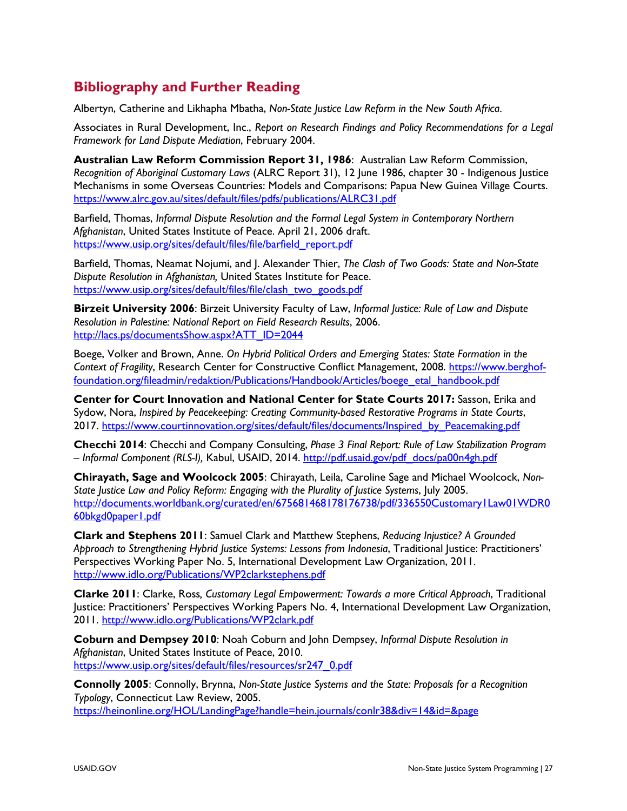## <span id="page-32-0"></span>**Bibliography and Further Reading**

Albertyn, Catherine and Likhapha Mbatha, *Non-State Justice Law Reform in the New South Africa*.

Associates in Rural Development, Inc., *Report on Research Findings and Policy Recommendations for a Legal Framework for Land Dispute Mediation*, February 2004.

**Australian Law Reform Commission Report 31, 1986**: Australian Law Reform Commission, *Recognition of Aboriginal Customary Laws* (ALRC Report 31), 12 June 1986, chapter 30 - Indigenous Justice Mechanisms in some Overseas Countries: Models and Comparisons: Papua New Guinea Village Courts. <https://www.alrc.gov.au/sites/default/files/pdfs/publications/ALRC31.pdf>

Barfield, Thomas, *Informal Dispute Resolution and the Formal Legal System in Contemporary Northern Afghanistan*, United States Institute of Peace. April 21, 2006 draft. [https://www.usip.org/sites/default/files/file/barfield\\_report.pdf](https://www.usip.org/sites/default/files/file/barfield_report.pdf)

Barfield, Thomas, Neamat Nojumi, and J. Alexander Thier, *The Clash of Two Goods: State and Non-State Dispute Resolution in Afghanistan,* United States Institute for Peace. [https://www.usip.org/sites/default/files/file/clash\\_two\\_goods.pdf](https://www.usip.org/sites/default/files/file/clash_two_goods.pdf)

**Birzeit University 2006**: Birzeit University Faculty of Law, *Informal Justice: Rule of Law and Dispute Resolution in Palestine: National Report on Field Research Results*, 2006. [http://lacs.ps/documentsShow.aspx?ATT\\_ID=2044](http://lacs.ps/documentsShow.aspx?ATT_ID=2044)

Boege, Volker and Brown, Anne. *On Hybrid Political Orders and Emerging States: State Formation in the Context of Fragility*, Research Center for Constructive Conflict Management, 2008. [https://www.berghof](https://www.berghof-foundation.org/fileadmin/redaktion/Publications/Handbook/Articles/boege_etal_handbook.pdf)[foundation.org/fileadmin/redaktion/Publications/Handbook/Articles/boege\\_etal\\_handbook.pdf](https://www.berghof-foundation.org/fileadmin/redaktion/Publications/Handbook/Articles/boege_etal_handbook.pdf)

**Center for Court Innovation and National Center for State Courts 2017:** Sasson, Erika and Sydow, Nora, *Inspired by Peacekeeping: Creating Community-based Restorative Programs in State Courts*, 2017. [https://www.courtinnovation.org/sites/default/files/documents/Inspired\\_by\\_Peacemaking.pdf](https://www.courtinnovation.org/sites/default/files/documents/Inspired_by_Peacemaking.pdf)

**Checchi 2014**: Checchi and Company Consulting, *Phase 3 Final Report: Rule of Law Stabilization Program – Informal Component (RLS-I),* Kabul, USAID, 2014. [http://pdf.usaid.gov/pdf\\_docs/pa00n4gh.pdf](http://pdf.usaid.gov/pdf_docs/pa00n4gh.pdf)

**Chirayath, Sage and Woolcock 2005**: Chirayath, Leila, Caroline Sage and Michael Woolcock, *Non-State Justice Law and Policy Reform: Engaging with the Plurality of Justice Systems*, July 2005. [http://documents.worldbank.org/curated/en/675681468178176738/pdf/336550Customary1Law01WDR0](http://documents.worldbank.org/curated/en/675681468178176738/pdf/336550Customary1Law01WDR060bkgd0paper1.pdf) [60bkgd0paper1.pdf](http://documents.worldbank.org/curated/en/675681468178176738/pdf/336550Customary1Law01WDR060bkgd0paper1.pdf)

**Clark and Stephens 2011**: Samuel Clark and Matthew Stephens, *Reducing Injustice? A Grounded Approach to Strengthening Hybrid Justice Systems: Lessons from Indonesia*, Traditional Justice: Practitioners' Perspectives Working Paper No. 5, International Development Law Organization, 2011. <http://www.idlo.org/Publications/WP2clarkstephens.pdf>

**Clarke 2011**: Clarke, Ross*, Customary Legal Empowerment: Towards a more Critical Approach*, Traditional Justice: Practitioners' Perspectives Working Papers No. 4, International Development Law Organization, 2011.<http://www.idlo.org/Publications/WP2clark.pdf>

**Coburn and Dempsey 2010**: Noah Coburn and John Dempsey, *Informal Dispute Resolution in Afghanistan*, United States Institute of Peace, 2010. [https://www.usip.org/sites/default/files/resources/sr247\\_0.pdf](https://www.usip.org/sites/default/files/resources/sr247_0.pdf)

**Connolly 2005**: Connolly, Brynna, *Non-State Justice Systems and the State: Proposals for a Recognition Typology*, Connecticut Law Review, 2005. <https://heinonline.org/HOL/LandingPage?handle=hein.journals/conlr38&div=14&id=&page>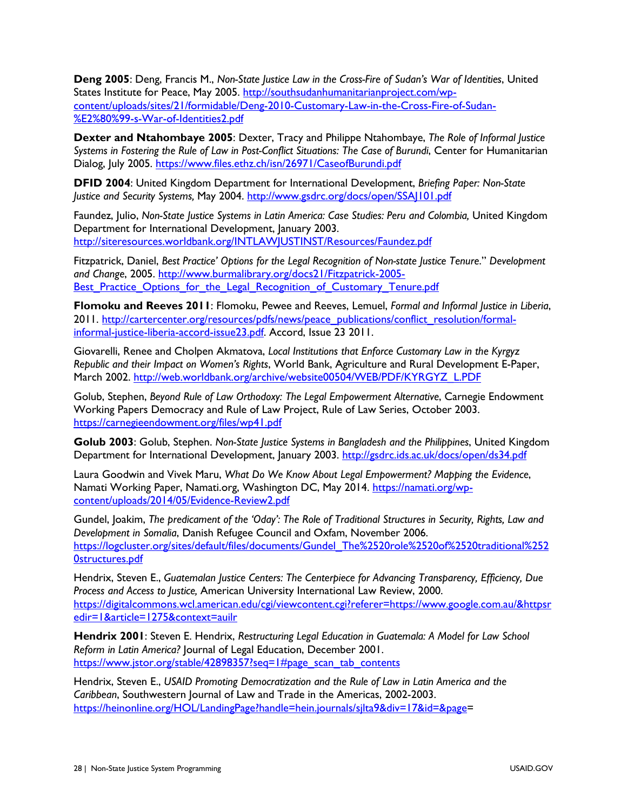**Deng 2005**: Deng, Francis M., *Non-State Justice Law in the Cross-Fire of Sudan's War of Identities*, United States Institute for Peace, May 2005. [http://southsudanhumanitarianproject.com/wp](http://southsudanhumanitarianproject.com/wp-content/uploads/sites/21/formidable/Deng-2010-Customary-Law-in-the-Cross-Fire-of-Sudan-%E2%80%99-s-War-of-Identities2.pdf)[content/uploads/sites/21/formidable/Deng-2010-Customary-Law-in-the-Cross-Fire-of-Sudan-](http://southsudanhumanitarianproject.com/wp-content/uploads/sites/21/formidable/Deng-2010-Customary-Law-in-the-Cross-Fire-of-Sudan-%E2%80%99-s-War-of-Identities2.pdf) [%E2%80%99-s-War-of-Identities2.pdf](http://southsudanhumanitarianproject.com/wp-content/uploads/sites/21/formidable/Deng-2010-Customary-Law-in-the-Cross-Fire-of-Sudan-%E2%80%99-s-War-of-Identities2.pdf)

**Dexter and Ntahombaye 2005**: Dexter, Tracy and Philippe Ntahombaye, *The Role of Informal Justice Systems in Fostering the Rule of Law in Post-Conflict Situations: The Case of Burundi*, Center for Humanitarian Dialog, July 2005.<https://www.files.ethz.ch/isn/26971/CaseofBurundi.pdf>

**DFID 2004**: United Kingdom Department for International Development, *Briefing Paper: Non-State Justice and Security Systems,* May 2004.<http://www.gsdrc.org/docs/open/SSAJ101.pdf>

Faundez, Julio, *Non-State Justice Systems in Latin America: Case Studies: Peru and Colombia,* United Kingdom Department for International Development, January 2003. <http://siteresources.worldbank.org/INTLAWJUSTINST/Resources/Faundez.pdf>

Fitzpatrick, Daniel, *Best Practice' Options for the Legal Recognition of Non-state Justice Tenure*." *Development and Change*, 2005. [http://www.burmalibrary.org/docs21/Fitzpatrick-2005-](http://www.burmalibrary.org/docs21/Fitzpatrick-2005-Best_Practice_Options_for_the_Legal_Recognition_of_Customary_Tenure.pdf) Best Practice Options for the Legal Recognition of Customary Tenure.pdf

**Flomoku and Reeves 2011**: Flomoku, Pewee and Reeves, Lemuel, *Formal and Informal Justice in Liberia*, 2011. [http://cartercenter.org/resources/pdfs/news/peace\\_publications/conflict\\_resolution/formal](http://cartercenter.org/resources/pdfs/news/peace_publications/conflict_resolution/formal-informal-justice-liberia-accord-issue23.pdf)[informal-justice-liberia-accord-issue23.pdf.](http://cartercenter.org/resources/pdfs/news/peace_publications/conflict_resolution/formal-informal-justice-liberia-accord-issue23.pdf) Accord, Issue 23 2011.

Giovarelli, Renee and Cholpen Akmatova, *Local Institutions that Enforce Customary Law in the Kyrgyz Republic and their Impact on Women's Rights*, World Bank, Agriculture and Rural Development E-Paper, March 2002. [http://web.worldbank.org/archive/website00504/WEB/PDF/KYRGYZ\\_L.PDF](http://web.worldbank.org/archive/website00504/WEB/PDF/KYRGYZ_L.PDF)

Golub, Stephen, *Beyond Rule of Law Orthodoxy: The Legal Empowerment Alternative*, Carnegie Endowment Working Papers Democracy and Rule of Law Project, Rule of Law Series, October 2003. <https://carnegieendowment.org/files/wp41.pdf>

**Golub 2003**: Golub, Stephen. *Non-State Justice Systems in Bangladesh and the Philippines*, United Kingdom Department for International Development, January 2003.<http://gsdrc.ids.ac.uk/docs/open/ds34.pdf>

Laura Goodwin and Vivek Maru, *What Do We Know About Legal Empowerment? Mapping the Evidence*, Namati Working Paper, Namati.org, Washington DC, May 2014[. https://namati.org/wp](https://namati.org/wp-content/uploads/2014/05/Evidence-Review2.pdf)[content/uploads/2014/05/Evidence-Review2.pdf](https://namati.org/wp-content/uploads/2014/05/Evidence-Review2.pdf)

Gundel, Joakim, *The predicament of the 'Oday': The Role of Traditional Structures in Security, Rights, Law and Development in Somalia*, Danish Refugee Council and Oxfam, November 2006. [https://logcluster.org/sites/default/files/documents/Gundel\\_The%2520role%2520of%2520traditional%252](https://logcluster.org/sites/default/files/documents/Gundel_The%2520role%2520of%2520traditional%2520structures.pdf) [0structures.pdf](https://logcluster.org/sites/default/files/documents/Gundel_The%2520role%2520of%2520traditional%2520structures.pdf)

Hendrix, Steven E., *Guatemalan Justice Centers: The Centerpiece for Advancing Transparency, Efficiency, Due Process and Access to Justice,* American University International Law Review, 2000. [https://digitalcommons.wcl.american.edu/cgi/viewcontent.cgi?referer=https://www.google.com.au/&httpsr](https://digitalcommons.wcl.american.edu/cgi/viewcontent.cgi?referer=https://www.google.com.au/&httpsredir=1&article=1275&context=auilr) [edir=1&article=1275&context=auilr](https://digitalcommons.wcl.american.edu/cgi/viewcontent.cgi?referer=https://www.google.com.au/&httpsredir=1&article=1275&context=auilr)

**Hendrix 2001**: Steven E. Hendrix, *Restructuring Legal Education in Guatemala: A Model for Law School Reform in Latin America?* Journal of Legal Education, December 2001. [https://www.jstor.org/stable/42898357?seq=1#page\\_scan\\_tab\\_contents](https://www.jstor.org/stable/42898357?seq=1#page_scan_tab_contents)

Hendrix, Steven E., *USAID Promoting Democratization and the Rule of Law in Latin America and the Caribbean*, Southwestern Journal of Law and Trade in the Americas, 2002-2003. [https://heinonline.org/HOL/LandingPage?handle=hein.journals/sjlta9&div=17&id=&page=](https://heinonline.org/HOL/LandingPage?handle=hein.journals/sjlta9&div=17&id=&page)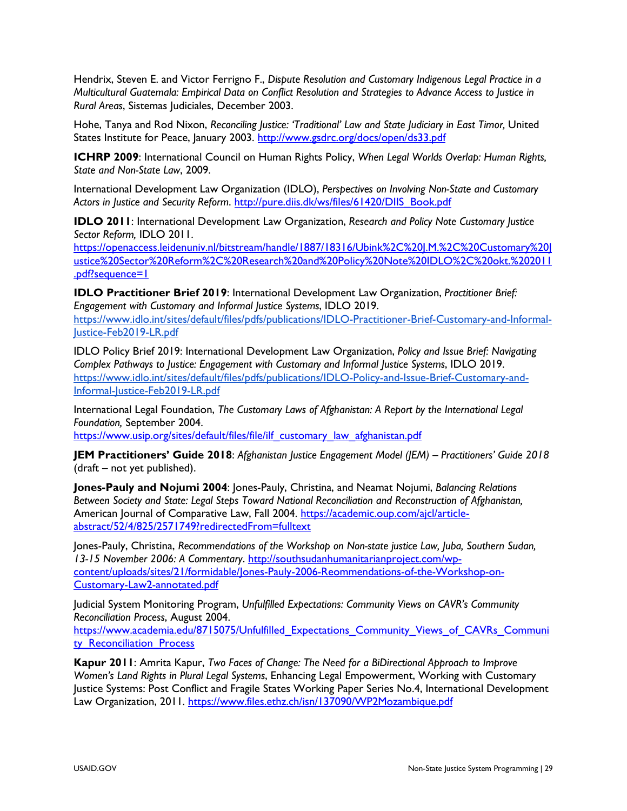Hendrix, Steven E. and Victor Ferrigno F., *Dispute Resolution and Customary Indigenous Legal Practice in a Multicultural Guatemala: Empirical Data on Conflict Resolution and Strategies to Advance Access to Justice in Rural Areas*, Sistemas Judiciales, December 2003.

Hohe, Tanya and Rod Nixon, *Reconciling Justice: 'Traditional' Law and State Judiciary in East Timor,* United States Institute for Peace, January 2003.<http://www.gsdrc.org/docs/open/ds33.pdf>

**ICHRP 2009**: International Council on Human Rights Policy, *When Legal Worlds Overlap: Human Rights, State and Non-State Law*, 2009.

International Development Law Organization (IDLO), *Perspectives on Involving Non-State and Customary Actors in Justice and Security Reform*. [http://pure.diis.dk/ws/files/61420/DIIS\\_Book.pdf](http://pure.diis.dk/ws/files/61420/DIIS_Book.pdf)

**IDLO 2011**: International Development Law Organization, *Research and Policy Note Customary Justice Sector Reform,* IDLO 2011.

[https://openaccess.leidenuniv.nl/bitstream/handle/1887/18316/Ubink%2C%20J.M.%2C%20Customary%20J](https://openaccess.leidenuniv.nl/bitstream/handle/1887/18316/Ubink%2C%20J.M.%2C%20Customary%20Justice%20Sector%20Reform%2C%20Research%20and%20Policy%20Note%20IDLO%2C%20okt.%202011.pdf?sequence=1) [ustice%20Sector%20Reform%2C%20Research%20and%20Policy%20Note%20IDLO%2C%20okt.%202011](https://openaccess.leidenuniv.nl/bitstream/handle/1887/18316/Ubink%2C%20J.M.%2C%20Customary%20Justice%20Sector%20Reform%2C%20Research%20and%20Policy%20Note%20IDLO%2C%20okt.%202011.pdf?sequence=1) [.pdf?sequence=1](https://openaccess.leidenuniv.nl/bitstream/handle/1887/18316/Ubink%2C%20J.M.%2C%20Customary%20Justice%20Sector%20Reform%2C%20Research%20and%20Policy%20Note%20IDLO%2C%20okt.%202011.pdf?sequence=1)

**IDLO Practitioner Brief 2019**: International Development Law Organization, *Practitioner Brief: Engagement with Customary and Informal Justice Systems*, IDLO 2019. [https://www.idlo.int/sites/default/files/pdfs/publications/IDLO-Practitioner-Brief-Customary-and-Informal-](https://www.idlo.int/sites/default/files/pdfs/publications/IDLO-Practitioner-Brief-Customary-and-Informal-Justice-Feb2019-LR.pdf)[Justice-Feb2019-LR.pdf](https://www.idlo.int/sites/default/files/pdfs/publications/IDLO-Practitioner-Brief-Customary-and-Informal-Justice-Feb2019-LR.pdf)

IDLO Policy Brief 2019: International Development Law Organization, *Policy and Issue Brief: Navigating Complex Pathways to Justice: Engagement with Customary and Informal Justice Systems*, IDLO 2019. [https://www.idlo.int/sites/default/files/pdfs/publications/IDLO-Policy-and-Issue-Brief-Customary-and-](https://www.idlo.int/sites/default/files/pdfs/publications/IDLO-Policy-and-Issue-Brief-Customary-and-Informal-Justice-Feb2019-LR.pdf)[Informal-Justice-Feb2019-LR.pdf](https://www.idlo.int/sites/default/files/pdfs/publications/IDLO-Policy-and-Issue-Brief-Customary-and-Informal-Justice-Feb2019-LR.pdf)

International Legal Foundation, *The Customary Laws of Afghanistan: A Report by the International Legal Foundation,* September 2004.

[https://www.usip.org/sites/default/files/file/ilf\\_customary\\_law\\_afghanistan.pdf](https://www.usip.org/sites/default/files/file/ilf_customary_law_afghanistan.pdf)

**JEM Practitioners' Guide 2018**: *Afghanistan Justice Engagement Model (JEM) – Practitioners' Guide 2018* (draft – not yet published).

**Jones-Pauly and Nojumi 2004**: Jones-Pauly, Christina, and Neamat Nojumi, *Balancing Relations Between Society and State: Legal Steps Toward National Reconciliation and Reconstruction of Afghanistan,* American Journal of Comparative Law, Fall 2004. [https://academic.oup.com/ajcl/article](https://academic.oup.com/ajcl/article-abstract/52/4/825/2571749?redirectedFrom=fulltext)[abstract/52/4/825/2571749?redirectedFrom=fulltext](https://academic.oup.com/ajcl/article-abstract/52/4/825/2571749?redirectedFrom=fulltext)

Jones-Pauly, Christina, *Recommendations of the Workshop on Non-state justice Law, Juba, Southern Sudan, 13-15 November 2006: A Commentary*. [http://southsudanhumanitarianproject.com/wp](http://southsudanhumanitarianproject.com/wp-content/uploads/sites/21/formidable/Jones-Pauly-2006-Reommendations-of-the-Workshop-on-Customary-Law2-annotated.pdf)[content/uploads/sites/21/formidable/Jones-Pauly-2006-Reommendations-of-the-Workshop-on-](http://southsudanhumanitarianproject.com/wp-content/uploads/sites/21/formidable/Jones-Pauly-2006-Reommendations-of-the-Workshop-on-Customary-Law2-annotated.pdf)[Customary-Law2-annotated.pdf](http://southsudanhumanitarianproject.com/wp-content/uploads/sites/21/formidable/Jones-Pauly-2006-Reommendations-of-the-Workshop-on-Customary-Law2-annotated.pdf)

Judicial System Monitoring Program, *Unfulfilled Expectations: Community Views on CAVR's Community Reconciliation Process*, August 2004.

[https://www.academia.edu/8715075/Unfulfilled\\_Expectations\\_Community\\_Views\\_of\\_CAVRs\\_Communi](https://www.academia.edu/8715075/Unfulfilled_Expectations_Community_Views_of_CAVRs_Community_Reconciliation_Process) ty Reconciliation Process

**Kapur 2011**: Amrita Kapur, *Two Faces of Change: The Need for a BiDirectional Approach to Improve Women's Land Rights in Plural Legal Systems*, Enhancing Legal Empowerment, Working with Customary Justice Systems: Post Conflict and Fragile States Working Paper Series No.4, International Development Law Organization, 2011.<https://www.files.ethz.ch/isn/137090/WP2Mozambique.pdf>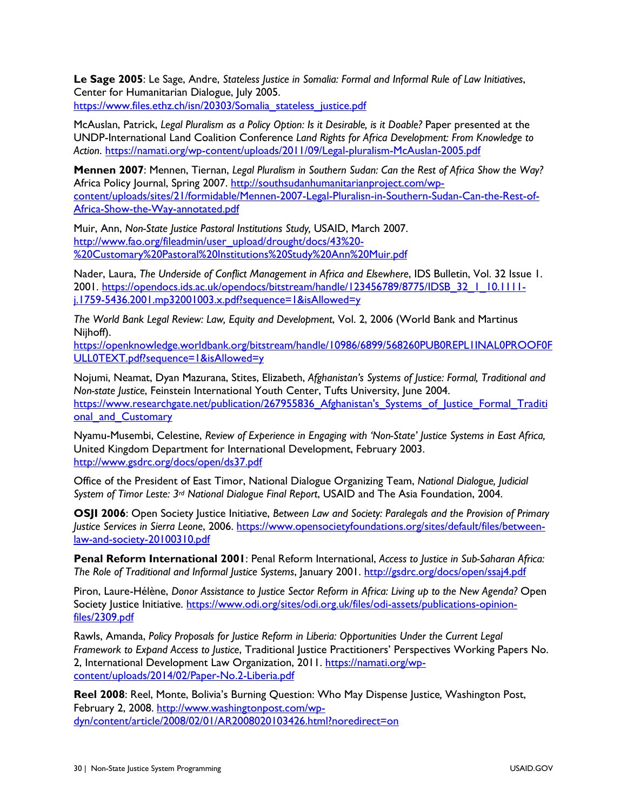**Le Sage 2005**: Le Sage, Andre, *Stateless Justice in Somalia: Formal and Informal Rule of Law Initiatives*, Center for Humanitarian Dialogue, July 2005. [https://www.files.ethz.ch/isn/20303/Somalia\\_stateless\\_justice.pdf](https://www.files.ethz.ch/isn/20303/Somalia_stateless_justice.pdf)

McAuslan, Patrick, *Legal Pluralism as a Policy Option: Is it Desirable, is it Doable?* Paper presented at the UNDP-International Land Coalition Conference *Land Rights for Africa Development: From Knowledge to Action*.<https://namati.org/wp-content/uploads/2011/09/Legal-pluralism-McAuslan-2005.pdf>

**Mennen 2007**: Mennen, Tiernan, *Legal Pluralism in Southern Sudan: Can the Rest of Africa Show the Way?*  Africa Policy Journal, Spring 2007. [http://southsudanhumanitarianproject.com/wp](http://southsudanhumanitarianproject.com/wp-content/uploads/sites/21/formidable/Mennen-2007-Legal-Pluralisn-in-Southern-Sudan-Can-the-Rest-of-Africa-Show-the-Way-annotated.pdf)[content/uploads/sites/21/formidable/Mennen-2007-Legal-Pluralisn-in-Southern-Sudan-Can-the-Rest-of-](http://southsudanhumanitarianproject.com/wp-content/uploads/sites/21/formidable/Mennen-2007-Legal-Pluralisn-in-Southern-Sudan-Can-the-Rest-of-Africa-Show-the-Way-annotated.pdf)[Africa-Show-the-Way-annotated.pdf](http://southsudanhumanitarianproject.com/wp-content/uploads/sites/21/formidable/Mennen-2007-Legal-Pluralisn-in-Southern-Sudan-Can-the-Rest-of-Africa-Show-the-Way-annotated.pdf)

Muir, Ann, *Non-State Justice Pastoral Institutions Study,* USAID, March 2007. [http://www.fao.org/fileadmin/user\\_upload/drought/docs/43%20-](http://www.fao.org/fileadmin/user_upload/drought/docs/43%20-%20Customary%20Pastoral%20Institutions%20Study%20Ann%20Muir.pdf) [%20Customary%20Pastoral%20Institutions%20Study%20Ann%20Muir.pdf](http://www.fao.org/fileadmin/user_upload/drought/docs/43%20-%20Customary%20Pastoral%20Institutions%20Study%20Ann%20Muir.pdf)

Nader, Laura, *The Underside of Conflict Management in Africa and Elsewhere*, IDS Bulletin, Vol. 32 Issue 1. 2001. [https://opendocs.ids.ac.uk/opendocs/bitstream/handle/123456789/8775/IDSB\\_32\\_1\\_10.1111](https://opendocs.ids.ac.uk/opendocs/bitstream/handle/123456789/8775/IDSB_32_1_10.1111-j.1759-5436.2001.mp32001003.x.pdf?sequence=1&isAllowed=y) [j.1759-5436.2001.mp32001003.x.pdf?sequence=1&isAllowed=y](https://opendocs.ids.ac.uk/opendocs/bitstream/handle/123456789/8775/IDSB_32_1_10.1111-j.1759-5436.2001.mp32001003.x.pdf?sequence=1&isAllowed=y)

*The World Bank Legal Review: Law, Equity and Development*, Vol. 2, 2006 (World Bank and Martinus Nijhoff).

[https://openknowledge.worldbank.org/bitstream/handle/10986/6899/568260PUB0REPL1INAL0PROOF0F](https://openknowledge.worldbank.org/bitstream/handle/10986/6899/568260PUB0REPL1INAL0PROOF0FULL0TEXT.pdf?sequence=1&isAllowed=y) [ULL0TEXT.pdf?sequence=1&isAllowed=y](https://openknowledge.worldbank.org/bitstream/handle/10986/6899/568260PUB0REPL1INAL0PROOF0FULL0TEXT.pdf?sequence=1&isAllowed=y)

Nojumi, Neamat, Dyan Mazurana, Stites, Elizabeth, *Afghanistan's Systems of Justice: Formal, Traditional and Non-state Justice*, Feinstein International Youth Center, Tufts University, June 2004. https://www.researchgate.net/publication/267955836 Afghanistan's Systems of Justice Formal Traditi onal and Customary

Nyamu-Musembi, Celestine, *Review of Experience in Engaging with 'Non-State' Justice Systems in East Africa,* United Kingdom Department for International Development, February 2003. <http://www.gsdrc.org/docs/open/ds37.pdf>

Office of the President of East Timor, National Dialogue Organizing Team, *National Dialogue, Judicial System of Timor Leste: 3rd National Dialogue Final Report*, USAID and The Asia Foundation, 2004.

**OSJI 2006**: Open Society Justice Initiative, *Between Law and Society: Paralegals and the Provision of Primary Justice Services in Sierra Leone*, 2006. [https://www.opensocietyfoundations.org/sites/default/files/between](https://www.opensocietyfoundations.org/sites/default/files/between-law-and-society-20100310.pdf)[law-and-society-20100310.pdf](https://www.opensocietyfoundations.org/sites/default/files/between-law-and-society-20100310.pdf)

**Penal Reform International 2001**: Penal Reform International, *Access to Justice in Sub-Saharan Africa: The Role of Traditional and Informal Justice Systems*, January 2001.<http://gsdrc.org/docs/open/ssaj4.pdf>

Piron, Laure-Hélène, *Donor Assistance to Justice Sector Reform in Africa: Living up to the New Agenda?* Open Society Justice Initiative. [https://www.odi.org/sites/odi.org.uk/files/odi-assets/publications-opinion](https://www.odi.org/sites/odi.org.uk/files/odi-assets/publications-opinion-files/2309.pdf)[files/2309.pdf](https://www.odi.org/sites/odi.org.uk/files/odi-assets/publications-opinion-files/2309.pdf)

Rawls, Amanda, *Policy Proposals for Justice Reform in Liberia: Opportunities Under the Current Legal Framework to Expand Access to Justice*, Traditional Justice Practitioners' Perspectives Working Papers No. 2, International Development Law Organization, 2011. [https://namati.org/wp](https://namati.org/wp-content/uploads/2014/02/Paper-No.2-Liberia.pdf)[content/uploads/2014/02/Paper-No.2-Liberia.pdf](https://namati.org/wp-content/uploads/2014/02/Paper-No.2-Liberia.pdf)

**Reel 2008**: Reel, Monte, Bolivia's Burning Question: Who May Dispense Justice*,* Washington Post, February 2, 2008. [http://www.washingtonpost.com/wp](http://www.washingtonpost.com/wp-dyn/content/article/2008/02/01/AR2008020103426.html?noredirect=on)[dyn/content/article/2008/02/01/AR2008020103426.html?noredirect=on](http://www.washingtonpost.com/wp-dyn/content/article/2008/02/01/AR2008020103426.html?noredirect=on)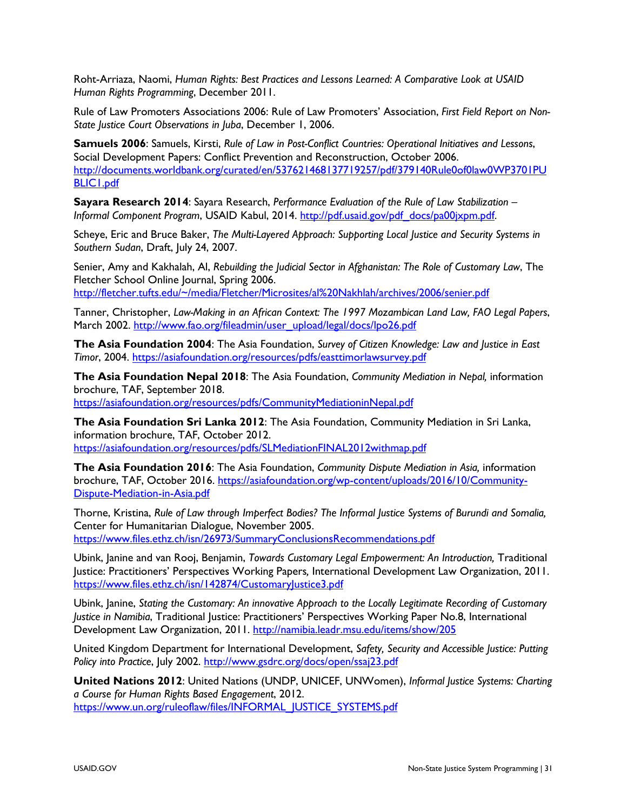Roht-Arriaza, Naomi, *Human Rights: Best Practices and Lessons Learned: A Comparative Look at USAID Human Rights Programming*, December 2011.

Rule of Law Promoters Associations 2006: Rule of Law Promoters' Association, *First Field Report on Non-State Justice Court Observations in Juba*, December 1, 2006.

**Samuels 2006**: Samuels, Kirsti, *Rule of Law in Post-Conflict Countries: Operational Initiatives and Lessons*, Social Development Papers: Conflict Prevention and Reconstruction, October 2006. [http://documents.worldbank.org/curated/en/537621468137719257/pdf/379140Rule0of0law0WP3701PU](http://documents.worldbank.org/curated/en/537621468137719257/pdf/379140Rule0of0law0WP3701PUBLIC1.pdf) [BLIC1.pdf](http://documents.worldbank.org/curated/en/537621468137719257/pdf/379140Rule0of0law0WP3701PUBLIC1.pdf)

**Sayara Research 2014**: Sayara Research, *Performance Evaluation of the Rule of Law Stabilization – Informal Component Program*, USAID Kabul, 2014. [http://pdf.usaid.gov/pdf\\_docs/pa00jxpm.pdf.](http://pdf.usaid.gov/pdf_docs/pa00jxpm.pdf)

Scheye, Eric and Bruce Baker, *The Multi-Layered Approach: Supporting Local Justice and Security Systems in Southern Sudan*, Draft, July 24, 2007.

Senier, Amy and Kakhalah, Al, *Rebuilding the Judicial Sector in Afghanistan: The Role of Customary Law*, The Fletcher School Online Journal, Spring 2006.

[http://fletcher.tufts.edu/~/media/Fletcher/Microsites/al%20Nakhlah/archives/2006/senier.pdf](http://fletcher.tufts.edu/%7E/media/Fletcher/Microsites/al%20Nakhlah/archives/2006/senier.pdf)

Tanner, Christopher, *Law-Making in an African Context: The 1997 Mozambican Land Law, FAO Legal Papers*, March 2002. [http://www.fao.org/fileadmin/user\\_upload/legal/docs/lpo26.pdf](http://www.fao.org/fileadmin/user_upload/legal/docs/lpo26.pdf)

**The Asia Foundation 2004**: The Asia Foundation, *Survey of Citizen Knowledge: Law and Justice in East Timor*, 2004.<https://asiafoundation.org/resources/pdfs/easttimorlawsurvey.pdf>

**The Asia Foundation Nepal 2018**: The Asia Foundation, *Community Mediation in Nepal,* information brochure, TAF, September 2018. <https://asiafoundation.org/resources/pdfs/CommunityMediationinNepal.pdf>

**The Asia Foundation Sri Lanka 2012**: The Asia Foundation, Community Mediation in Sri Lanka, information brochure, TAF, October 2012. <https://asiafoundation.org/resources/pdfs/SLMediationFINAL2012withmap.pdf>

**The Asia Foundation 2016**: The Asia Foundation, *Community Dispute Mediation in Asia,* information brochure, TAF, October 2016. [https://asiafoundation.org/wp-content/uploads/2016/10/Community-](https://asiafoundation.org/wp-content/uploads/2016/10/Community-Dispute-Mediation-in-Asia.pdf)[Dispute-Mediation-in-Asia.pdf](https://asiafoundation.org/wp-content/uploads/2016/10/Community-Dispute-Mediation-in-Asia.pdf)

Thorne, Kristina, *Rule of Law through Imperfect Bodies? The Informal Justice Systems of Burundi and Somalia,* Center for Humanitarian Dialogue, November 2005. <https://www.files.ethz.ch/isn/26973/SummaryConclusionsRecommendations.pdf>

Ubink, Janine and van Rooj, Benjamin, *Towards Customary Legal Empowerment: An Introduction,* Traditional Justice: Practitioners' Perspectives Working Papers*,* International Development Law Organization, 2011. <https://www.files.ethz.ch/isn/142874/CustomaryJustice3.pdf>

Ubink, Janine, *Stating the Customary: An innovative Approach to the Locally Legitimate Recording of Customary Justice in Namibia*, Traditional Justice: Practitioners' Perspectives Working Paper No.8, International Development Law Organization, 2011.<http://namibia.leadr.msu.edu/items/show/205>

United Kingdom Department for International Development, *Safety, Security and Accessible Justice: Putting Policy into Practice*, July 2002.<http://www.gsdrc.org/docs/open/ssaj23.pdf>

**United Nations 2012**: United Nations (UNDP, UNICEF, UNWomen), *Informal Justice Systems: Charting a Course for Human Rights Based Engagement*, 2012. [https://www.un.org/ruleoflaw/files/INFORMAL\\_JUSTICE\\_SYSTEMS.pdf](https://www.un.org/ruleoflaw/files/INFORMAL_JUSTICE_SYSTEMS.pdf)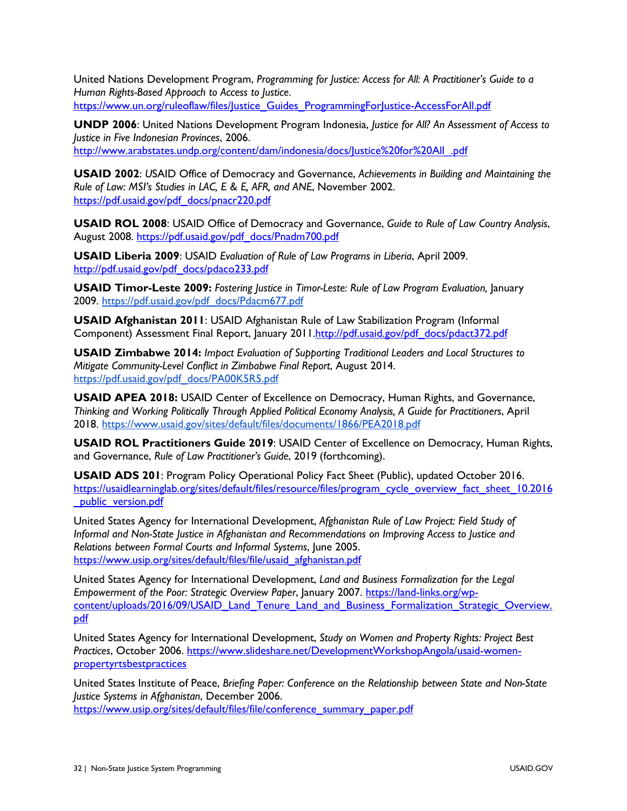United Nations Development Program, *Programming for Justice: Access for All: A Practitioner's Guide to a Human Rights-Based Approach to Access to Justice*. [https://www.un.org/ruleoflaw/files/Justice\\_Guides\\_ProgrammingForJustice-AccessForAll.pdf](https://www.un.org/ruleoflaw/files/Justice_Guides_ProgrammingForJustice-AccessForAll.pdf)

**UNDP 2006**: United Nations Development Program Indonesia, *Justice for All? An Assessment of Access to Justice in Five Indonesian Provinces*, 2006. [http://www.arabstates.undp.org/content/dam/indonesia/docs/Justice%20for%20All\\_.pdf](http://www.arabstates.undp.org/content/dam/indonesia/docs/Justice%20for%20All_.pdf)

**USAID 2002**: *U*SAID Office of Democracy and Governance, *Achievements in Building and Maintaining the Rule of Law: MSI's Studies in LAC, E & E, AFR, and ANE*, November 2002. [https://pdf.usaid.gov/pdf\\_docs/pnacr220.pdf](https://pdf.usaid.gov/pdf_docs/pnacr220.pdf)

**USAID ROL 2008**: USAID Office of Democracy and Governance, *Guide to Rule of Law Country Analysis*, August 2008. [https://pdf.usaid.gov/pdf\\_docs/Pnadm700.pdf](https://pdf.usaid.gov/pdf_docs/Pnadm700.pdf)

**USAID Liberia 2009**: USAID *Evaluation of Rule of Law Programs in Liberia*, April 2009. [http://pdf.usaid.gov/pdf\\_docs/pdaco233.pdf](http://pdf.usaid.gov/pdf_docs/pdaco233.pdf)

**USAID Timor-Leste 2009:** *Fostering Justice in Timor-Leste: Rule of Law Program Evaluation,* January 2009. [https://pdf.usaid.gov/pdf\\_docs/Pdacm677.pdf](https://pdf.usaid.gov/pdf_docs/Pdacm677.pdf)

**USAID Afghanistan 2011**: USAID Afghanistan Rule of Law Stabilization Program (Informal Component) Assessment Final Report, January 2011[.http://pdf.usaid.gov/pdf\\_docs/pdact372.pdf](http://pdf.usaid.gov/pdf_docs/pdact372.pdf)

**USAID Zimbabwe 2014:** *Impact Evaluation of Supporting Traditional Leaders and Local Structures to Mitigate Community-Level Conflict in Zimbabwe Final Report*, August 2014. [https://pdf.usaid.gov/pdf\\_docs/PA00K5R5.pdf](https://pdf.usaid.gov/pdf_docs/PA00K5R5.pdf)

**USAID APEA 2018:** USAID Center of Excellence on Democracy, Human Rights, and Governance, *Thinking and Working Politically Through Applied Political Economy Analysis, A Guide for Practitioners*, April 2018.<https://www.usaid.gov/sites/default/files/documents/1866/PEA2018.pdf>

**USAID ROL Practitioners Guide 2019**: USAID Center of Excellence on Democracy, Human Rights, and Governance, *Rule of Law Practitioner's Guide*, 2019 (forthcoming).

**USAID ADS 201**: Program Policy Operational Policy Fact Sheet (Public), updated October 2016. [https://usaidlearninglab.org/sites/default/files/resource/files/program\\_cycle\\_overview\\_fact\\_sheet\\_10.2016](https://usaidlearninglab.org/sites/default/files/resource/files/program_cycle_overview_fact_sheet_10.2016_public_version.pdf) public\_version.pdf

United States Agency for International Development, *Afghanistan Rule of Law Project: Field Study of Informal and Non-State Justice in Afghanistan and Recommendations on Improving Access to Justice and Relations between Formal Courts and Informal Systems*, June 2005. [https://www.usip.org/sites/default/files/file/usaid\\_afghanistan.pdf](https://www.usip.org/sites/default/files/file/usaid_afghanistan.pdf)

United States Agency for International Development, *Land and Business Formalization for the Legal Empowerment of the Poor: Strategic Overview Paper*, January 2007. [https://land-links.org/wp](https://land-links.org/wp-content/uploads/2016/09/USAID_Land_Tenure_Land_and_Business_Formalization_Strategic_Overview.pdf)[content/uploads/2016/09/USAID\\_Land\\_Tenure\\_Land\\_and\\_Business\\_Formalization\\_Strategic\\_Overview.](https://land-links.org/wp-content/uploads/2016/09/USAID_Land_Tenure_Land_and_Business_Formalization_Strategic_Overview.pdf) [pdf](https://land-links.org/wp-content/uploads/2016/09/USAID_Land_Tenure_Land_and_Business_Formalization_Strategic_Overview.pdf)

United States Agency for International Development, *Study on Women and Property Rights: Project Best Practices*, October 2006. [https://www.slideshare.net/DevelopmentWorkshopAngola/usaid-women](https://www.slideshare.net/DevelopmentWorkshopAngola/usaid-women-propertyrtsbestpractices)[propertyrtsbestpractices](https://www.slideshare.net/DevelopmentWorkshopAngola/usaid-women-propertyrtsbestpractices)

United States Institute of Peace, *Briefing Paper: Conference on the Relationship between State and Non-State Justice Systems in Afghanistan*, December 2006.

[https://www.usip.org/sites/default/files/file/conference\\_summary\\_paper.pdf](https://www.usip.org/sites/default/files/file/conference_summary_paper.pdf)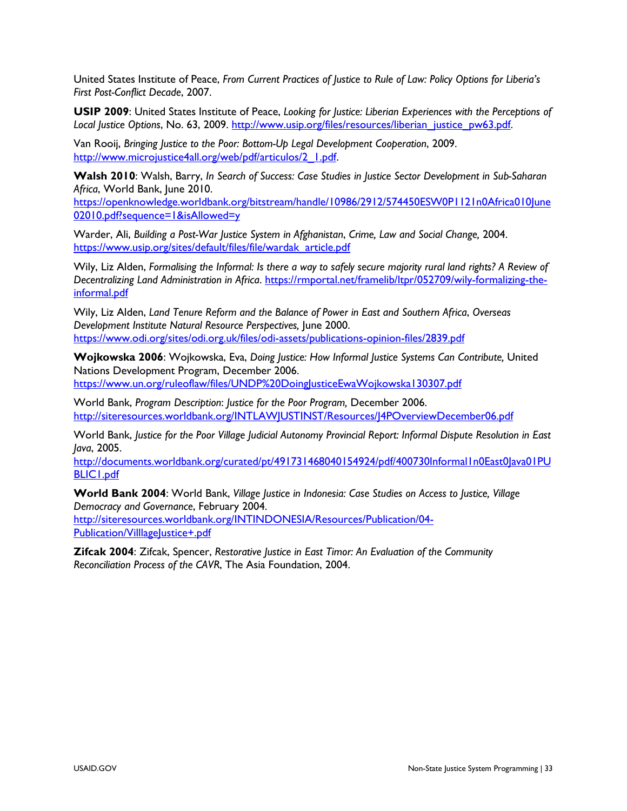United States Institute of Peace, *From Current Practices of Justice to Rule of Law: Policy Options for Liberia's First Post-Conflict Decade*, 2007.

**USIP 2009**: United States Institute of Peace, *Looking for Justice: Liberian Experiences with the Perceptions of Local Justice Options*, No. 63, 2009. [http://www.usip.org/files/resources/liberian\\_justice\\_pw63.pdf.](http://www.usip.org/files/resources/liberian_justice_pw63.pdf)

Van Rooij, *Bringing Justice to the Poor: Bottom-Up Legal Development Cooperation*, 2009. [http://www.microjustice4all.org/web/pdf/articulos/2\\_1.pdf.](http://www.microjustice4all.org/web/pdf/articulos/2_1.pdf)

**Walsh 2010**: Walsh, Barry, *In Search of Success: Case Studies in Justice Sector Development in Sub-Saharan Africa*, World Bank, June 2010.

[https://openknowledge.worldbank.org/bitstream/handle/10986/2912/574450ESW0P1121n0Africa010June](https://openknowledge.worldbank.org/bitstream/handle/10986/2912/574450ESW0P1121n0Africa010June02010.pdf?sequence=1&isAllowed=y) [02010.pdf?sequence=1&isAllowed=y](https://openknowledge.worldbank.org/bitstream/handle/10986/2912/574450ESW0P1121n0Africa010June02010.pdf?sequence=1&isAllowed=y)

Warder, Ali, *Building a Post-War Justice System in Afghanistan*, *Crime, Law and Social Change,* 2004. [https://www.usip.org/sites/default/files/file/wardak\\_article.pdf](https://www.usip.org/sites/default/files/file/wardak_article.pdf)

Wily, Liz Alden, *Formalising the Informal: Is there a way to safely secure majority rural land rights? A Review of Decentralizing Land Administration in Africa*. [https://rmportal.net/framelib/ltpr/052709/wily-formalizing-the](https://rmportal.net/framelib/ltpr/052709/wily-formalizing-the-informal.pdf)[informal.pdf](https://rmportal.net/framelib/ltpr/052709/wily-formalizing-the-informal.pdf)

Wily, Liz Alden, *Land Tenure Reform and the Balance of Power in East and Southern Africa*, *Overseas Development Institute Natural Resource Perspectives,* June 2000. <https://www.odi.org/sites/odi.org.uk/files/odi-assets/publications-opinion-files/2839.pdf>

**Wojkowska 2006**: Wojkowska, Eva, *Doing Justice: How Informal Justice Systems Can Contribute,* United Nations Development Program, December 2006. <https://www.un.org/ruleoflaw/files/UNDP%20DoingJusticeEwaWojkowska130307.pdf>

World Bank, *Program Description*: *Justice for the Poor Program,* December 2006. <http://siteresources.worldbank.org/INTLAWJUSTINST/Resources/J4POverviewDecember06.pdf>

World Bank, *Justice for the Poor Village Judicial Autonomy Provincial Report: Informal Dispute Resolution in East Java*, 2005.

[http://documents.worldbank.org/curated/pt/491731468040154924/pdf/400730Informal1n0East0Java01PU](http://documents.worldbank.org/curated/pt/491731468040154924/pdf/400730Informal1n0East0Java01PUBLIC1.pdf) [BLIC1.pdf](http://documents.worldbank.org/curated/pt/491731468040154924/pdf/400730Informal1n0East0Java01PUBLIC1.pdf)

**World Bank 2004**: World Bank, *Village Justice in Indonesia: Case Studies on Access to Justice, Village Democracy and Governance*, February 2004. [http://siteresources.worldbank.org/INTINDONESIA/Resources/Publication/04-](http://siteresources.worldbank.org/INTINDONESIA/Resources/Publication/04-Publication/VilllageJustice+.pdf) [Publication/VilllageJustice+.pdf](http://siteresources.worldbank.org/INTINDONESIA/Resources/Publication/04-Publication/VilllageJustice+.pdf)

**Zifcak 2004**: Zifcak, Spencer, *Restorative Justice in East Timor: An Evaluation of the Community Reconciliation Process of the CAVR*, The Asia Foundation, 2004.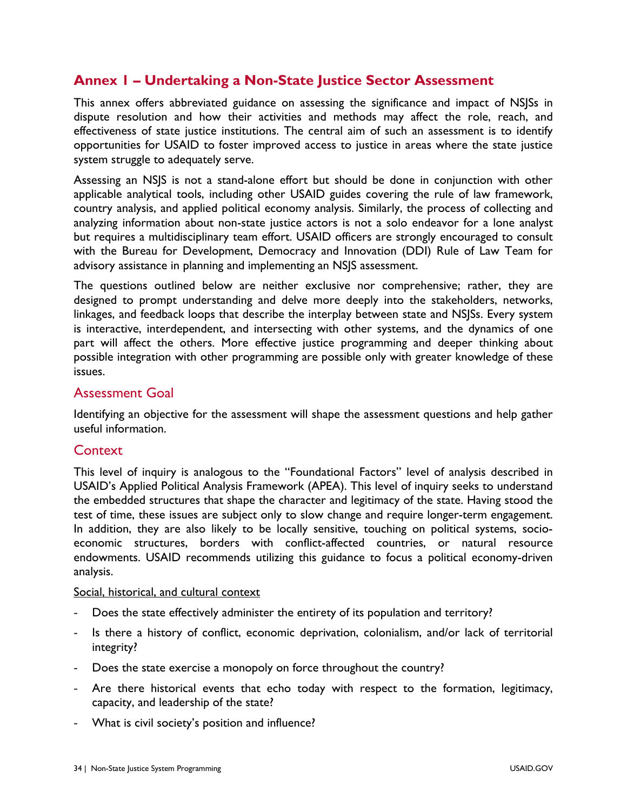## <span id="page-39-0"></span>**Annex 1 – Undertaking a Non-State Justice Sector Assessment**

This annex offers abbreviated guidance on assessing the significance and impact of NSJSs in dispute resolution and how their activities and methods may affect the role, reach, and effectiveness of state justice institutions. The central aim of such an assessment is to identify opportunities for USAID to foster improved access to justice in areas where the state justice system struggle to adequately serve.

Assessing an NSJS is not a stand-alone effort but should be done in conjunction with other applicable analytical tools, including other USAID guides covering the rule of law framework, country analysis, and applied political economy analysis. Similarly, the process of collecting and analyzing information about non-state justice actors is not a solo endeavor for a lone analyst but requires a multidisciplinary team effort. USAID officers are strongly encouraged to consult with the Bureau for Development, Democracy and Innovation (DDI) Rule of Law Team for advisory assistance in planning and implementing an NSJS assessment.

The questions outlined below are neither exclusive nor comprehensive; rather, they are designed to prompt understanding and delve more deeply into the stakeholders, networks, linkages, and feedback loops that describe the interplay between state and NSJSs. Every system is interactive, interdependent, and intersecting with other systems, and the dynamics of one part will affect the others. More effective justice programming and deeper thinking about possible integration with other programming are possible only with greater knowledge of these issues.

## <span id="page-39-1"></span>Assessment Goal

Identifying an objective for the assessment will shape the assessment questions and help gather useful information.

## <span id="page-39-2"></span>**Context**

This level of inquiry is analogous to the "Foundational Factors" level of analysis described in USAID's Applied Political Analysis Framework (APEA). This level of inquiry seeks to understand the embedded structures that shape the character and legitimacy of the state. Having stood the test of time, these issues are subject only to slow change and require longer-term engagement. In addition, they are also likely to be locally sensitive, touching on political systems, socioeconomic structures, borders with conflict-affected countries, or natural resource endowments. USAID recommends utilizing this guidance to focus a political economy-driven analysis.

#### Social, historical, and cultural context

- Does the state effectively administer the entirety of its population and territory?
- Is there a history of conflict, economic deprivation, colonialism, and/or lack of territorial integrity?
- Does the state exercise a monopoly on force throughout the country?
- Are there historical events that echo today with respect to the formation, legitimacy, capacity, and leadership of the state?
- What is civil society's position and influence?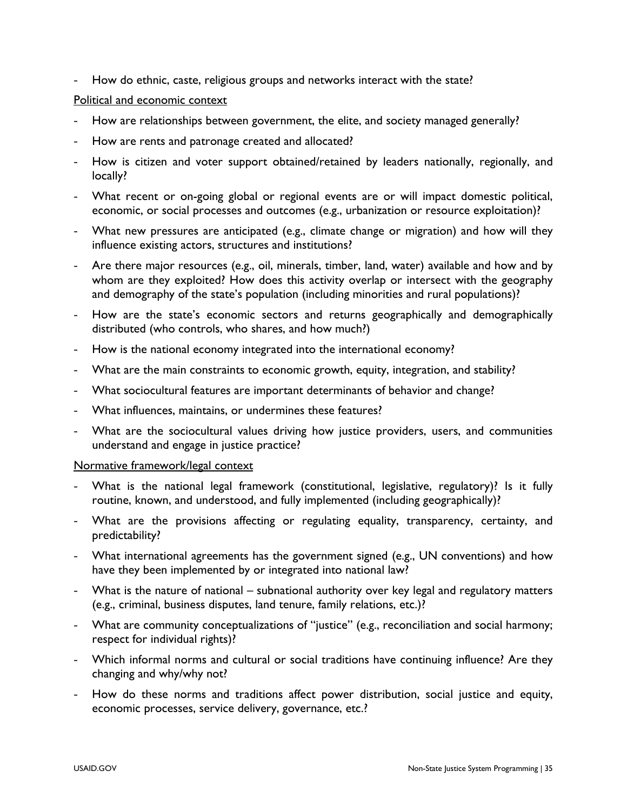How do ethnic, caste, religious groups and networks interact with the state?

#### Political and economic context

- How are relationships between government, the elite, and society managed generally?
- How are rents and patronage created and allocated?
- How is citizen and voter support obtained/retained by leaders nationally, regionally, and locally?
- What recent or on-going global or regional events are or will impact domestic political, economic, or social processes and outcomes (e.g., urbanization or resource exploitation)?
- What new pressures are anticipated (e.g., climate change or migration) and how will they influence existing actors, structures and institutions?
- Are there major resources (e.g., oil, minerals, timber, land, water) available and how and by whom are they exploited? How does this activity overlap or intersect with the geography and demography of the state's population (including minorities and rural populations)?
- How are the state's economic sectors and returns geographically and demographically distributed (who controls, who shares, and how much?)
- How is the national economy integrated into the international economy?
- What are the main constraints to economic growth, equity, integration, and stability?
- What sociocultural features are important determinants of behavior and change?
- What influences, maintains, or undermines these features?
- What are the sociocultural values driving how justice providers, users, and communities understand and engage in justice practice?

#### Normative framework/legal context

- What is the national legal framework (constitutional, legislative, regulatory)? Is it fully routine, known, and understood, and fully implemented (including geographically)?
- What are the provisions affecting or regulating equality, transparency, certainty, and predictability?
- What international agreements has the government signed (e.g., UN conventions) and how have they been implemented by or integrated into national law?
- What is the nature of national subnational authority over key legal and regulatory matters (e.g., criminal, business disputes, land tenure, family relations, etc.)?
- What are community conceptualizations of "justice" (e.g., reconciliation and social harmony; respect for individual rights)?
- Which informal norms and cultural or social traditions have continuing influence? Are they changing and why/why not?
- How do these norms and traditions affect power distribution, social justice and equity, economic processes, service delivery, governance, etc.?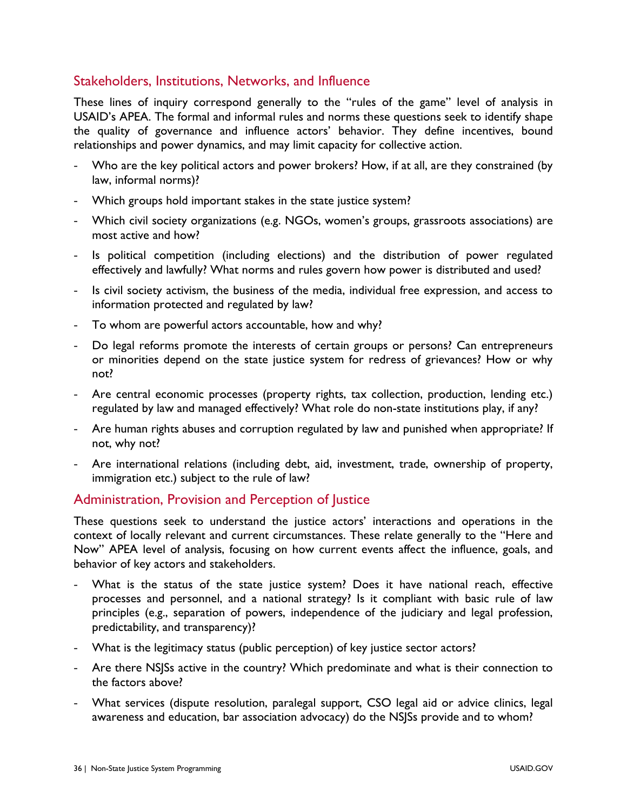## <span id="page-41-0"></span>Stakeholders, Institutions, Networks, and Influence

These lines of inquiry correspond generally to the "rules of the game" level of analysis in USAID's APEA. The formal and informal rules and norms these questions seek to identify shape the quality of governance and influence actors' behavior. They define incentives, bound relationships and power dynamics, and may limit capacity for collective action.

- Who are the key political actors and power brokers? How, if at all, are they constrained (by law, informal norms)?
- Which groups hold important stakes in the state justice system?
- Which civil society organizations (e.g. NGOs, women's groups, grassroots associations) are most active and how?
- Is political competition (including elections) and the distribution of power regulated effectively and lawfully? What norms and rules govern how power is distributed and used?
- Is civil society activism, the business of the media, individual free expression, and access to information protected and regulated by law?
- To whom are powerful actors accountable, how and why?
- Do legal reforms promote the interests of certain groups or persons? Can entrepreneurs or minorities depend on the state justice system for redress of grievances? How or why not?
- Are central economic processes (property rights, tax collection, production, lending etc.) regulated by law and managed effectively? What role do non-state institutions play, if any?
- Are human rights abuses and corruption regulated by law and punished when appropriate? If not, why not?
- Are international relations (including debt, aid, investment, trade, ownership of property, immigration etc.) subject to the rule of law?

## <span id="page-41-1"></span>Administration, Provision and Perception of Justice

These questions seek to understand the justice actors' interactions and operations in the context of locally relevant and current circumstances. These relate generally to the "Here and Now" APEA level of analysis, focusing on how current events affect the influence, goals, and behavior of key actors and stakeholders.

- What is the status of the state justice system? Does it have national reach, effective processes and personnel, and a national strategy? Is it compliant with basic rule of law principles (e.g., separation of powers, independence of the judiciary and legal profession, predictability, and transparency)?
- What is the legitimacy status (public perception) of key justice sector actors?
- Are there NSJSs active in the country? Which predominate and what is their connection to the factors above?
- What services (dispute resolution, paralegal support, CSO legal aid or advice clinics, legal awareness and education, bar association advocacy) do the NSJSs provide and to whom?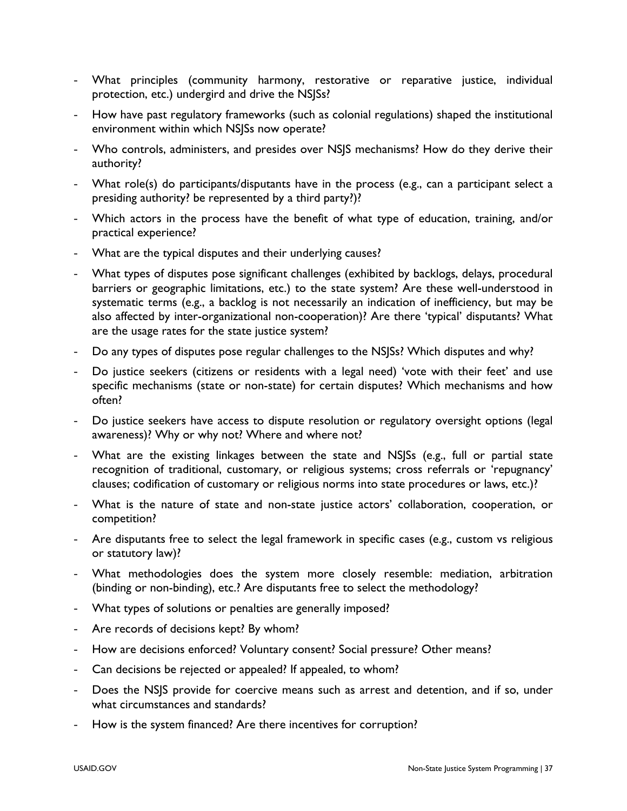- What principles (community harmony, restorative or reparative justice, individual protection, etc.) undergird and drive the NSJSs?
- How have past regulatory frameworks (such as colonial regulations) shaped the institutional environment within which NSJSs now operate?
- Who controls, administers, and presides over NSJS mechanisms? How do they derive their authority?
- What role(s) do participants/disputants have in the process (e.g., can a participant select a presiding authority? be represented by a third party?)?
- Which actors in the process have the benefit of what type of education, training, and/or practical experience?
- What are the typical disputes and their underlying causes?
- What types of disputes pose significant challenges (exhibited by backlogs, delays, procedural barriers or geographic limitations, etc.) to the state system? Are these well-understood in systematic terms (e.g., a backlog is not necessarily an indication of inefficiency, but may be also affected by inter-organizational non-cooperation)? Are there 'typical' disputants? What are the usage rates for the state justice system?
- Do any types of disputes pose regular challenges to the NSJSs? Which disputes and why?
- Do justice seekers (citizens or residents with a legal need) 'vote with their feet' and use specific mechanisms (state or non-state) for certain disputes? Which mechanisms and how often?
- Do justice seekers have access to dispute resolution or regulatory oversight options (legal awareness)? Why or why not? Where and where not?
- What are the existing linkages between the state and NSJSs (e.g., full or partial state recognition of traditional, customary, or religious systems; cross referrals or 'repugnancy' clauses; codification of customary or religious norms into state procedures or laws, etc.)?
- What is the nature of state and non-state justice actors' collaboration, cooperation, or competition?
- Are disputants free to select the legal framework in specific cases (e.g., custom vs religious or statutory law)?
- What methodologies does the system more closely resemble: mediation, arbitration (binding or non-binding), etc.? Are disputants free to select the methodology?
- What types of solutions or penalties are generally imposed?
- Are records of decisions kept? By whom?
- How are decisions enforced? Voluntary consent? Social pressure? Other means?
- Can decisions be rejected or appealed? If appealed, to whom?
- Does the NSJS provide for coercive means such as arrest and detention, and if so, under what circumstances and standards?
- How is the system financed? Are there incentives for corruption?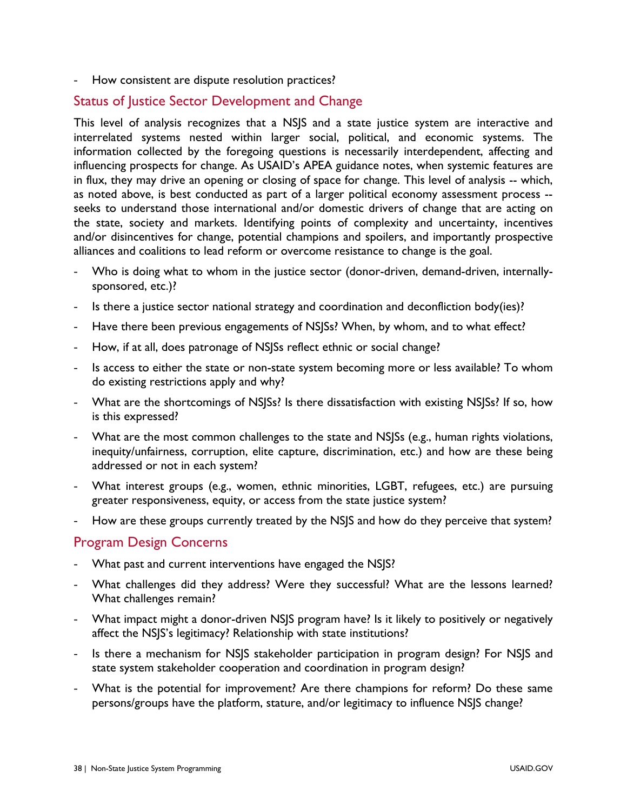How consistent are dispute resolution practices?

#### <span id="page-43-0"></span>Status of Justice Sector Development and Change

This level of analysis recognizes that a NSJS and a state justice system are interactive and interrelated systems nested within larger social, political, and economic systems. The information collected by the foregoing questions is necessarily interdependent, affecting and influencing prospects for change. As USAID's APEA guidance notes, when systemic features are in flux, they may drive an opening or closing of space for change. This level of analysis -- which, as noted above, is best conducted as part of a larger political economy assessment process - seeks to understand those international and/or domestic drivers of change that are acting on the state, society and markets. Identifying points of complexity and uncertainty, incentives and/or disincentives for change, potential champions and spoilers, and importantly prospective alliances and coalitions to lead reform or overcome resistance to change is the goal.

- Who is doing what to whom in the justice sector (donor-driven, demand-driven, internallysponsored, etc.)?
- Is there a justice sector national strategy and coordination and deconfliction body(ies)?
- Have there been previous engagements of NSJSs? When, by whom, and to what effect?
- How, if at all, does patronage of NSJSs reflect ethnic or social change?
- Is access to either the state or non-state system becoming more or less available? To whom do existing restrictions apply and why?
- What are the shortcomings of NSJSs? Is there dissatisfaction with existing NSJSs? If so, how is this expressed?
- What are the most common challenges to the state and NSJSs (e.g., human rights violations, inequity/unfairness, corruption, elite capture, discrimination, etc.) and how are these being addressed or not in each system?
- What interest groups (e.g., women, ethnic minorities, LGBT, refugees, etc.) are pursuing greater responsiveness, equity, or access from the state justice system?
- How are these groups currently treated by the NSJS and how do they perceive that system?

#### <span id="page-43-1"></span>Program Design Concerns

- What past and current interventions have engaged the NSJS?
- What challenges did they address? Were they successful? What are the lessons learned? What challenges remain?
- What impact might a donor-driven NSJS program have? Is it likely to positively or negatively affect the NSJS's legitimacy? Relationship with state institutions?
- Is there a mechanism for NSJS stakeholder participation in program design? For NSJS and state system stakeholder cooperation and coordination in program design?
- What is the potential for improvement? Are there champions for reform? Do these same persons/groups have the platform, stature, and/or legitimacy to influence NSJS change?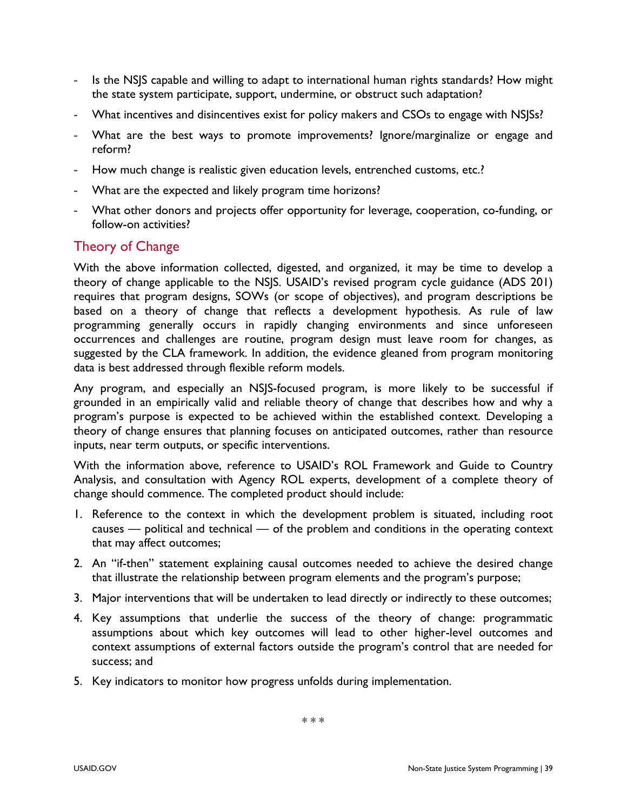- Is the NSJS capable and willing to adapt to international human rights standards? How might the state system participate, support, undermine, or obstruct such adaptation?
- What incentives and disincentives exist for policy makers and CSOs to engage with NSJSs?
- What are the best ways to promote improvements? Ignore/marginalize or engage and reform?
- How much change is realistic given education levels, entrenched customs, etc.?
- What are the expected and likely program time horizons?
- What other donors and projects offer opportunity for leverage, cooperation, co-funding, or follow-on activities?

## <span id="page-44-0"></span>Theory of Change

With the above information collected, digested, and organized, it may be time to develop a theory of change applicable to the NSJS. USAID's revised program cycle guidance (ADS 201) requires that program designs, SOWs (or scope of objectives), and program descriptions be based on a theory of change that reflects a development hypothesis. As rule of law programming generally occurs in rapidly changing environments and since unforeseen occurrences and challenges are routine, program design must leave room for changes, as suggested by the CLA framework. In addition, the evidence gleaned from program monitoring data is best addressed through flexible reform models.

Any program, and especially an NSJS-focused program, is more likely to be successful if grounded in an empirically valid and reliable theory of change that describes how and why a program's purpose is expected to be achieved within the established context. Developing a theory of change ensures that planning focuses on anticipated outcomes, rather than resource inputs, near term outputs, or specific interventions.

With the information above, reference to USAID's ROL Framework and Guide to Country Analysis, and consultation with Agency ROL experts, development of a complete theory of change should commence. The completed product should include:

- 1. Reference to the context in which the development problem is situated, including root causes — political and technical — of the problem and conditions in the operating context that may affect outcomes;
- 2. An "if-then" statement explaining causal outcomes needed to achieve the desired change that illustrate the relationship between program elements and the program's purpose;
- 3. Major interventions that will be undertaken to lead directly or indirectly to these outcomes;
- 4. Key assumptions that underlie the success of the theory of change: programmatic assumptions about which key outcomes will lead to other higher-level outcomes and context assumptions of external factors outside the program's control that are needed for success; and
- 5. Key indicators to monitor how progress unfolds during implementation.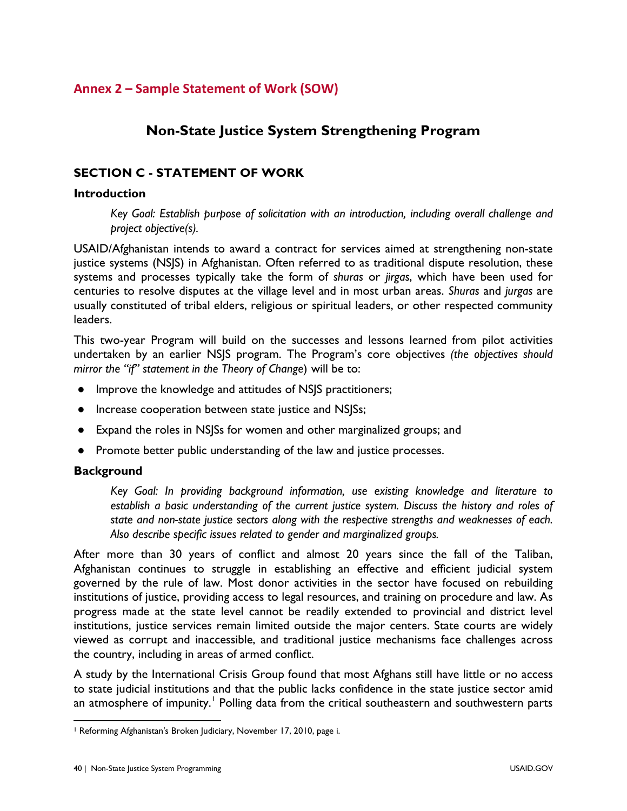## <span id="page-45-0"></span>**Annex 2 – Sample Statement of Work (SOW)**

## **Non-State Justice System Strengthening Program**

#### **SECTION C - STATEMENT OF WORK**

#### **Introduction**

*Key Goal: Establish purpose of solicitation with an introduction, including overall challenge and project objective(s).*

USAID/Afghanistan intends to award a contract for services aimed at strengthening non-state justice systems (NSJS) in Afghanistan. Often referred to as traditional dispute resolution, these systems and processes typically take the form of *shuras* or *jirgas*, which have been used for centuries to resolve disputes at the village level and in most urban areas. *Shuras* and *jurgas* are usually constituted of tribal elders, religious or spiritual leaders, or other respected community leaders.

This two-year Program will build on the successes and lessons learned from pilot activities undertaken by an earlier NSJS program. The Program's core objectives *(the objectives should mirror the "if" statement in the Theory of Change*) will be to:

- Improve the knowledge and attitudes of NSJS practitioners;
- Increase cooperation between state justice and NSJSs;
- Expand the roles in NSJSs for women and other marginalized groups; and
- Promote better public understanding of the law and justice processes.

#### **Background**

*Key Goal: In providing background information, use existing knowledge and literature to establish a basic understanding of the current justice system. Discuss the history and roles of state and non-state justice sectors along with the respective strengths and weaknesses of each. Also describe specific issues related to gender and marginalized groups.*

After more than 30 years of conflict and almost 20 years since the fall of the Taliban, Afghanistan continues to struggle in establishing an effective and efficient judicial system governed by the rule of law. Most donor activities in the sector have focused on rebuilding institutions of justice, providing access to legal resources, and training on procedure and law. As progress made at the state level cannot be readily extended to provincial and district level institutions, justice services remain limited outside the major centers. State courts are widely viewed as corrupt and inaccessible, and traditional justice mechanisms face challenges across the country, including in areas of armed conflict.

A study by the International Crisis Group found that most Afghans still have little or no access to state judicial institutions and that the public lacks confidence in the state justice sector amid an atmosphere of impunity.<sup>[1](#page-45-1)</sup> Polling data from the critical southeastern and southwestern parts

<span id="page-45-1"></span> $\overline{a}$ <sup>1</sup> Reforming Afghanistan's Broken Judiciary, November 17, 2010, page i.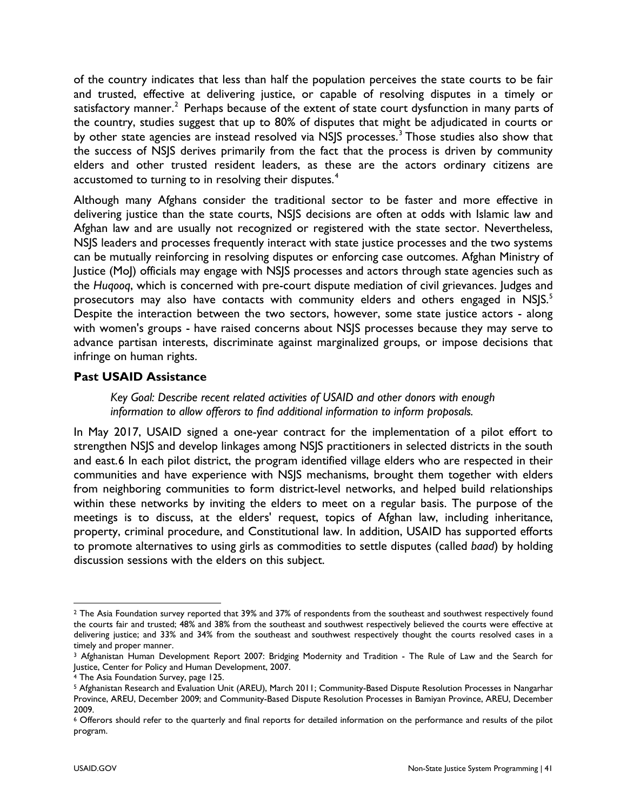of the country indicates that less than half the population perceives the state courts to be fair and trusted, effective at delivering justice, or capable of resolving disputes in a timely or satisfactory manner.<sup>[2](#page-46-0)</sup> Perhaps because of the extent of state court dysfunction in many parts of the country, studies suggest that up to 80% of disputes that might be adjudicated in courts or by other state agencies are instead resolved via NSJS processes.<sup>[3](#page-46-1)</sup> Those studies also show that the success of NSJS derives primarily from the fact that the process is driven by community elders and other trusted resident leaders, as these are the actors ordinary citizens are accustomed to turning to in resolving their disputes.<sup>[4](#page-46-2)</sup>

Although many Afghans consider the traditional sector to be faster and more effective in delivering justice than the state courts, NSJS decisions are often at odds with Islamic law and Afghan law and are usually not recognized or registered with the state sector. Nevertheless, NSJS leaders and processes frequently interact with state justice processes and the two systems can be mutually reinforcing in resolving disputes or enforcing case outcomes. Afghan Ministry of Justice (MoJ) officials may engage with NSJS processes and actors through state agencies such as the *Huqooq*, which is concerned with pre-court dispute mediation of civil grievances. Judges and prosecutors may also have contacts with community elders and others engaged in NSIS.<sup>[5](#page-46-3)</sup> Despite the interaction between the two sectors, however, some state justice actors - along with women's groups - have raised concerns about NSJS processes because they may serve to advance partisan interests, discriminate against marginalized groups, or impose decisions that infringe on human rights.

#### **Past USAID Assistance**

*Key Goal: Describe recent related activities of USAID and other donors with enough information to allow offerors to find additional information to inform proposals.*

In May 2017, USAID signed a one-year contract for the implementation of a pilot effort to strengthen NSJS and develop linkages among NSJS practitioners in selected districts in the south and east.[6](#page-46-4) In each pilot district, the program identified village elders who are respected in their communities and have experience with NSJS mechanisms, brought them together with elders from neighboring communities to form district-level networks, and helped build relationships within these networks by inviting the elders to meet on a regular basis. The purpose of the meetings is to discuss, at the elders' request, topics of Afghan law, including inheritance, property, criminal procedure, and Constitutional law. In addition, USAID has supported efforts to promote alternatives to using girls as commodities to settle disputes (called *baad*) by holding discussion sessions with the elders on this subject.

 $\overline{a}$ 

<span id="page-46-0"></span><sup>2</sup> The Asia Foundation survey reported that 39% and 37% of respondents from the southeast and southwest respectively found the courts fair and trusted; 48% and 38% from the southeast and southwest respectively believed the courts were effective at delivering justice; and 33% and 34% from the southeast and southwest respectively thought the courts resolved cases in a timely and proper manner.

<span id="page-46-1"></span><sup>3</sup> Afghanistan Human Development Report 2007: Bridging Modernity and Tradition - The Rule of Law and the Search for Justice, Center for Policy and Human Development, 2007.

<span id="page-46-2"></span><sup>4</sup> The Asia Foundation Survey, page 125.

<span id="page-46-3"></span><sup>5</sup> Afghanistan Research and Evaluation Unit (AREU), March 2011; Community-Based Dispute Resolution Processes in Nangarhar Province, AREU, December 2009; and Community-Based Dispute Resolution Processes in Bamiyan Province, AREU, December 2009.

<span id="page-46-4"></span><sup>6</sup> Offerors should refer to the quarterly and final reports for detailed information on the performance and results of the pilot program.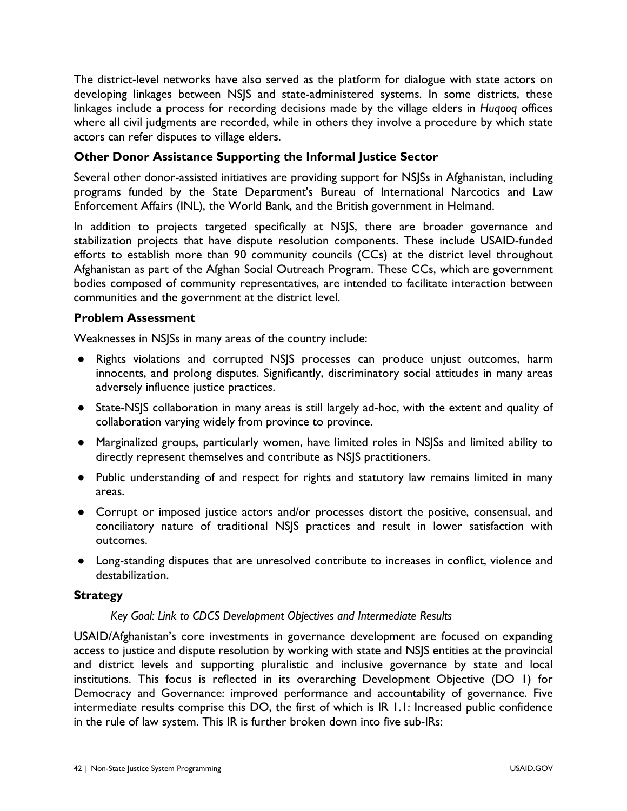The district-level networks have also served as the platform for dialogue with state actors on developing linkages between NSJS and state-administered systems. In some districts, these linkages include a process for recording decisions made by the village elders in *Huqooq* offices where all civil judgments are recorded, while in others they involve a procedure by which state actors can refer disputes to village elders.

#### **Other Donor Assistance Supporting the Informal Justice Sector**

Several other donor-assisted initiatives are providing support for NSJSs in Afghanistan, including programs funded by the State Department's Bureau of International Narcotics and Law Enforcement Affairs (INL), the World Bank, and the British government in Helmand.

In addition to projects targeted specifically at NSJS, there are broader governance and stabilization projects that have dispute resolution components. These include USAID-funded efforts to establish more than 90 community councils (CCs) at the district level throughout Afghanistan as part of the Afghan Social Outreach Program. These CCs, which are government bodies composed of community representatives, are intended to facilitate interaction between communities and the government at the district level.

#### **Problem Assessment**

Weaknesses in NSJSs in many areas of the country include:

- Rights violations and corrupted NSJS processes can produce unjust outcomes, harm innocents, and prolong disputes. Significantly, discriminatory social attitudes in many areas adversely influence justice practices.
- State-NSJS collaboration in many areas is still largely ad-hoc, with the extent and quality of collaboration varying widely from province to province.
- Marginalized groups, particularly women, have limited roles in NSJSs and limited ability to directly represent themselves and contribute as NSJS practitioners.
- Public understanding of and respect for rights and statutory law remains limited in many areas.
- Corrupt or imposed justice actors and/or processes distort the positive, consensual, and conciliatory nature of traditional NSJS practices and result in lower satisfaction with outcomes.
- Long-standing disputes that are unresolved contribute to increases in conflict, violence and destabilization.

#### **Strategy**

#### *Key Goal: Link to CDCS Development Objectives and Intermediate Results*

USAID/Afghanistan's core investments in governance development are focused on expanding access to justice and dispute resolution by working with state and NSJS entities at the provincial and district levels and supporting pluralistic and inclusive governance by state and local institutions. This focus is reflected in its overarching Development Objective (DO 1) for Democracy and Governance: improved performance and accountability of governance. Five intermediate results comprise this DO, the first of which is IR 1.1: Increased public confidence in the rule of law system. This IR is further broken down into five sub-IRs: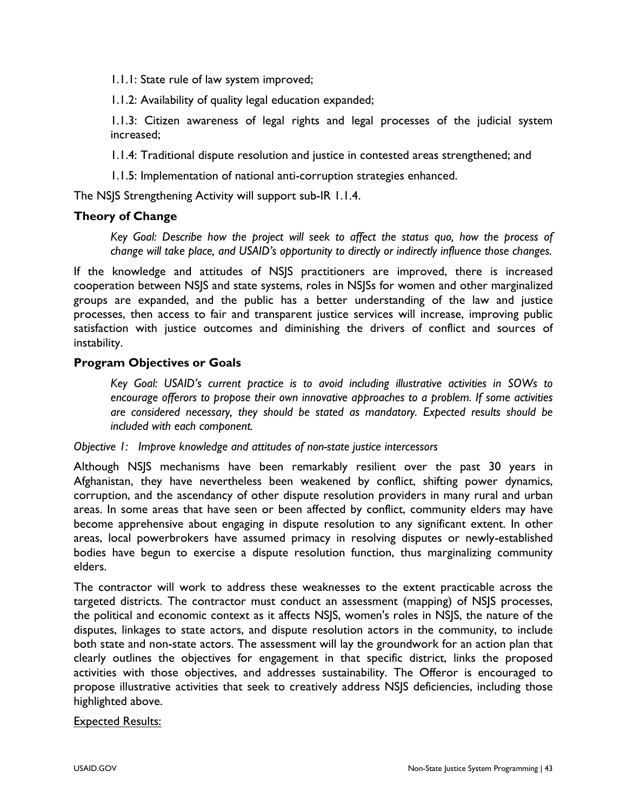1.1.1: State rule of law system improved;

1.1.2: Availability of quality legal education expanded;

1.1.3: Citizen awareness of legal rights and legal processes of the judicial system increased;

1.1.4: Traditional dispute resolution and justice in contested areas strengthened; and

1.1.5: Implementation of national anti-corruption strategies enhanced.

The NSJS Strengthening Activity will support sub-IR 1.1.4.

#### **Theory of Change**

*Key Goal: Describe how the project will seek to affect the status quo, how the process of change will take place, and USAID's opportunity to directly or indirectly influence those changes.* 

If the knowledge and attitudes of NSJS practitioners are improved, there is increased cooperation between NSJS and state systems, roles in NSJSs for women and other marginalized groups are expanded, and the public has a better understanding of the law and justice processes, then access to fair and transparent justice services will increase, improving public satisfaction with justice outcomes and diminishing the drivers of conflict and sources of instability.

### **Program Objectives or Goals**

*Key Goal: USAID's current practice is to avoid including illustrative activities in SOWs to encourage offerors to propose their own innovative approaches to a problem. If some activities are considered necessary, they should be stated as mandatory. Expected results should be included with each component.* 

*Objective 1: Improve knowledge and attitudes of non-state justice intercessors*

Although NSJS mechanisms have been remarkably resilient over the past 30 years in Afghanistan, they have nevertheless been weakened by conflict, shifting power dynamics, corruption, and the ascendancy of other dispute resolution providers in many rural and urban areas. In some areas that have seen or been affected by conflict, community elders may have become apprehensive about engaging in dispute resolution to any significant extent. In other areas, local powerbrokers have assumed primacy in resolving disputes or newly-established bodies have begun to exercise a dispute resolution function, thus marginalizing community elders.

The contractor will work to address these weaknesses to the extent practicable across the targeted districts. The contractor must conduct an assessment (mapping) of NSJS processes, the political and economic context as it affects NSJS, women's roles in NSJS, the nature of the disputes, linkages to state actors, and dispute resolution actors in the community, to include both state and non-state actors. The assessment will lay the groundwork for an action plan that clearly outlines the objectives for engagement in that specific district, links the proposed activities with those objectives, and addresses sustainability. The Offeror is encouraged to propose illustrative activities that seek to creatively address NSJS deficiencies, including those highlighted above.

#### Expected Results: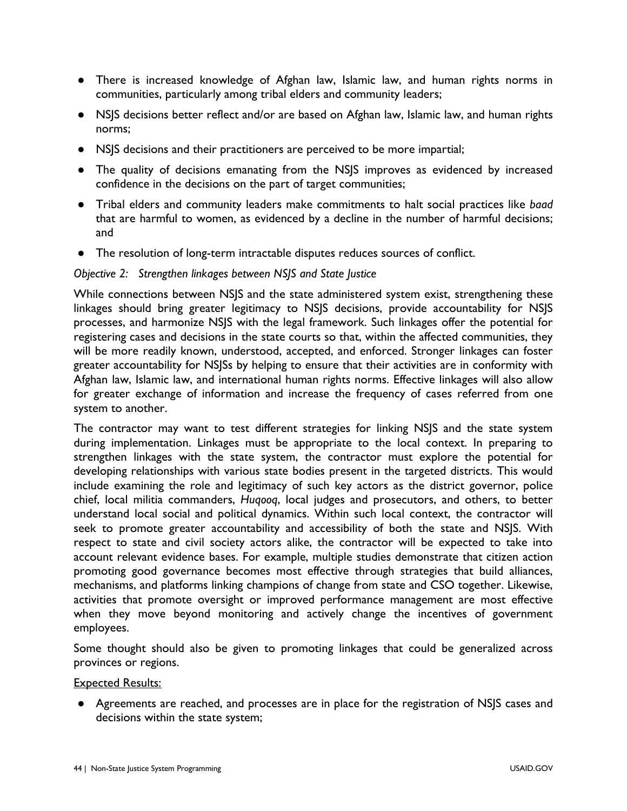- There is increased knowledge of Afghan law, Islamic law, and human rights norms in communities, particularly among tribal elders and community leaders;
- NSJS decisions better reflect and/or are based on Afghan law, Islamic law, and human rights norms;
- NSJS decisions and their practitioners are perceived to be more impartial;
- The quality of decisions emanating from the NSJS improves as evidenced by increased confidence in the decisions on the part of target communities;
- Tribal elders and community leaders make commitments to halt social practices like *baad* that are harmful to women, as evidenced by a decline in the number of harmful decisions; and
- The resolution of long-term intractable disputes reduces sources of conflict.

#### *Objective 2: Strengthen linkages between NSJS and State Justice*

While connections between NSJS and the state administered system exist, strengthening these linkages should bring greater legitimacy to NSJS decisions, provide accountability for NSJS processes, and harmonize NSJS with the legal framework. Such linkages offer the potential for registering cases and decisions in the state courts so that, within the affected communities, they will be more readily known, understood, accepted, and enforced. Stronger linkages can foster greater accountability for NSJSs by helping to ensure that their activities are in conformity with Afghan law, Islamic law, and international human rights norms. Effective linkages will also allow for greater exchange of information and increase the frequency of cases referred from one system to another.

The contractor may want to test different strategies for linking NSJS and the state system during implementation. Linkages must be appropriate to the local context. In preparing to strengthen linkages with the state system, the contractor must explore the potential for developing relationships with various state bodies present in the targeted districts. This would include examining the role and legitimacy of such key actors as the district governor, police chief, local militia commanders, *Huqooq*, local judges and prosecutors, and others, to better understand local social and political dynamics. Within such local context, the contractor will seek to promote greater accountability and accessibility of both the state and NSJS. With respect to state and civil society actors alike, the contractor will be expected to take into account relevant evidence bases. For example, multiple studies demonstrate that citizen action promoting good governance becomes most effective through strategies that build alliances, mechanisms, and platforms linking champions of change from state and CSO together. Likewise, activities that promote oversight or improved performance management are most effective when they move beyond monitoring and actively change the incentives of government employees.

Some thought should also be given to promoting linkages that could be generalized across provinces or regions.

#### Expected Results:

● Agreements are reached, and processes are in place for the registration of NSJS cases and decisions within the state system;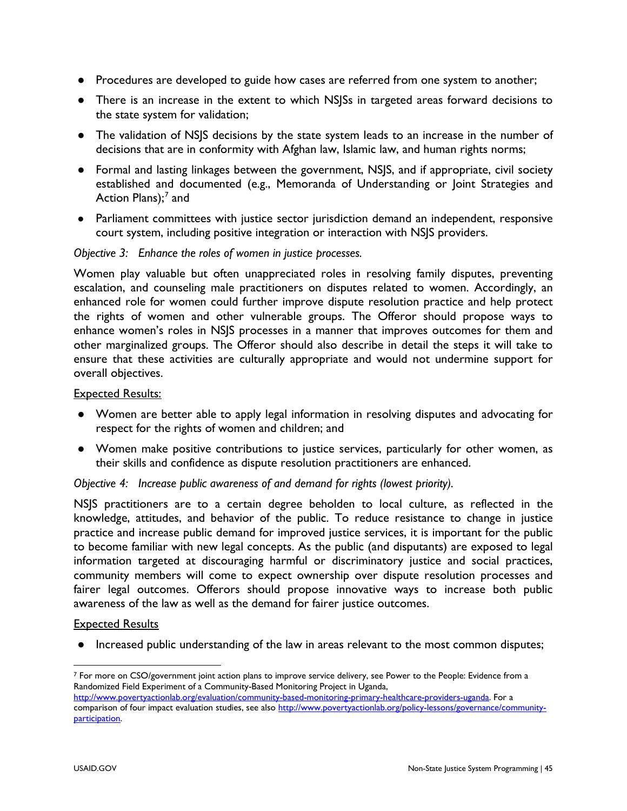- Procedures are developed to guide how cases are referred from one system to another;
- There is an increase in the extent to which NSJSs in targeted areas forward decisions to the state system for validation;
- The validation of NSJS decisions by the state system leads to an increase in the number of decisions that are in conformity with Afghan law, Islamic law, and human rights norms;
- Formal and lasting linkages between the government, NSJS, and if appropriate, civil society established and documented (e.g., Memoranda of Understanding or Joint Strategies and Action Plans); $<sup>7</sup>$  $<sup>7</sup>$  $<sup>7</sup>$  and</sup>
- Parliament committees with justice sector jurisdiction demand an independent, responsive court system, including positive integration or interaction with NSJS providers.

#### *Objective 3: Enhance the roles of women in justice processes.*

Women play valuable but often unappreciated roles in resolving family disputes, preventing escalation, and counseling male practitioners on disputes related to women. Accordingly, an enhanced role for women could further improve dispute resolution practice and help protect the rights of women and other vulnerable groups. The Offeror should propose ways to enhance women's roles in NSJS processes in a manner that improves outcomes for them and other marginalized groups. The Offeror should also describe in detail the steps it will take to ensure that these activities are culturally appropriate and would not undermine support for overall objectives.

#### Expected Results:

- Women are better able to apply legal information in resolving disputes and advocating for respect for the rights of women and children; and
- Women make positive contributions to justice services, particularly for other women, as their skills and confidence as dispute resolution practitioners are enhanced.

*Objective 4: Increase public awareness of and demand for rights (lowest priority).*

NSJS practitioners are to a certain degree beholden to local culture, as reflected in the knowledge, attitudes, and behavior of the public. To reduce resistance to change in justice practice and increase public demand for improved justice services, it is important for the public to become familiar with new legal concepts. As the public (and disputants) are exposed to legal information targeted at discouraging harmful or discriminatory justice and social practices, community members will come to expect ownership over dispute resolution processes and fairer legal outcomes. Offerors should propose innovative ways to increase both public awareness of the law as well as the demand for fairer justice outcomes.

#### **Expected Results**

● Increased public understanding of the law in areas relevant to the most common disputes;

<span id="page-50-0"></span> $\overline{a}$ <sup>7</sup> For more on CSO/government joint action plans to improve service delivery, see Power to the People: Evidence from a Randomized Field Experiment of a Community-Based Monitoring Project in Ugand[a,](http://www.povertyactionlab.org/evaluation/community-based-monitoring-primary-healthcare-providers-uganda)

[http://www.povertyactionlab.org/evaluation/community-based-monitoring-primary-healthcare-providers-uganda.](http://www.povertyactionlab.org/evaluation/community-based-monitoring-primary-healthcare-providers-uganda) For a comparison of four impact evaluation studies, see also [http://www.povertyactionlab.org/policy-lessons/governance/community](http://www.povertyactionlab.org/policy-lessons/governance/community-participation)[participation.](http://www.povertyactionlab.org/policy-lessons/governance/community-participation)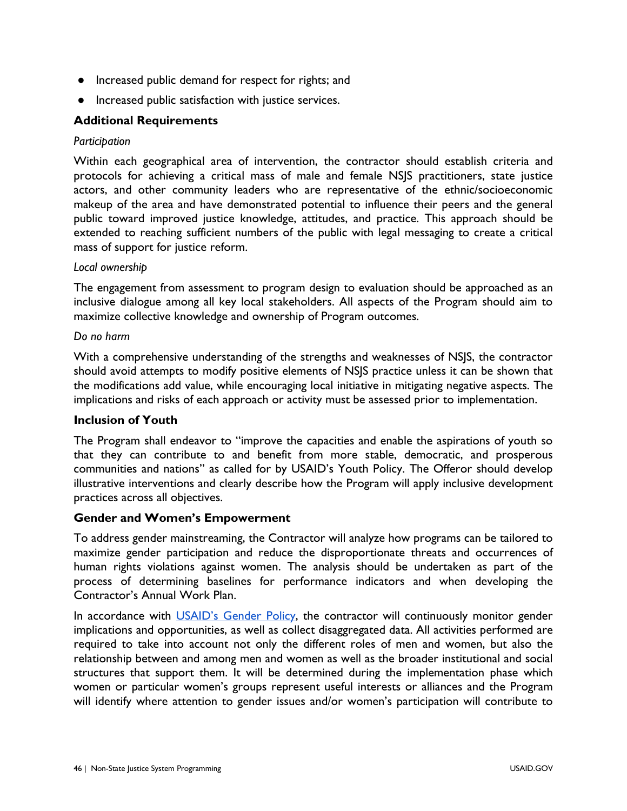- Increased public demand for respect for rights; and
- Increased public satisfaction with justice services.

#### **Additional Requirements**

#### *Participation*

Within each geographical area of intervention, the contractor should establish criteria and protocols for achieving a critical mass of male and female NSJS practitioners, state justice actors, and other community leaders who are representative of the ethnic/socioeconomic makeup of the area and have demonstrated potential to influence their peers and the general public toward improved justice knowledge, attitudes, and practice. This approach should be extended to reaching sufficient numbers of the public with legal messaging to create a critical mass of support for justice reform.

#### *Local ownership*

The engagement from assessment to program design to evaluation should be approached as an inclusive dialogue among all key local stakeholders. All aspects of the Program should aim to maximize collective knowledge and ownership of Program outcomes.

#### *Do no harm*

With a comprehensive understanding of the strengths and weaknesses of NSJS, the contractor should avoid attempts to modify positive elements of NSJS practice unless it can be shown that the modifications add value, while encouraging local initiative in mitigating negative aspects. The implications and risks of each approach or activity must be assessed prior to implementation.

#### **Inclusion of Youth**

The Program shall endeavor to "improve the capacities and enable the aspirations of youth so that they can contribute to and benefit from more stable, democratic, and prosperous communities and nations" as called for by USAID's Youth Policy. The Offeror should develop illustrative interventions and clearly describe how the Program will apply inclusive development practices across all objectives.

#### **Gender and Women's Empowerment**

To address gender mainstreaming, the Contractor will analyze how programs can be tailored to maximize gender participation and reduce the disproportionate threats and occurrences of human rights violations against women. The analysis should be undertaken as part of the process of determining baselines for performance indicators and when developing the Contractor's Annual Work Plan.

In accordance wit[h](https://www.usaid.gov/sites/default/files/documents/1865/GenderEqualityPolicy_0.pdf) [USAID's Gender Policy,](https://www.usaid.gov/sites/default/files/documents/1865/GenderEqualityPolicy_0.pdf) the contractor will continuously monitor gender implications and opportunities, as well as collect disaggregated data. All activities performed are required to take into account not only the different roles of men and women, but also the relationship between and among men and women as well as the broader institutional and social structures that support them. It will be determined during the implementation phase which women or particular women's groups represent useful interests or alliances and the Program will identify where attention to gender issues and/or women's participation will contribute to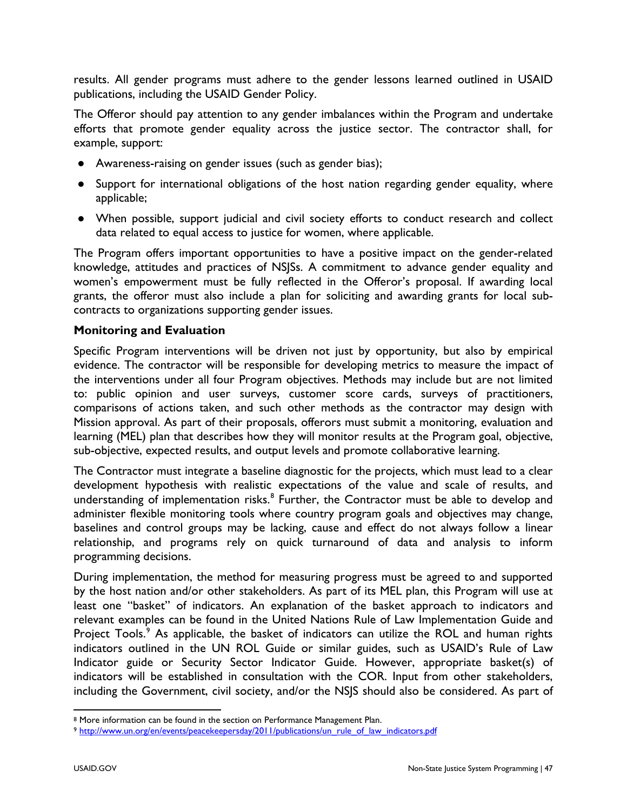results. All gender programs must adhere to the gender lessons learned outlined in USAID publications, including the USAID Gender Policy.

The Offeror should pay attention to any gender imbalances within the Program and undertake efforts that promote gender equality across the justice sector. The contractor shall, for example, support:

- Awareness-raising on gender issues (such as gender bias);
- Support for international obligations of the host nation regarding gender equality, where applicable;
- When possible, support judicial and civil society efforts to conduct research and collect data related to equal access to justice for women, where applicable.

The Program offers important opportunities to have a positive impact on the gender-related knowledge, attitudes and practices of NSJSs. A commitment to advance gender equality and women's empowerment must be fully reflected in the Offeror's proposal. If awarding local grants, the offeror must also include a plan for soliciting and awarding grants for local subcontracts to organizations supporting gender issues.

### **Monitoring and Evaluation**

Specific Program interventions will be driven not just by opportunity, but also by empirical evidence. The contractor will be responsible for developing metrics to measure the impact of the interventions under all four Program objectives. Methods may include but are not limited to: public opinion and user surveys, customer score cards, surveys of practitioners, comparisons of actions taken, and such other methods as the contractor may design with Mission approval. As part of their proposals, offerors must submit a monitoring, evaluation and learning (MEL) plan that describes how they will monitor results at the Program goal, objective, sub-objective, expected results, and output levels and promote collaborative learning.

The Contractor must integrate a baseline diagnostic for the projects, which must lead to a clear development hypothesis with realistic expectations of the value and scale of results, and understanding of implementation risks.<sup>[8](#page-52-0)</sup> Further, the Contractor must be able to develop and administer flexible monitoring tools where country program goals and objectives may change, baselines and control groups may be lacking, cause and effect do not always follow a linear relationship, and programs rely on quick turnaround of data and analysis to inform programming decisions.

During implementation, the method for measuring progress must be agreed to and supported by the host nation and/or other stakeholders. As part of its MEL plan, this Program will use at least one "basket" of indicators. An explanation of the basket approach to indicators and relevant examples can be found in the United Nations Rule of Law Implementation Guide and Project Tools.<sup>[9](#page-52-1)</sup> As applicable, the basket of indicators can utilize the ROL and human rights indicators outlined in the UN ROL Guide or similar guides, such as USAID's Rule of Law Indicator guide or Security Sector Indicator Guide. However, appropriate basket(s) of indicators will be established in consultation with the COR. Input from other stakeholders, including the Government, civil society, and/or the NSJS should also be considered. As part of

 $\overline{a}$ <sup>8</sup> More information can be found in the section on Performance Management Plan.

<span id="page-52-1"></span><span id="page-52-0"></span><sup>9</sup> [http://www.un.org/en/events/peacekeepersday/2011/publications/un\\_rule\\_of\\_law\\_indicators.pdf](http://www.un.org/en/events/peacekeepersday/2011/publications/un_rule_of_law_indicators.pdf)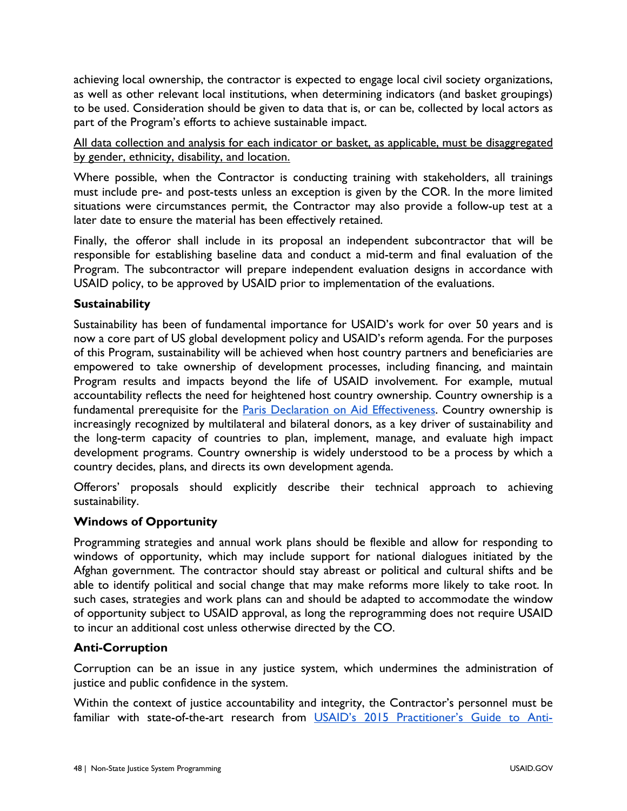achieving local ownership, the contractor is expected to engage local civil society organizations, as well as other relevant local institutions, when determining indicators (and basket groupings) to be used. Consideration should be given to data that is, or can be, collected by local actors as part of the Program's efforts to achieve sustainable impact.

All data collection and analysis for each indicator or basket, as applicable, must be disaggregated by gender, ethnicity, disability, and location.

Where possible, when the Contractor is conducting training with stakeholders, all trainings must include pre- and post-tests unless an exception is given by the COR. In the more limited situations were circumstances permit, the Contractor may also provide a follow-up test at a later date to ensure the material has been effectively retained.

Finally, the offeror shall include in its proposal an independent subcontractor that will be responsible for establishing baseline data and conduct a mid-term and final evaluation of the Program. The subcontractor will prepare independent evaluation designs in accordance with USAID policy, to be approved by USAID prior to implementation of the evaluations.

#### **Sustainability**

Sustainability has been of fundamental importance for USAID's work for over 50 years and is now a core part of US global development policy and USAID's reform agenda. For the purposes of this Program, sustainability will be achieved when host country partners and beneficiaries are empowered to take ownership of development processes, including financing, and maintain Program results and impacts beyond the life of USAID involvement. For example, mutual accountability reflects the need for heightened host country ownership. Country ownership is a fundam[e](http://www.oecd.org/dac/effectiveness/34428351.pdf)ntal prerequisite for the [Paris Declaration on Aid Effectiveness.](http://www.oecd.org/dac/effectiveness/34428351.pdf) Country ownership is increasingly recognized by multilateral and bilateral donors, as a key driver of sustainability and the long-term capacity of countries to plan, implement, manage, and evaluate high impact development programs. Country ownership is widely understood to be a process by which a country decides, plans, and directs its own development agenda.

Offerors' proposals should explicitly describe their technical approach to achieving sustainability.

#### **Windows of Opportunity**

Programming strategies and annual work plans should be flexible and allow for responding to windows of opportunity, which may include support for national dialogues initiated by the Afghan government. The contractor should stay abreast or political and cultural shifts and be able to identify political and social change that may make reforms more likely to take root. In such cases, strategies and work plans can and should be adapted to accommodate the window of opportunity subject to USAID approval, as long the reprogramming does not require USAID to incur an additional cost unless otherwise directed by the CO.

#### **Anti-Corruption**

Corruption can be an issue in any justice system, which undermines the administration of justice and public confidence in the system.

Within the context of justice accountability and integrity, the Contractor's personnel must be familiar with state-of-the-art research fro[m](https://www.usaid.gov/opengov/developer/datasets/Practitioner) [USAID's 2015 Practitioner's Guide to Anti-](https://www.usaid.gov/opengov/developer/datasets/Practitioner)